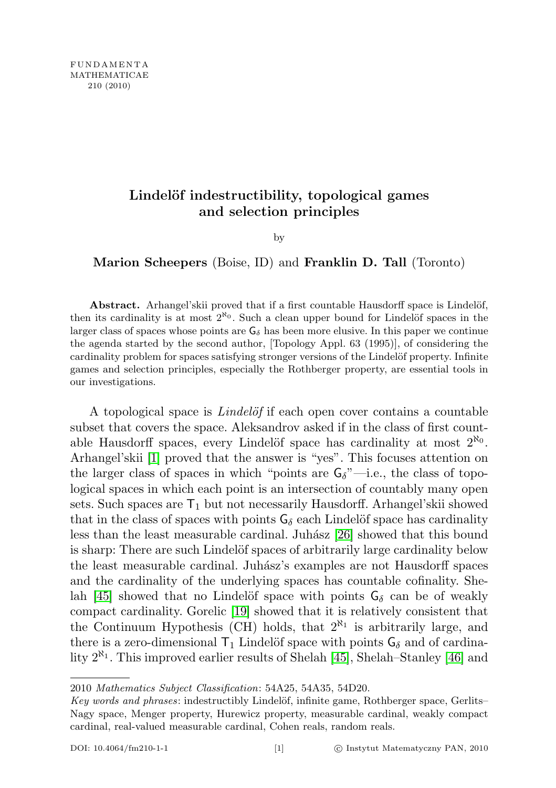## Lindelöf indestructibility, topological games and selection principles

by

Marion Scheepers (Boise, ID) and Franklin D. Tall (Toronto)

Abstract. Arhangel'skii proved that if a first countable Hausdorff space is Lindelöf, then its cardinality is at most  $2^{\aleph_0}$ . Such a clean upper bound for Lindelöf spaces in the larger class of spaces whose points are  $G_{\delta}$  has been more elusive. In this paper we continue the agenda started by the second author, [Topology Appl. 63 (1995)], of considering the cardinality problem for spaces satisfying stronger versions of the Lindelöf property. Infinite games and selection principles, especially the Rothberger property, are essential tools in our investigations.

A topological space is *Lindelof* if each open cover contains a countable subset that covers the space. Aleksandrov asked if in the class of first countable Hausdorff spaces, every Lindelöf space has cardinality at most  $2^{\aleph_0}$ . Arhangel'skii [\[1\]](#page-43-0) proved that the answer is "yes". This focuses attention on the larger class of spaces in which "points are  $G_{\delta}$ "—i.e., the class of topological spaces in which each point is an intersection of countably many open sets. Such spaces are  $T_1$  but not necessarily Hausdorff. Arhangel'skii showed that in the class of spaces with points  $G_{\delta}$  each Lindelöf space has cardinality less than the least measurable cardinal. Juhász [\[26\]](#page-44-0) showed that this bound is sharp: There are such Lindelöf spaces of arbitrarily large cardinality below the least measurable cardinal. Juh´asz's examples are not Hausdorff spaces and the cardinality of the underlying spaces has countable cofinality. She-lah [\[45\]](#page-45-0) showed that no Lindelöf space with points  $G_{\delta}$  can be of weakly compact cardinality. Gorelic [\[19\]](#page-44-1) showed that it is relatively consistent that the Continuum Hypothesis (CH) holds, that  $2^{\aleph_1}$  is arbitrarily large, and there is a zero-dimensional  $T_1$  Lindelöf space with points  $G_\delta$  and of cardinality  $2^{\aleph_1}$ . This improved earlier results of Shelah [\[45\]](#page-45-0), Shelah–Stanley [\[46\]](#page-45-1) and

<sup>2010</sup> Mathematics Subject Classification: 54A25, 54A35, 54D20.

Key words and phrases: indestructibly Lindelöf, infinite game, Rothberger space, Gerlits– Nagy space, Menger property, Hurewicz property, measurable cardinal, weakly compact cardinal, real-valued measurable cardinal, Cohen reals, random reals.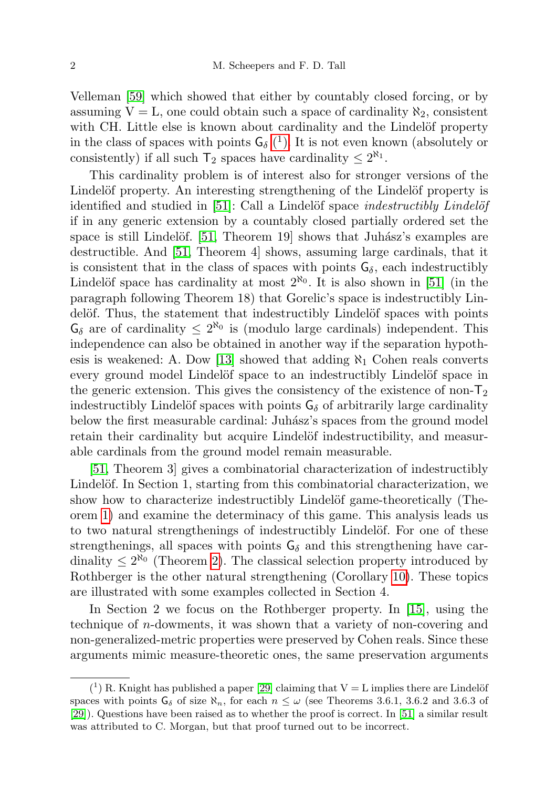Velleman [\[59\]](#page-45-2) which showed that either by countably closed forcing, or by assuming  $V = L$ , one could obtain such a space of cardinality  $\aleph_2$ , consistent with CH. Little else is known about cardinality and the Lindelöf property in the class of spaces with points  $G_{\delta}$  (<sup>1</sup>[\).](#page-1-0) It is not even known (absolutely or consistently) if all such  $T_2$  spaces have cardinality  $\leq 2^{\aleph_1}$ .

This cardinality problem is of interest also for stronger versions of the Lindelöf property. An interesting strengthening of the Lindelöf property is identified and studied in  $[51]$ : Call a Lindelöf space *indestructibly Lindelöf* if in any generic extension by a countably closed partially ordered set the space is still Lindelöf. [\[51,](#page-45-3) Theorem 19] shows that Juhász's examples are destructible. And [\[51,](#page-45-3) Theorem 4] shows, assuming large cardinals, that it is consistent that in the class of spaces with points  $G_{\delta}$ , each indestructibly Lindelöf space has cardinality at most  $2^{\aleph_0}$ . It is also shown in [\[51\]](#page-45-3) (in the paragraph following Theorem 18) that Gorelic's space is indestructibly Lindelöf. Thus, the statement that indestructibly Lindelöf spaces with points  $\mathsf{G}_{\delta}$  are of cardinality  $\leq 2^{\aleph_0}$  is (modulo large cardinals) independent. This independence can also be obtained in another way if the separation hypoth-esis is weakened: A. Dow [\[13\]](#page-43-1) showed that adding  $\aleph_1$  Cohen reals converts every ground model Lindelöf space to an indestructibly Lindelöf space in the generic extension. This gives the consistency of the existence of non- $T_2$ indestructibly Lindelöf spaces with points  $G_{\delta}$  of arbitrarily large cardinality below the first measurable cardinal: Juh´asz's spaces from the ground model retain their cardinality but acquire Lindelöf indestructibility, and measurable cardinals from the ground model remain measurable.

[\[51,](#page-45-3) Theorem 3] gives a combinatorial characterization of indestructibly Lindelöf. In Section 1, starting from this combinatorial characterization, we show how to characterize indestructibly Lindelöf game-theoretically (Theorem [1\)](#page-3-0) and examine the determinacy of this game. This analysis leads us to two natural strengthenings of indestructibly Lindelöf. For one of these strengthenings, all spaces with points  $G_{\delta}$  and this strengthening have cardinality  $\leq 2^{\aleph_0}$  (Theorem [2\)](#page-4-0). The classical selection property introduced by Rothberger is the other natural strengthening (Corollary [10\)](#page-7-0). These topics are illustrated with some examples collected in Section 4.

In Section 2 we focus on the Rothberger property. In [\[15\]](#page-43-2), using the technique of n-dowments, it was shown that a variety of non-covering and non-generalized-metric properties were preserved by Cohen reals. Since these arguments mimic measure-theoretic ones, the same preservation arguments

<span id="page-1-0"></span> $(1)$  R. Knight has published a paper [\[29\]](#page-44-2) claiming that  $V = L$  implies there are Lindelöf spaces with points  $G_{\delta}$  of size  $\aleph_n$ , for each  $n \leq \omega$  (see Theorems 3.6.1, 3.6.2 and 3.6.3 of [\[29\]](#page-44-2)). Questions have been raised as to whether the proof is correct. In [\[51\]](#page-45-3) a similar result was attributed to C. Morgan, but that proof turned out to be incorrect.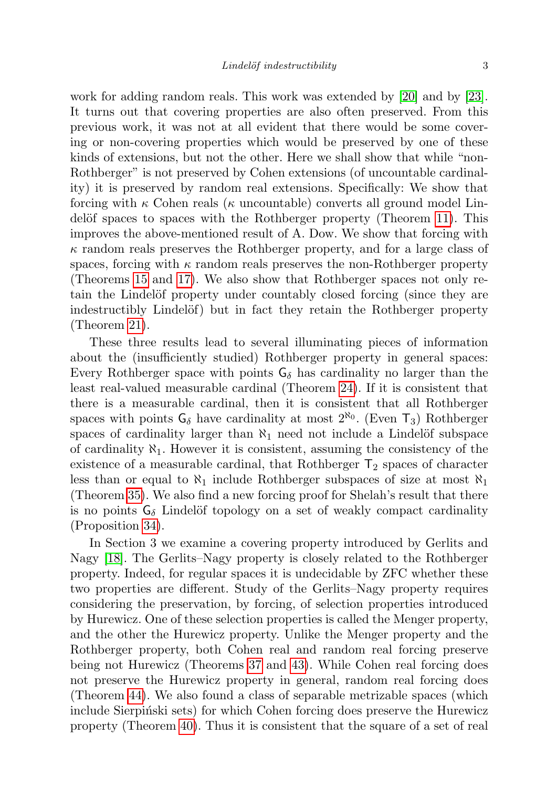work for adding random reals. This work was extended by [\[20\]](#page-44-3) and by [\[23\]](#page-44-4). It turns out that covering properties are also often preserved. From this previous work, it was not at all evident that there would be some covering or non-covering properties which would be preserved by one of these kinds of extensions, but not the other. Here we shall show that while "non-Rothberger" is not preserved by Cohen extensions (of uncountable cardinality) it is preserved by random real extensions. Specifically: We show that forcing with  $\kappa$  Cohen reals ( $\kappa$  uncountable) converts all ground model Lin-delöf spaces to spaces with the Rothberger property (Theorem [11\)](#page-8-0). This improves the above-mentioned result of A. Dow. We show that forcing with  $\kappa$  random reals preserves the Rothberger property, and for a large class of spaces, forcing with  $\kappa$  random reals preserves the non-Rothberger property (Theorems [15](#page-10-0) and [17\)](#page-12-0). We also show that Rothberger spaces not only retain the Lindelöf property under countably closed forcing (since they are indestructibly Lindelöf) but in fact they retain the Rothberger property (Theorem [21\)](#page-15-0).

These three results lead to several illuminating pieces of information about the (insufficiently studied) Rothberger property in general spaces: Every Rothberger space with points  $G_{\delta}$  has cardinality no larger than the least real-valued measurable cardinal (Theorem [24\)](#page-16-0). If it is consistent that there is a measurable cardinal, then it is consistent that all Rothberger spaces with points  $G_{\delta}$  have cardinality at most  $2^{\aleph_0}$ . (Even  $T_3$ ) Rothberger spaces of cardinality larger than  $\aleph_1$  need not include a Lindelöf subspace of cardinality  $\aleph_1$ . However it is consistent, assuming the consistency of the existence of a measurable cardinal, that Rothberger  $T_2$  spaces of character less than or equal to  $\aleph_1$  include Rothberger subspaces of size at most  $\aleph_1$ (Theorem [35\)](#page-21-0). We also find a new forcing proof for Shelah's result that there is no points  $G_{\delta}$  Lindelöf topology on a set of weakly compact cardinality (Proposition [34\)](#page-20-0).

In Section 3 we examine a covering property introduced by Gerlits and Nagy [\[18\]](#page-44-5). The Gerlits–Nagy property is closely related to the Rothberger property. Indeed, for regular spaces it is undecidable by ZFC whether these two properties are different. Study of the Gerlits–Nagy property requires considering the preservation, by forcing, of selection properties introduced by Hurewicz. One of these selection properties is called the Menger property, and the other the Hurewicz property. Unlike the Menger property and the Rothberger property, both Cohen real and random real forcing preserve being not Hurewicz (Theorems [37](#page-25-0) and [43\)](#page-32-0). While Cohen real forcing does not preserve the Hurewicz property in general, random real forcing does (Theorem [44\)](#page-32-1). We also found a class of separable metrizable spaces (which include Sierpinski sets) for which Cohen forcing does preserve the Hurewicz property (Theorem [40\)](#page-27-0). Thus it is consistent that the square of a set of real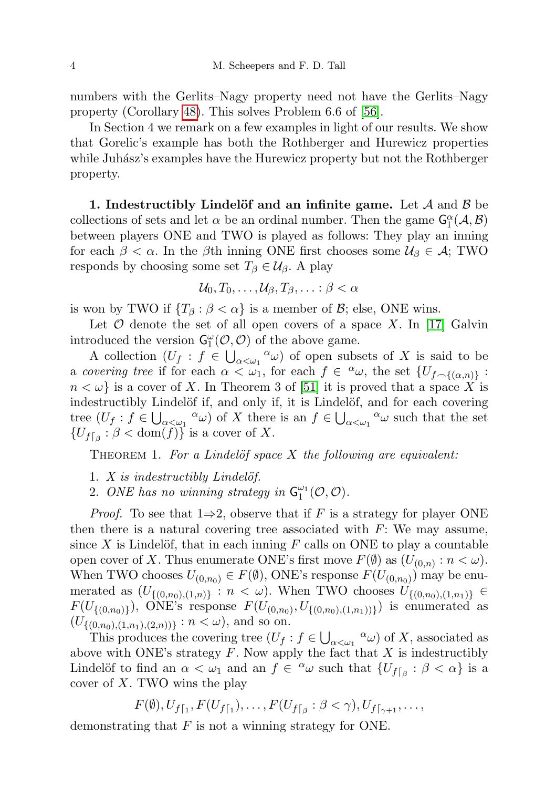numbers with the Gerlits–Nagy property need not have the Gerlits–Nagy property (Corollary [48\)](#page-35-0). This solves Problem 6.6 of [\[56\]](#page-45-4).

In Section 4 we remark on a few examples in light of our results. We show that Gorelic's example has both the Rothberger and Hurewicz properties while Juhász's examples have the Hurewicz property but not the Rothberger property.

1. Indestructibly Lindelöf and an infinite game. Let  $A$  and  $B$  be collections of sets and let  $\alpha$  be an ordinal number. Then the game  $\mathsf{G}_1^{\alpha}(\mathcal{A}, \mathcal{B})$ between players ONE and TWO is played as follows: They play an inning for each  $\beta < \alpha$ . In the  $\beta$ th inning ONE first chooses some  $\mathcal{U}_{\beta} \in \mathcal{A}$ ; TWO responds by choosing some set  $T_\beta \in \mathcal{U}_\beta$ . A play

$$
\mathcal{U}_0, T_0, \ldots, \mathcal{U}_\beta, T_\beta, \ldots : \beta < \alpha
$$

is won by TWO if  $\{T_\beta : \beta < \alpha\}$  is a member of  $\beta$ ; else, ONE wins.

Let  $\mathcal O$  denote the set of all open covers of a space X. In [\[17\]](#page-44-6) Galvin introduced the version  $\mathsf{G}_1^{\omega}(\mathcal{O}, \mathcal{O})$  of the above game.

A collection  $(U_f : f \in \bigcup_{\alpha < \omega_1} \alpha \omega)$  of open subsets of X is said to be a covering tree if for each  $\alpha < \omega_1$ , for each  $f \in \alpha \omega$ , the set  $\{U_{f \smallfrown \{(\alpha,n)\}} :$  $n < \omega$  is a cover of X. In Theorem 3 of [\[51\]](#page-45-3) it is proved that a space X is indestructibly Lindelöf if, and only if, it is Lindelöf, and for each covering tree  $(U_f : f \in \bigcup_{\alpha < \omega_1} \alpha \omega)$  of X there is an  $f \in \bigcup_{\alpha < \omega_1} \alpha \omega$  such that the set  $\{U_{f\lceil_{\beta}} : \beta < \text{dom}(f)\}\$ is a cover of X.

<span id="page-3-0"></span>THEOREM 1. For a Lindelöf space  $X$  the following are equivalent:

- 1.  $X$  is indestructibly Lindelöf.
- 2. ONE has no winning strategy in  $\mathsf{G}_1^{\omega_1}(\mathcal{O},\mathcal{O})$ .

*Proof.* To see that  $1\Rightarrow 2$ , observe that if F is a strategy for player ONE then there is a natural covering tree associated with  $F$ : We may assume, since X is Lindelöf, that in each inning  $F$  calls on ONE to play a countable open cover of X. Thus enumerate ONE's first move  $F(\emptyset)$  as  $(U_{(0,n)}: n < \omega)$ . When TWO chooses  $U_{(0,n_0)} \in F(\emptyset)$ , ONE's response  $F(U_{(0,n_0)})$  may be enumerated as  $(U_{\{(0,n_0),(1,n)\}} : n < \omega)$ . When TWO chooses  $U_{\{(0,n_0),(1,n_1)\}} \in$  $F(U_{\{(0,n_0)\}}), \text{ ONE's response } F(U_{(0,n_0)}, U_{\{(0,n_0),(1,n_1))\}})$  is enumerated as  $(U_{\{(0,n_0),(1,n_1),(2,n)\}}: n < \omega)$ , and so on.

This produces the covering tree  $(U_f : f \in \bigcup_{\alpha < \omega_1} \alpha \omega)$  of X, associated as above with ONE's strategy  $F$ . Now apply the fact that  $X$  is indestructibly Lindelöf to find an  $\alpha < \omega_1$  and an  $f \in \alpha \omega$  such that  $\{U_{f|_{\beta}} : \beta < \alpha\}$  is a cover of  $X$ . TWO wins the play

$$
F(\emptyset), U_{f\lceil_1}, F(U_{f\lceil_1}), \ldots, F(U_{f\lceil_\beta} : \beta < \gamma), U_{f\lceil_{\gamma+1}}, \ldots,
$$

demonstrating that  $F$  is not a winning strategy for ONE.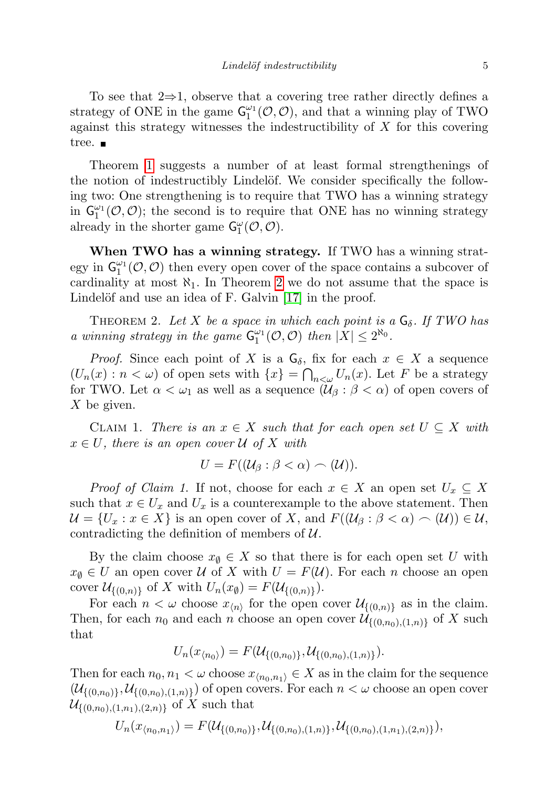To see that  $2\Rightarrow 1$ , observe that a covering tree rather directly defines a strategy of ONE in the game  $G_1^{\omega_1}(\mathcal{O}, \mathcal{O})$ , and that a winning play of TWO against this strategy witnesses the indestructibility of X for this covering tree. ■

Theorem [1](#page-3-0) suggests a number of at least formal strengthenings of the notion of indestructibly Lindelöf. We consider specifically the following two: One strengthening is to require that TWO has a winning strategy in  $G_1^{\omega_1}(\mathcal{O}, \mathcal{O})$ ; the second is to require that ONE has no winning strategy already in the shorter game  $\mathsf{G}^\omega_1(\mathcal{O}, \mathcal{O})$ .

When TWO has a winning strategy. If TWO has a winning strategy in  $G_1^{\omega_1}(\mathcal{O}, \mathcal{O})$  then every open cover of the space contains a subcover of cardinality at most  $\aleph_1$ . In Theorem [2](#page-4-0) we do not assume that the space is Lindelöf and use an idea of F. Galvin  $[17]$  in the proof.

<span id="page-4-0"></span>THEOREM 2. Let X be a space in which each point is a  $G_{\delta}$ . If TWO has a winning strategy in the game  $G_1^{\omega_1}(\mathcal{O}, \mathcal{O})$  then  $|X| \leq 2^{\aleph_0}$ .

*Proof.* Since each point of X is a  $G_{\delta}$ , fix for each  $x \in X$  a sequence  $(U_n(x) : n < \omega)$  of open sets with  $\{x\} = \bigcap_{n<\omega} U_n(x)$ . Let F be a strategy for TWO. Let  $\alpha < \omega_1$  as well as a sequence  $(\mathcal{U}_{\beta} : \beta < \alpha)$  of open covers of X be given.

CLAIM 1. There is an  $x \in X$  such that for each open set  $U \subseteq X$  with  $x \in U$ , there is an open cover U of X with

$$
U = F((\mathcal{U}_{\beta} : \beta < \alpha) \frown (\mathcal{U})).
$$

*Proof of Claim 1.* If not, choose for each  $x \in X$  an open set  $U_x \subseteq X$ such that  $x \in U_x$  and  $U_x$  is a counterexample to the above statement. Then  $\mathcal{U} = \{U_x : x \in X\}$  is an open cover of X, and  $F((\mathcal{U}_\beta : \beta < \alpha) \frown (\mathcal{U})) \in \mathcal{U},$ contradicting the definition of members of  $\mathcal{U}$ .

By the claim choose  $x_{\emptyset} \in X$  so that there is for each open set U with  $x_{\emptyset} \in U$  an open cover U of X with  $U = F(\mathcal{U})$ . For each n choose an open cover  $\mathcal{U}_{\{(0,n)\}}$  of X with  $U_n(x_{\emptyset}) = F(\mathcal{U}_{\{(0,n)\}}).$ 

For each  $n < \omega$  choose  $x_{\langle n \rangle}$  for the open cover  $\mathcal{U}_{\{(0,n)\}}$  as in the claim. Then, for each  $n_0$  and each n choose an open cover  $\mathcal{U}_{\{(0,n_0),(1,n)\}}$  of X such that

$$
U_n(x_{\langle n_0 \rangle}) = F(\mathcal{U}_{\{(0,n_0)\}}, \mathcal{U}_{\{(0,n_0),(1,n)\}}).
$$

Then for each  $n_0, n_1 < \omega$  choose  $x_{\langle n_0, n_1 \rangle} \in X$  as in the claim for the sequence  $(\mathcal{U}_{\{(0,n_0)\}}, \mathcal{U}_{\{(0,n_0),(1,n)\}})$  of open covers. For each  $n < \omega$  choose an open cover  $\mathcal{U}_{\{(0,n_0),(1,n_1),(2,n)\}}$  of X such that

$$
U_n(x_{\langle n_0,n_1 \rangle}) = F(\mathcal{U}_{\{(0,n_0)\}}, \mathcal{U}_{\{(0,n_0),(1,n)\}}, \mathcal{U}_{\{(0,n_0),(1,n_1),(2,n)\}}),
$$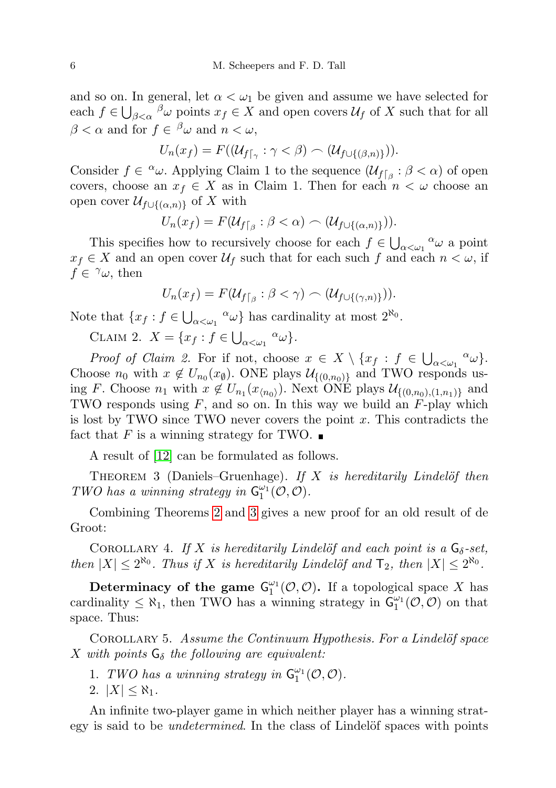and so on. In general, let  $\alpha < \omega_1$  be given and assume we have selected for each  $f \in \bigcup_{\beta < \alpha} \beta_{\omega}$  points  $x_f \in X$  and open covers  $\mathcal{U}_f$  of X such that for all  $\beta < \alpha$  and for  $f \in \supset^{\beta} \omega$  and  $n < \omega$ ,

$$
U_n(x_f) = F((\mathcal{U}_{f\lceil_{\gamma}} : \gamma < \beta) \frown (\mathcal{U}_{f\cup\{(\beta,n)\}})).
$$

Consider  $f \in \alpha \omega$ . Applying Claim 1 to the sequence  $(\mathcal{U}_{f|_{\beta}} : \beta < \alpha)$  of open covers, choose an  $x_f \in X$  as in Claim 1. Then for each  $n < \omega$  choose an open cover  $\mathcal{U}_{f\cup\{(\alpha,n)\}}$  of X with

$$
U_n(x_f) = F(\mathcal{U}_{f\lceil_{\beta}} : \beta < \alpha) \frown (\mathcal{U}_{f\cup\{(\alpha,n)\}})).
$$

This specifies how to recursively choose for each  $f \in \bigcup_{\alpha < \omega_1} \alpha \omega$  a point  $x_f \in X$  and an open cover  $\mathcal{U}_f$  such that for each such f and each  $n < \omega$ , if  $f \in \gamma \omega$ , then

$$
U_n(x_f) = F(\mathcal{U}_{f\lceil_{\beta}} : \beta < \gamma) \frown (\mathcal{U}_{f\cup\{(\gamma,n)\}})).
$$

Note that  $\{x_f : f \in \bigcup_{\alpha < \omega_1} \alpha \omega\}$  has cardinality at most  $2^{\aleph_0}$ .

CLAIM 2.  $X = \{x_f : f \in \bigcup_{\alpha < \omega_1} \alpha \omega\}.$ 

Proof of Claim 2. For if not, choose  $x \in X \setminus \{x_f : f \in \bigcup_{\alpha < \omega_1} \alpha \omega\}.$ Choose  $n_0$  with  $x \notin U_{n_0}(x_0)$ . ONE plays  $\mathcal{U}_{\{(0,n_0)\}}$  and TWO responds using F. Choose  $n_1$  with  $x \notin U_{n_1}(x_{\langle n_0 \rangle})$ . Next ONE plays  $\mathcal{U}_{\{(0,n_0),(1,n_1)\}}$  and TWO responds using  $F$ , and so on. In this way we build an  $F$ -play which is lost by TWO since TWO never covers the point  $x$ . This contradicts the fact that F is a winning strategy for TWO.  $\blacksquare$ 

A result of [\[12\]](#page-43-3) can be formulated as follows.

<span id="page-5-0"></span>THEOREM 3 (Daniels–Gruenhage). If  $X$  is hereditarily Lindelöf then TWO has a winning strategy in  $\mathsf{G}_1^{\omega_1}(\mathcal{O},\mathcal{O})$ .

Combining Theorems [2](#page-4-0) and [3](#page-5-0) gives a new proof for an old result of de Groot:

COROLLARY 4. If X is hereditarily Lindelöf and each point is a  $G_{\delta}$ -set, then  $|X| \leq 2^{\aleph_0}$ . Thus if X is hereditarily Lindelöf and  $\mathsf{T}_2$ , then  $|X| \leq 2^{\aleph_0}$ .

Determinacy of the game  $G_1^{\omega_1}(\mathcal{O}, \mathcal{O})$ . If a topological space X has cardinality  $\leq \aleph_1$ , then TWO has a winning strategy in  $\mathsf{G}_1^{\omega_1}(\mathcal{O}, \mathcal{O})$  on that space. Thus:

<span id="page-5-1"></span>COROLLARY 5. Assume the Continuum Hypothesis. For a Lindelöf space X with points  $G_{\delta}$  the following are equivalent:

- 1. TWO has a winning strategy in  $\mathsf{G}_1^{\omega_1}(\mathcal{O},\mathcal{O})$ .
- 2.  $|X| \leq \aleph_1$ .

An infinite two-player game in which neither player has a winning strategy is said to be *undetermined*. In the class of Lindelöf spaces with points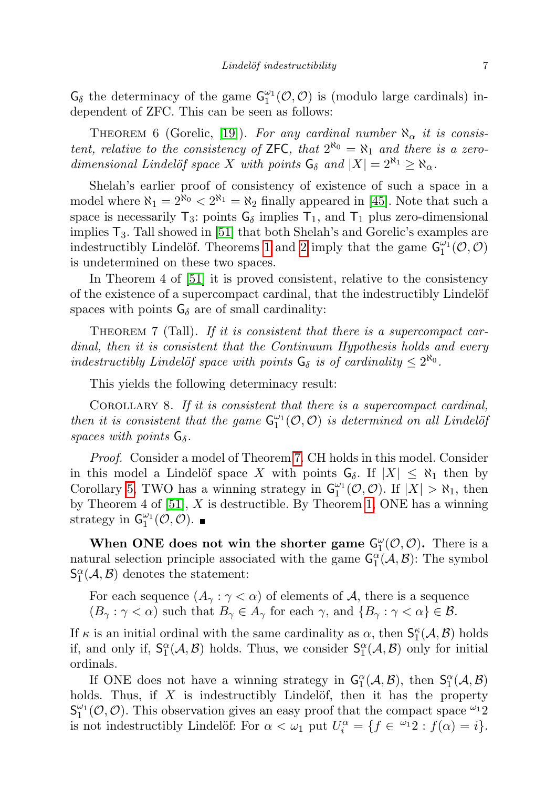$G_{\delta}$  the determinacy of the game  $G_1^{\omega_1}(\mathcal{O}, \mathcal{O})$  is (modulo large cardinals) independent of ZFC. This can be seen as follows:

THEOREM 6 (Gorelic, [\[19\]](#page-44-1)). For any cardinal number  $\aleph_{\alpha}$  it is consistent, relative to the consistency of ZFC, that  $2^{\aleph_0} = \aleph_1$  and there is a zerodimensional Lindelöf space X with points  $G_{\delta}$  and  $|X| = 2^{\aleph_1} \ge \aleph_{\alpha}$ .

Shelah's earlier proof of consistency of existence of such a space in a model where  $\aleph_1 = 2^{\aleph_0} < 2^{\aleph_1} = \aleph_2$  finally appeared in [\[45\]](#page-45-0). Note that such a space is necessarily  $T_3$ : points  $G_\delta$  implies  $T_1$ , and  $T_1$  plus zero-dimensional implies  $T_3$ . Tall showed in [\[51\]](#page-45-3) that both Shelah's and Gorelic's examples are indestructibly Lindelöf. Theorems [1](#page-3-0) and [2](#page-4-0) imply that the game  $\mathsf{G}_1^{\omega_1}(\mathcal{O}, \mathcal{O})$ is undetermined on these two spaces.

In Theorem 4 of [\[51\]](#page-45-3) it is proved consistent, relative to the consistency of the existence of a supercompact cardinal, that the indestructibly Lindelöf spaces with points  $G_{\delta}$  are of small cardinality:

<span id="page-6-0"></span>THEOREM 7 (Tall). If it is consistent that there is a supercompact cardinal, then it is consistent that the Continuum Hypothesis holds and every indestructibly Lindelöf space with points  $G_{\delta}$  is of cardinality  $\leq 2^{\aleph_0}$ .

This yields the following determinacy result:

<span id="page-6-1"></span>COROLLARY 8. If it is consistent that there is a supercompact cardinal, then it is consistent that the game  $G_1^{\omega_1}(\mathcal{O}, \mathcal{O})$  is determined on all Lindelöj spaces with points  $G_{\delta}$ .

Proof. Consider a model of Theorem [7.](#page-6-0) CH holds in this model. Consider in this model a Lindelöf space X with points  $G_{\delta}$ . If  $|X| \leq \aleph_1$  then by Corollary [5,](#page-5-1) TWO has a winning strategy in  $G_1^{\omega_1}(\mathcal{O}, \mathcal{O})$ . If  $|X| > \aleph_1$ , then by Theorem 4 of  $[51]$ , X is destructible. By Theorem [1,](#page-3-0) ONE has a winning strategy in  $\mathsf{G}_1^{\omega_1}(\mathcal{O}, \mathcal{O})$ .

When ONE does not win the shorter game  $G_1^{\omega}(\mathcal{O}, \mathcal{O})$ . There is a natural selection principle associated with the game  $G_1^{\alpha}(\mathcal{A}, \mathcal{B})$ : The symbol  $\mathsf{S}_1^{\alpha}(\mathcal{A}, \mathcal{B})$  denotes the statement:

For each sequence  $(A_{\gamma}: \gamma < \alpha)$  of elements of A, there is a sequence  $(B_{\gamma}: \gamma < \alpha)$  such that  $B_{\gamma} \in A_{\gamma}$  for each  $\gamma$ , and  $\{B_{\gamma}: \gamma < \alpha\} \in \mathcal{B}$ .

If  $\kappa$  is an initial ordinal with the same cardinality as  $\alpha$ , then  $\mathsf{S}_1^{\kappa}(\mathcal{A}, \mathcal{B})$  holds if, and only if,  $S_1^{\alpha}(\mathcal{A}, \mathcal{B})$  holds. Thus, we consider  $S_1^{\alpha}(\mathcal{A}, \mathcal{B})$  only for initial ordinals.

If ONE does not have a winning strategy in  $G_1^{\alpha}(\mathcal{A}, \mathcal{B})$ , then  $S_1^{\alpha}(\mathcal{A}, \mathcal{B})$ holds. Thus, if  $X$  is indestructibly Lindelöf, then it has the property  $S_1^{\omega_1}(\mathcal{O}, \mathcal{O})$ . This observation gives an easy proof that the compact space  $\omega_1$ ? is not indestructibly Lindelöf: For  $\alpha < \omega_1$  put  $U_i^{\alpha} = \{f \in {}^{\omega_1}2 : f(\alpha) = i\}.$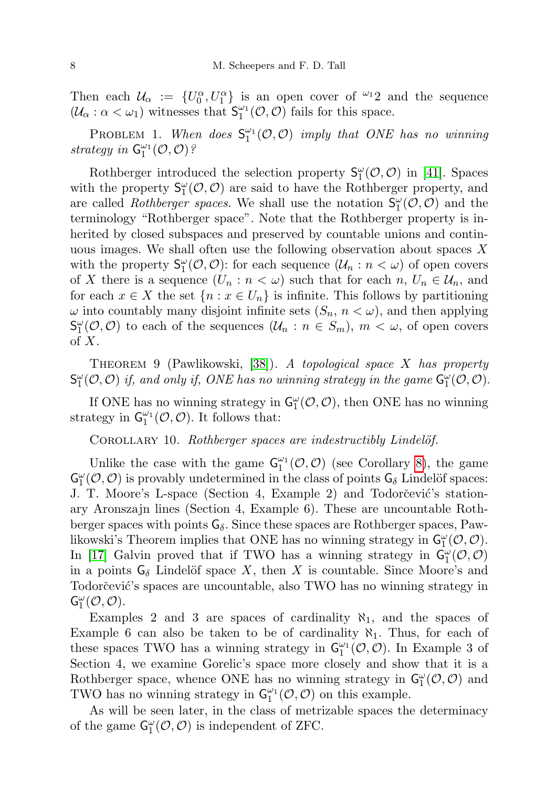Then each  $\mathcal{U}_{\alpha} := \{U_0^{\alpha}, U_1^{\alpha}\}\$ is an open cover of  $\omega_1$ 2 and the sequence  $(\mathcal{U}_{\alpha} : \alpha < \omega_1)$  witnesses that  $S_1^{\omega_1}(\mathcal{O}, \mathcal{O})$  fails for this space.

PROBLEM 1. When does  $S_1^{\omega_1}(\mathcal{O}, \mathcal{O})$  imply that ONE has no winning strategy in  $\mathsf{G}_1^{\omega_1}(\mathcal{O},\mathcal{O})$ ?

Rothberger introduced the selection property  $S_1^{\omega}(\mathcal{O}, \mathcal{O})$  in [\[41\]](#page-44-7). Spaces with the property  $S_1^{\omega}(\mathcal{O}, \mathcal{O})$  are said to have the Rothberger property, and are called *Rothberger spaces*. We shall use the notation  $S_1^{\omega}(\mathcal{O}, \mathcal{O})$  and the terminology "Rothberger space". Note that the Rothberger property is inherited by closed subspaces and preserved by countable unions and continuous images. We shall often use the following observation about spaces  $X$ with the property  $S_1^{\omega}(\mathcal{O}, \mathcal{O})$ : for each sequence  $(\mathcal{U}_n : n < \omega)$  of open covers of X there is a sequence  $(U_n : n < \omega)$  such that for each  $n, U_n \in \mathcal{U}_n$ , and for each  $x \in X$  the set  $\{n : x \in U_n\}$  is infinite. This follows by partitioning  $\omega$  into countably many disjoint infinite sets  $(S_n, n < \omega)$ , and then applying  $S_1^{\omega}(\mathcal{O}, \mathcal{O})$  to each of the sequences  $(\mathcal{U}_n : n \in S_m)$ ,  $m < \omega$ , of open covers of  $X$ .

<span id="page-7-1"></span>THEOREM 9 (Pawlikowski,  $[38]$ ). A topological space X has property  $S_1^{\omega}(\mathcal{O}, \mathcal{O})$  if, and only if, ONE has no winning strategy in the game  $G_1^{\omega}(\mathcal{O}, \mathcal{O})$ .

If ONE has no winning strategy in  $\mathsf{G}_1^{\omega}(\mathcal{O}, \mathcal{O})$ , then ONE has no winning strategy in  $\mathsf{G}_1^{\omega_1}(\mathcal{O},\mathcal{O})$ . It follows that:

<span id="page-7-0"></span>COROLLARY 10. Rothberger spaces are indestructibly Lindelöf.

Unlike the case with the game  $G_1^{\omega_1}(\mathcal{O}, \mathcal{O})$  (see Corollary [8\)](#page-6-1), the game  $\mathsf{G}_1^\omega(\mathcal{O},\mathcal{O})$  is provably undetermined in the class of points  $\mathsf{G}_\delta$  Lindelöf spaces: J. T. Moore's L-space (Section 4, Example 2) and Todorčević's stationary Aronszajn lines (Section 4, Example 6). These are uncountable Rothberger spaces with points  $G_{\delta}$ . Since these spaces are Rothberger spaces, Pawlikowski's Theorem implies that ONE has no winning strategy in  $G_1^{\omega}(\mathcal{O}, \mathcal{O})$ . In [\[17\]](#page-44-6) Galvin proved that if TWO has a winning strategy in  $\mathsf{G}_{1}^{\omega}(\mathcal{O},\mathcal{O})$ in a points  $G_{\delta}$  Lindelöf space X, then X is countable. Since Moore's and Todorčević's spaces are uncountable, also TWO has no winning strategy in  $\mathsf{G}^\omega_1(\mathcal{O},\mathcal{O}).$ 

Examples 2 and 3 are spaces of cardinality  $\aleph_1$ , and the spaces of Example 6 can also be taken to be of cardinality  $\aleph_1$ . Thus, for each of these spaces TWO has a winning strategy in  $\mathsf{G}_{1}^{\omega_{1}}(\mathcal{O},\mathcal{O})$ . In Example 3 of Section 4, we examine Gorelic's space more closely and show that it is a Rothberger space, whence ONE has no winning strategy in  $\mathsf{G}_{1}^{\omega}(\mathcal{O},\mathcal{O})$  and TWO has no winning strategy in  $\mathsf{G}_1^{\omega_1}(\mathcal{O},\mathcal{O})$  on this example.

As will be seen later, in the class of metrizable spaces the determinacy of the game  $G_1^{\omega}(\mathcal{O}, \mathcal{O})$  is independent of ZFC.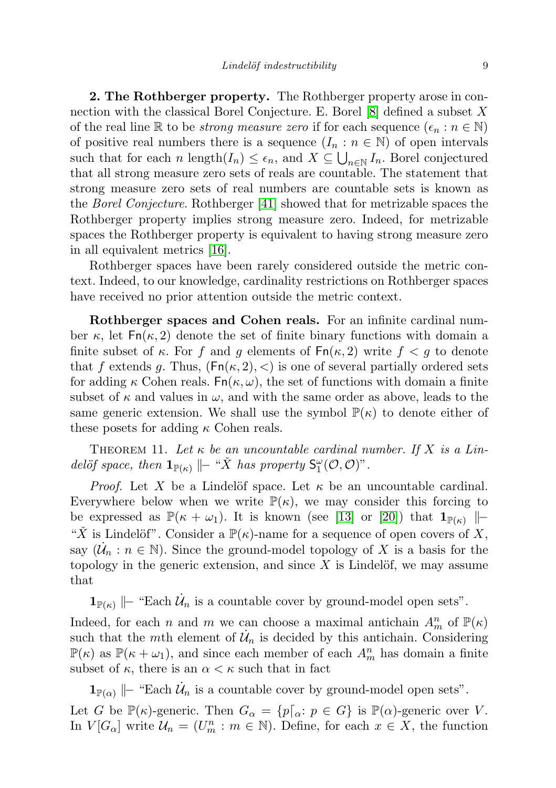2. The Rothberger property. The Rothberger property arose in connection with the classical Borel Conjecture. E. Borel [\[8\]](#page-43-4) defined a subset X of the real line R to be *strong measure zero* if for each sequence  $(\epsilon_n : n \in \mathbb{N})$ of positive real numbers there is a sequence  $(I_n : n \in \mathbb{N})$  of open intervals such that for each n length $(I_n) \leq \epsilon_n$ , and  $X \subseteq \bigcup_{n \in \mathbb{N}} I_n$ . Borel conjectured that all strong measure zero sets of reals are countable. The statement that strong measure zero sets of real numbers are countable sets is known as the Borel Conjecture. Rothberger [\[41\]](#page-44-7) showed that for metrizable spaces the Rothberger property implies strong measure zero. Indeed, for metrizable spaces the Rothberger property is equivalent to having strong measure zero in all equivalent metrics [\[16\]](#page-43-5).

Rothberger spaces have been rarely considered outside the metric context. Indeed, to our knowledge, cardinality restrictions on Rothberger spaces have received no prior attention outside the metric context.

Rothberger spaces and Cohen reals. For an infinite cardinal number  $\kappa$ , let  $\mathsf{Fn}(\kappa,2)$  denote the set of finite binary functions with domain a finite subset of  $\kappa$ . For f and g elements of  $\mathsf{Fn}(\kappa,2)$  write  $f < g$  to denote that f extends g. Thus,  $(Fn(\kappa, 2), <)$  is one of several partially ordered sets for adding  $\kappa$  Cohen reals. Fn( $\kappa, \omega$ ), the set of functions with domain a finite subset of  $\kappa$  and values in  $\omega$ , and with the same order as above, leads to the same generic extension. We shall use the symbol  $\mathbb{P}(\kappa)$  to denote either of these posets for adding  $\kappa$  Cohen reals.

<span id="page-8-0"></span>THEOREM 11. Let  $\kappa$  be an uncountable cardinal number. If X is a Lindelöf space, then  $\mathbf{1}_{\mathbb{P}(\kappa)} \Vdash ``\check{X}$  has property  $S_1^{\omega}(\mathcal{O}, \mathcal{O})$ ".

*Proof.* Let X be a Lindelöf space. Let  $\kappa$  be an uncountable cardinal. Everywhere below when we write  $\mathbb{P}(\kappa)$ , we may consider this forcing to be expressed as  $\mathbb{P}(\kappa + \omega_1)$ . It is known (see [\[13\]](#page-43-1) or [\[20\]](#page-44-3)) that  $\mathbf{1}_{\mathbb{P}(\kappa)}$   $\|\cdot\|$ " $\check{X}$  is Lindelöf". Consider a  $\mathbb{P}(\kappa)$ -name for a sequence of open covers of X, say  $(\mathcal{U}_n : n \in \mathbb{N})$ . Since the ground-model topology of X is a basis for the topology in the generic extension, and since  $X$  is Lindelöf, we may assume that

 $\mathbf{1}_{\mathbb{P}(\kappa)}$   $\|\text{- "Each } \dot{\mathcal{U}}_n$  is a countable cover by ground-model open sets".

Indeed, for each n and m we can choose a maximal antichain  $A_m^n$  of  $\mathbb{P}(\kappa)$ such that the mth element of  $\mathcal{U}_n$  is decided by this antichain. Considering  $\mathbb{P}(\kappa)$  as  $\mathbb{P}(\kappa + \omega_1)$ , and since each member of each  $A_m^n$  has domain a finite subset of  $\kappa$ , there is an  $\alpha < \kappa$  such that in fact

 $\mathbf{1}_{\mathbb{P}(\alpha)}$   $\|\text{- "Each } \dot{\mathcal{U}}_n$  is a countable cover by ground-model open sets".

Let G be  $\mathbb{P}(\kappa)$ -generic. Then  $G_{\alpha} = \{p[\alpha : p \in G] \text{ is } \mathbb{P}(\alpha)$ -generic over V. In  $V[G_{\alpha}]$  write  $\mathcal{U}_n = (U_m^n : m \in \mathbb{N})$ . Define, for each  $x \in X$ , the function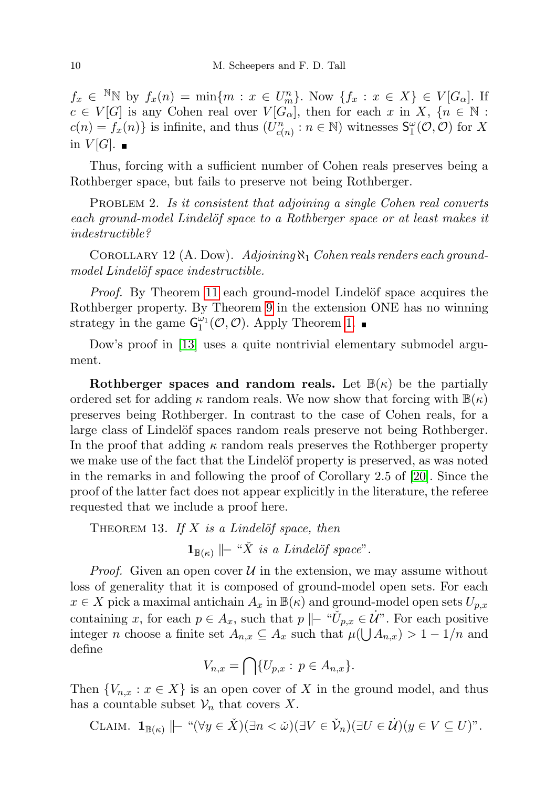$f_x \in N \mathbb{N}$  by  $f_x(n) = \min\{m : x \in U_m^n\}$ . Now  $\{f_x : x \in X\} \in V[G_\alpha]$ . If  $c \in V[G]$  is any Cohen real over  $V[G_\alpha]$ , then for each x in X,  $\{n \in \mathbb{N}$ :  $c(n) = f_x(n)$  is infinite, and thus  $(U_{c(n)}^n : n \in \mathbb{N})$  witnesses  $\mathsf{S}_1^{\omega}(\mathcal{O}, \mathcal{O})$  for X in  $V[G]$ .  $\blacksquare$ 

Thus, forcing with a sufficient number of Cohen reals preserves being a Rothberger space, but fails to preserve not being Rothberger.

PROBLEM 2. Is it consistent that adjoining a single Cohen real converts each ground-model Lindelöf space to a Rothberger space or at least makes it indestructible?

COROLLARY 12 (A. Dow).  $\operatorname{Adjoining} \aleph_1 \text{ Cohen reals renders each ground-}$ model Lindelöf space indestructible.

*Proof.* By Theorem [11](#page-8-0) each ground-model Lindelöf space acquires the Rothberger property. By Theorem [9](#page-7-1) in the extension ONE has no winning strategy in the game  $G_1^{\omega_1}(\mathcal{O}, \mathcal{O})$ . Apply Theorem [1.](#page-3-0)

Dow's proof in [\[13\]](#page-43-1) uses a quite nontrivial elementary submodel argument.

Rothberger spaces and random reals. Let  $\mathbb{B}(\kappa)$  be the partially ordered set for adding  $\kappa$  random reals. We now show that forcing with  $\mathbb{B}(\kappa)$ preserves being Rothberger. In contrast to the case of Cohen reals, for a large class of Lindelöf spaces random reals preserve not being Rothberger. In the proof that adding  $\kappa$  random reals preserves the Rothberger property we make use of the fact that the Lindelöf property is preserved, as was noted in the remarks in and following the proof of Corollary 2.5 of [\[20\]](#page-44-3). Since the proof of the latter fact does not appear explicitly in the literature, the referee requested that we include a proof here.

THEOREM 13. If  $X$  is a Lindelöf space, then

 $\mathbf{1}_{\mathbb{B}(\kappa)}$   $\|\textit{-} \text{``X}$  is a Lindelöf space".

*Proof.* Given an open cover  $U$  in the extension, we may assume without loss of generality that it is composed of ground-model open sets. For each  $x \in X$  pick a maximal antichain  $A_x$  in  $\mathbb{B}(\kappa)$  and ground-model open sets  $U_{p,x}$ containing x, for each  $p \in A_x$ , such that  $p \mid -\in U_{p,x} \in \dot{\mathcal{U}}^n$ . For each positive integer *n* choose a finite set  $A_{n,x} \subseteq A_x$  such that  $\mu(\bigcup A_{n,x}) > 1 - 1/n$  and define

$$
V_{n,x} = \bigcap \{U_{p,x} : p \in A_{n,x}\}.
$$

Then  $\{V_{n,x} : x \in X\}$  is an open cover of X in the ground model, and thus has a countable subset  $\mathcal{V}_n$  that covers X.

$$
\text{CLAIM. } \mathbf{1}_{\mathbb{B}(\kappa)} \, || - \ ^{\omega} (\forall y \in \check{X}) (\exists n < \check{\omega}) (\exists V \in \check{\mathcal{V}}_n) (\exists U \in \dot{\mathcal{U}}) (y \in V \subseteq U)^{\nu}.
$$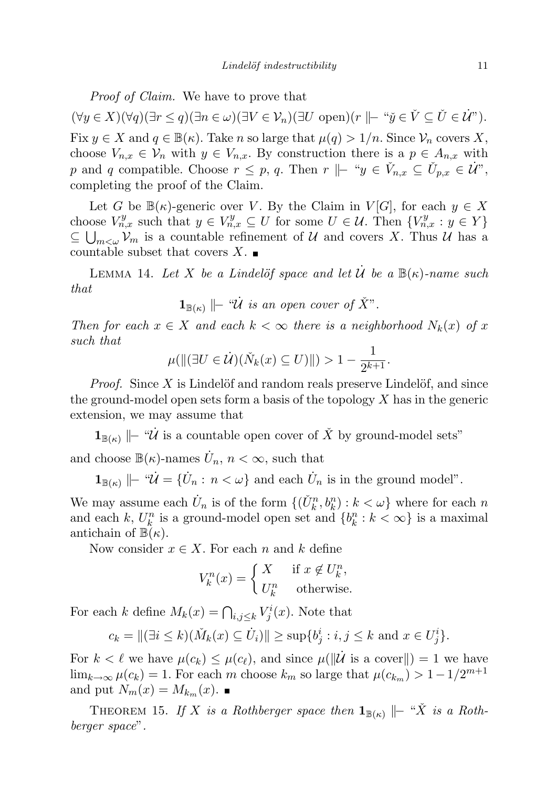Proof of Claim. We have to prove that

 $(\forall y \in X)(\forall q)(\exists r \leq q)(\exists n \in \omega)(\exists V \in \mathcal{V}_n)(\exists U \text{ open})(r \parallel \vdash ``\check{y} \in \check{V} \subseteq \check{U} \in \dot{\mathcal{U}}").$ Fix  $y \in X$  and  $q \in \mathbb{B}(\kappa)$ . Take n so large that  $\mu(q) > 1/n$ . Since  $\mathcal{V}_n$  covers X, choose  $V_{n,x} \in V_n$  with  $y \in V_{n,x}$ . By construction there is a  $p \in A_{n,x}$  with p and q compatible. Choose  $r \leq p$ , q. Then  $r \Vdash "y \in V_{n,x} \subseteq U_{p,x} \in \mathcal{U}$ ", completing the proof of the Claim.

Let G be  $\mathbb{B}(\kappa)$ -generic over V. By the Claim in  $V[G]$ , for each  $y \in X$ choose  $V_{n,x}^y$  such that  $y \in V_{n,x}^y \subseteq U$  for some  $U \in \mathcal{U}$ . Then  $\{V_{n,x}^y : y \in Y\}$  $\subseteq \bigcup_{m<\omega} V_m$  is a countable refinement of U and covers X. Thus U has a countable subset that covers  $X$ .

<span id="page-10-1"></span>LEMMA 14. Let X be a Lindelöf space and let U be a  $\mathbb{B}(\kappa)$ -name such that

$$
\mathbf{1}_{\mathbb{B}(\kappa)} \models \text{``}\dot{\mathcal{U}} \text{ is an open cover of } \check{X}''.
$$

Then for each  $x \in X$  and each  $k < \infty$  there is a neighborhood  $N_k(x)$  of x such that

$$
\mu(||(\exists U \in \dot{\mathcal{U}})(\check{N}_k(x) \subseteq U)||) > 1 - \frac{1}{2^{k+1}}.
$$

*Proof.* Since  $X$  is Lindelöf and random reals preserve Lindelöf, and since the ground-model open sets form a basis of the topology  $X$  has in the generic extension, we may assume that

 $\mathbf{1}_{\mathbb{B}(\kappa)}$   $\|\text{- } \text{``}\mathcal{U}\)$  is a countable open cover of X<sup>č</sup> by ground-model sets"

and choose  $\mathbb{B}(\kappa)$ -names  $\dot{U}_n$ ,  $n < \infty$ , such that

 $\mathbf{1}_{\mathbb{B}(\kappa)} \mid -\omega \mathcal{U} = {\{\dot{U}_n : n < \omega\}}$  and each  $\dot{U}_n$  is in the ground model".

We may assume each  $\dot{U}_n$  is of the form  $\{(\check{U}_k^n, b_k^n) : k < \omega\}$  where for each n and each k,  $U_k^n$  is a ground-model open set and  $\{b_k^n : k < \infty\}$  is a maximal antichain of  $\mathbb{B}(\kappa)$ .

Now consider  $x \in X$ . For each n and k define

$$
V_k^n(x) = \begin{cases} X & \text{if } x \notin U_k^n, \\ U_k^n & \text{otherwise.} \end{cases}
$$

For each k define  $M_k(x) = \bigcap_{i,j \leq k} V^i_j(x)$ . Note that

$$
c_k = ||(\exists i \le k)(\check{M}_k(x) \subseteq \dot{U}_i)|| \ge \sup\{b_j^i : i, j \le k \text{ and } x \in U_j^i\}.
$$

For  $k < \ell$  we have  $\mu(c_k) \leq \mu(c_{\ell})$ , and since  $\mu(||\dot{\mathcal{U}})$  is a cover  $|| = 1$  we have  $\lim_{k \to \infty} \mu(c_k) = 1$ . For each m choose  $k_m$  so large that  $\mu(c_{k_m}) > 1 - 1/2^{m+1}$ and put  $N_m(x) = M_{k_m}(x)$ .

<span id="page-10-0"></span>THEOREM 15. If X is a Rothberger space then  $\mathbf{1}_{\mathbb{B}(\kappa)}$   $\|\text{-}$  "X<sup>\*</sup> is a Rothberger space".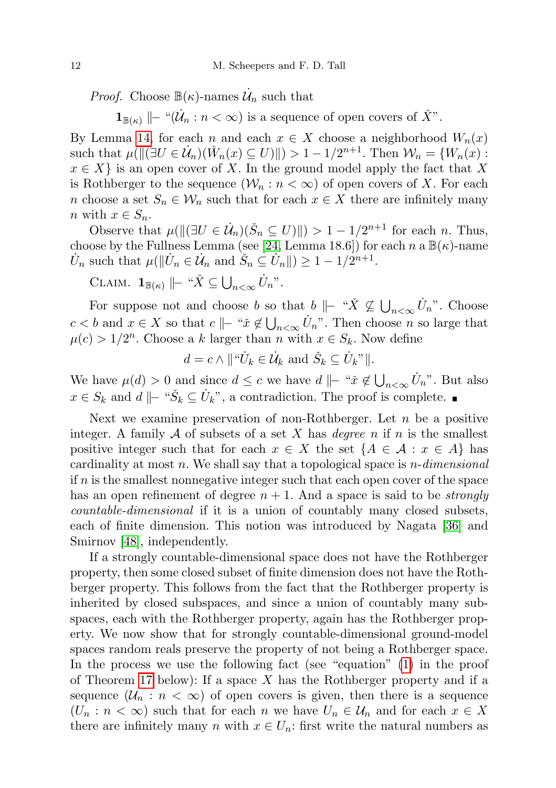*Proof.* Choose  $\mathbb{B}(\kappa)$ -names  $\mathcal{U}_n$  such that

 $\mathbf{1}_{\mathbb{B}(\kappa)} \Vdash$  " $(\dot{\mathcal{U}}_n : n < \infty)$  is a sequence of open covers of  $\check{X}$ ".

By Lemma [14,](#page-10-1) for each n and each  $x \in X$  choose a neighborhood  $W_n(x)$ such that  $\mu(||(\exists U \in \mathcal{U}_n)(\check{W}_n(x) \subseteq U)||) > 1 - 1/2^{n+1}$ . Then  $\mathcal{W}_n = \{W_n(x) :$  $x \in X$  is an open cover of X. In the ground model apply the fact that X is Rothberger to the sequence  $(\mathcal{W}_n : n < \infty)$  of open covers of X. For each n choose a set  $S_n \in \mathcal{W}_n$  such that for each  $x \in X$  there are infinitely many n with  $x \in S_n$ .

Observe that  $\mu(||\langle \exists U \in \dot{U}_n | (\dot{S}_n \subseteq U) || \rangle > 1 - 1/2^{n+1}$  for each n. Thus, choose by the Fullness Lemma (see [\[24,](#page-44-9) Lemma 18.6]) for each  $n \in \mathbb{B}(\kappa)$ -name  $\dot{U}_n$  such that  $\mu(||\dot{U}_n \in \dot{\mathcal{U}}_n$  and  $\check{S}_n \subseteq \dot{U}_n||) \geq 1 - 1/2^{n+1}$ .

CLAIM.  $\mathbf{1}_{\mathbb{B}(\kappa)} ||-$  " $\check{X} \subseteq \bigcup_{n < \infty} \dot{U}_n$ ".

For suppose not and choose b so that  $b \Vdash "X \not\subseteq \bigcup_{n<\infty} U_n$ ". Choose  $c < b$  and  $x \in X$  so that  $c \Vdash "x \notin \bigcup_{n < \infty} U_n$ ". Then choose n so large that  $\mu(c) > 1/2^n$ . Choose a k larger than n with  $x \in S_k$ . Now define

$$
d = c \wedge ||\text{``}\dot{U}_k \in \dot{\mathcal{U}}_k
$$
 and  $\check{S}_k \subseteq \dot{U}_k$ "||.

We have  $\mu(d) > 0$  and since  $d \leq c$  we have  $d \mid \mid - \sqrt{a} \notin \bigcup_{n < \infty} U_n$ . But also  $x \in S_k$  and  $d \mid \mid - \in S_k \subseteq U_k$ ", a contradiction. The proof is complete.

Next we examine preservation of non-Rothberger. Let  $n$  be a positive integer. A family A of subsets of a set X has *degree* n if n is the smallest positive integer such that for each  $x \in X$  the set  $\{A \in \mathcal{A} : x \in A\}$  has cardinality at most  $n$ . We shall say that a topological space is  $n$ -dimensional if  $n$  is the smallest nonnegative integer such that each open cover of the space has an open refinement of degree  $n + 1$ . And a space is said to be *strongly* countable-dimensional if it is a union of countably many closed subsets, each of finite dimension. This notion was introduced by Nagata [\[36\]](#page-44-10) and Smirnov [\[48\]](#page-45-5), independently.

If a strongly countable-dimensional space does not have the Rothberger property, then some closed subset of finite dimension does not have the Rothberger property. This follows from the fact that the Rothberger property is inherited by closed subspaces, and since a union of countably many subspaces, each with the Rothberger property, again has the Rothberger property. We now show that for strongly countable-dimensional ground-model spaces random reals preserve the property of not being a Rothberger space. In the process we use the following fact (see "equation" [\(1\)](#page-12-1) in the proof of Theorem [17](#page-12-0) below): If a space  $X$  has the Rothberger property and if a sequence  $(\mathcal{U}_n : n < \infty)$  of open covers is given, then there is a sequence  $(U_n : n < \infty)$  such that for each n we have  $U_n \in \mathcal{U}_n$  and for each  $x \in X$ there are infinitely many n with  $x \in U_n$ : first write the natural numbers as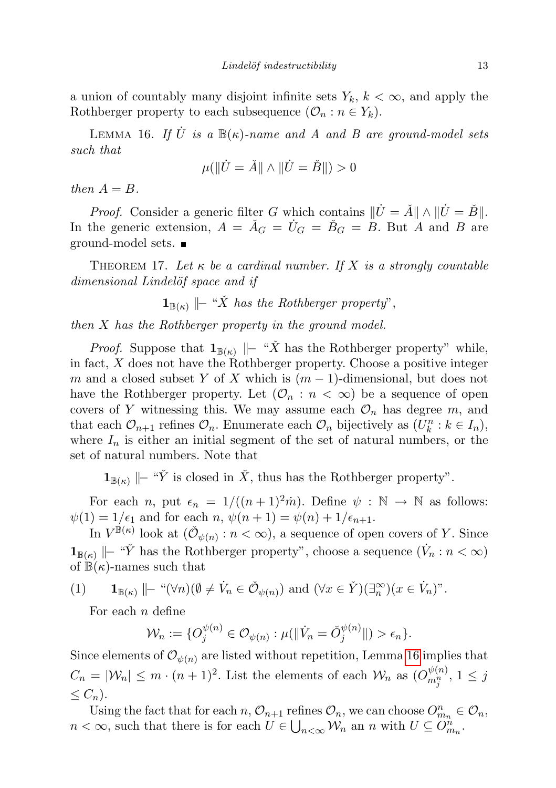a union of countably many disjoint infinite sets  $Y_k$ ,  $k < \infty$ , and apply the Rothberger property to each subsequence  $(\mathcal{O}_n : n \in Y_k)$ .

<span id="page-12-2"></span>LEMMA 16. If  $\dot{U}$  is a  $\mathbb{B}(\kappa)$ -name and A and B are ground-model sets such that

$$
\mu(\|\dot{U} = \check{A}\| \wedge \|\dot{U} = \check{B}\|) > 0
$$

then  $A = B$ .

*Proof.* Consider a generic filter G which contains  $\|\dot{U} = \check{A}\| \wedge \|\dot{U} = \check{B}\|$ . In the generic extension,  $A = \check{A}_G = \check{U}_G = \check{B}_G = B$ . But A and B are ground-model sets.

<span id="page-12-0"></span>THEOREM 17. Let  $\kappa$  be a cardinal number. If X is a strongly countable dimensional Lindelöf space and if

 $\mathbf{1}_{\mathbb{B}(\kappa)}$   $\|\textit{-} \text{``X}$  has the Rothberger property",

then X has the Rothberger property in the ground model.

*Proof.* Suppose that  $\mathbf{1}_{\mathbb{B}(\kappa)}$   $\|\textit{- "X}$  has the Rothberger property" while, in fact, X does not have the Rothberger property. Choose a positive integer m and a closed subset Y of X which is  $(m-1)$ -dimensional, but does not have the Rothberger property. Let  $(\mathcal{O}_n : n < \infty)$  be a sequence of open covers of Y witnessing this. We may assume each  $\mathcal{O}_n$  has degree m, and that each  $\mathcal{O}_{n+1}$  refines  $\mathcal{O}_n$ . Enumerate each  $\mathcal{O}_n$  bijectively as  $(U_k^n : k \in I_n)$ , where  $I_n$  is either an initial segment of the set of natural numbers, or the set of natural numbers. Note that

**1**<sub>B(κ)</sub> |  $\vdash$  "Ȳ is closed in  $\check{X}$ , thus has the Rothberger property".

For each *n*, put  $\epsilon_n = 1/((n+1)^2\dot{m})$ . Define  $\psi : \mathbb{N} \to \mathbb{N}$  as follows:  $\psi(1) = 1/\epsilon_1$  and for each  $n, \psi(n+1) = \psi(n) + 1/\epsilon_{n+1}$ .

In  $V^{\mathbb{B}(\kappa)}$  look at  $(\check{\mathcal{O}}_{\psi(n)} : n < \infty)$ , a sequence of open covers of Y. Since  $\mathbf{1}_{\mathbb{B}(\kappa)}$   $\|\text{- "Y}$  has the Rothberger property", choose a sequence  $(\dot{V}_n : n < \infty)$ of  $\mathbb{B}(\kappa)$ -names such that

(1) 
$$
\mathbf{1}_{\mathbb{B}(\kappa)} \Vdash ``(\forall n)(\emptyset \neq \dot{V}_n \in \check{\mathcal{O}}_{\psi(n)})
$$
 and  $(\forall x \in \check{Y})(\exists_n^{\infty})(x \in \dot{V}_n)^n$ .

<span id="page-12-1"></span>For each  $n$  define

$$
\mathcal{W}_n := \{ O_j^{\psi(n)} \in \mathcal{O}_{\psi(n)} : \mu(\|\dot{V}_n = \check{O}_j^{\psi(n)}\|) > \epsilon_n \}.
$$

Since elements of  $\mathcal{O}_{\psi(n)}$  are listed without repetition, Lemma [16](#page-12-2) implies that  $C_n = |\mathcal{W}_n| \leq m \cdot (n+1)^2$ . List the elements of each  $\mathcal{W}_n$  as  $(O_{m_j^n}^{\psi(n)}, 1 \leq j$  $\leq C_n$ ).

Using the fact that for each  $n, \mathcal{O}_{n+1}$  refines  $\mathcal{O}_n$ , we can choose  $O_{m_n}^n \in \mathcal{O}_n$ ,  $n < \infty$ , such that there is for each  $U \in \bigcup_{n < \infty} \mathcal{W}_n$  an n with  $U \subseteq \overline{O}_{m_n}^n$ .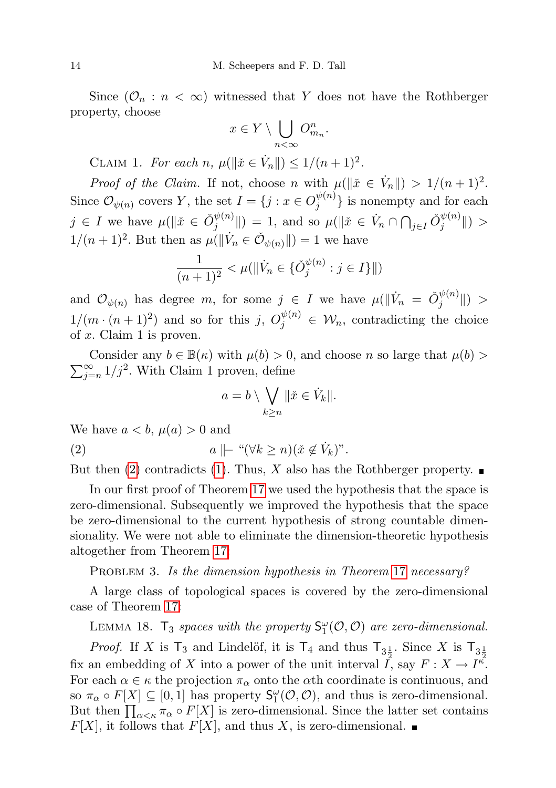Since  $(\mathcal{O}_n : n < \infty)$  witnessed that Y does not have the Rothberger property, choose

$$
x \in Y \setminus \bigcup_{n < \infty} O_{m_n}^n.
$$

CLAIM 1. For each n,  $\mu(\|\check{x}\in \dot{V}_n\|) \leq 1/(n+1)^2$ .

*Proof of the Claim.* If not, choose n with  $\mu(\Vert \tilde{x} \in V_n \Vert) > 1/(n+1)^2$ . Since  $\mathcal{O}_{\psi(n)}$  covers Y, the set  $I = \{j : x \in O_j^{\psi(n)}\}$  $\{y^{(n)}\}\$ is nonempty and for each  $j \in I$  we have  $\mu(\|\check{x}\in \check{O}_i^{\psi(n)})$  $\|\psi^{(n)}\|$  = 1, and so  $\mu(\|\v{x}\in \dot{V}_n \cap \bigcap_{j\in I} \check{O}_j^{\psi(n)})$  $\|j^{\varphi(n)}\|$ ) >  $1/(n+1)^2$ . But then as  $\mu(||\dot{V}_n \in \check{\mathcal{O}}_{\psi(n)}||) = 1$  we have

$$
\frac{1}{(n+1)^2} < \mu(\|\dot{V}_n \in \{\check{O}_j^{\psi(n)} : j \in I\}\|)
$$

and  $\mathcal{O}_{\psi(n)}$  has degree m, for some  $j \in I$  we have  $\mu(\|\dot{V}_n = \check{O}_{j}^{\psi(n)}\|)$  $\|j^{w(n)}\|$ ) >  $1/(m \cdot (n+1)^2)$  and so for this j,  $O_j^{\psi(n)} \in \mathcal{W}_n$ , contradicting the choice of  $x$ . Claim 1 is proven.

 $\sum_{i=1}^{\infty}$ Consider any  $b \in \mathbb{B}(\kappa)$  with  $\mu(b) > 0$ , and choose n so large that  $\mu(b) > 0$  $\sum_{j=n}^{\infty} 1/j^2$ . With Claim 1 proven, define

<span id="page-13-0"></span>
$$
a = b \setminus \bigvee_{k \geq n} \|\check{x} \in \dot{V}_k\|.
$$

We have  $a < b$ ,  $\mu(a) > 0$  and

(2)  $a \parallel \mid \text{``} (\forall k \geq n)(\check{x} \notin \dot{V}_k)$ ".

But then [\(2\)](#page-13-0) contradicts [\(1\)](#page-12-1). Thus, X also has the Rothberger property.  $\blacksquare$ 

In our first proof of Theorem [17](#page-12-0) we used the hypothesis that the space is zero-dimensional. Subsequently we improved the hypothesis that the space be zero-dimensional to the current hypothesis of strong countable dimensionality. We were not able to eliminate the dimension-theoretic hypothesis altogether from Theorem [17:](#page-12-0)

PROBLEM 3. Is the dimension hypothesis in Theorem [17](#page-12-0) necessary?

A large class of topological spaces is covered by the zero-dimensional case of Theorem [17:](#page-12-0)

LEMMA 18.  $T_3$  spaces with the property  $S_1^{\omega}(\mathcal{O}, \mathcal{O})$  are zero-dimensional.

*Proof.* If X is  $T_3$  and Lindelöf, it is  $T_4$  and thus  $T_{3\frac{1}{2}}$ . Since X is  $T_{3\frac{1}{2}}$ fix an embedding of X into a power of the unit interval  $\tilde{I}$ , say  $F: X \to I^{\kappa}$ . For each  $\alpha \in \kappa$  the projection  $\pi_{\alpha}$  onto the  $\alpha$ th coordinate is continuous, and so  $\pi_{\alpha} \circ F[X] \subseteq [0,1]$  has property  $S_1^{\omega}(\mathcal{O}, \mathcal{O})$ , and thus is zero-dimensional. But then  $\prod_{\alpha<\kappa}\pi_{\alpha}\circ F[X]$  is zero-dimensional. Since the latter set contains  $F[X]$ , it follows that  $F[X]$ , and thus X, is zero-dimensional.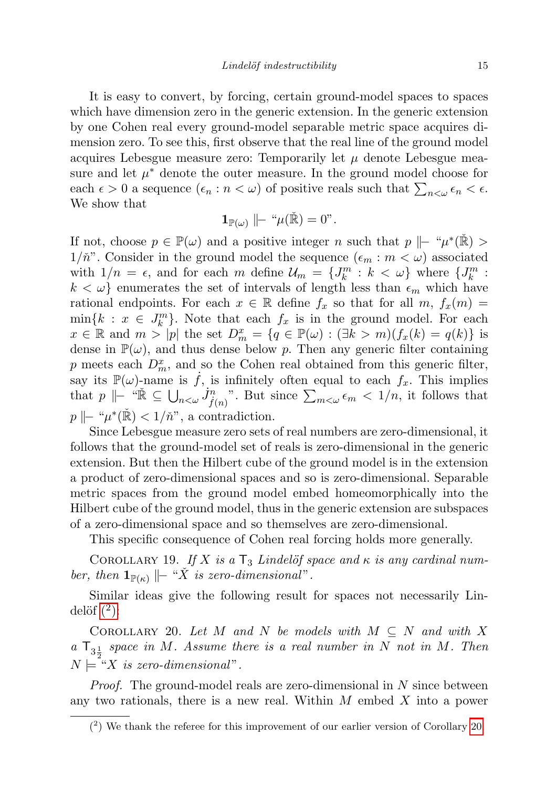It is easy to convert, by forcing, certain ground-model spaces to spaces which have dimension zero in the generic extension. In the generic extension by one Cohen real every ground-model separable metric space acquires dimension zero. To see this, first observe that the real line of the ground model acquires Lebesgue measure zero: Temporarily let  $\mu$  denote Lebesgue measure and let  $\mu^*$  denote the outer measure. In the ground model choose for each  $\epsilon > 0$  a sequence  $(\epsilon_n : n < \omega)$  of positive reals such that  $\sum_{n < \omega} \epsilon_n < \epsilon$ . We show that

$$
\mathbf{1}_{\mathbb{P}(\omega)} \mid\mid - \sqrt{\mathbb{P}(\mathbb{R})} = 0
$$

If not, choose  $p \in \mathbb{P}(\omega)$  and a positive integer n such that  $p \mid -\mu^*(\mathbb{R}) >$  $1/\check{n}$ . Consider in the ground model the sequence  $(\epsilon_m : m < \omega)$  associated with  $1/n = \epsilon$ , and for each m define  $\mathcal{U}_m = \{J_k^m : k < \omega\}$  where  $\{J_k^m : k < \omega\}$  $k < \omega$  enumerates the set of intervals of length less than  $\epsilon_m$  which have rational endpoints. For each  $x \in \mathbb{R}$  define  $f_x$  so that for all  $m$ ,  $f_x(m) =$  $\min\{k : x \in J_k^m\}$ . Note that each  $f_x$  is in the ground model. For each  $x \in \mathbb{R}$  and  $m > |p|$  the set  $D_m^x = \{q \in \mathbb{P}(\omega) : (\exists k > m)(f_x(k) = q(k))\}$  is dense in  $\mathbb{P}(\omega)$ , and thus dense below p. Then any generic filter containing p meets each  $D_m^x$ , and so the Cohen real obtained from this generic filter, say its  $\mathbb{P}(\omega)$ -name is  $\dot{f}$ , is infinitely often equal to each  $f_x$ . This implies that  $p \Vdash \text{`` } \check{\mathbb{R}} \subseteq \bigcup_{n < \omega} J_{f(n)}^n$ . But since  $\sum_{m < \omega} \epsilon_m < 1/n$ , it follows that  $p \parallel$  " $\mu^*(\check{\mathbb{R}}) < 1/\check{n}$ ", a contradiction.

Since Lebesgue measure zero sets of real numbers are zero-dimensional, it follows that the ground-model set of reals is zero-dimensional in the generic extension. But then the Hilbert cube of the ground model is in the extension a product of zero-dimensional spaces and so is zero-dimensional. Separable metric spaces from the ground model embed homeomorphically into the Hilbert cube of the ground model, thus in the generic extension are subspaces of a zero-dimensional space and so themselves are zero-dimensional.

This specific consequence of Cohen real forcing holds more generally.

COROLLARY 19. If X is a  $T_3$  Lindelöf space and  $\kappa$  is any cardinal number, then  $\mathbf{1}_{\mathbb{P}(\kappa)}$   $\|\textit{-} \text{``X}$  is zero-dimensional".

Similar ideas give the following result for spaces not necessarily Lindelöf  $(2)$ :

<span id="page-14-1"></span>COROLLARY 20. Let M and N be models with  $M \subseteq N$  and with X a  $\mathsf{T}_{3\frac{1}{2}}$  space in M. Assume there is a real number in N not in M. Then  $N \models "X$  is zero-dimensional".

Proof. The ground-model reals are zero-dimensional in N since between any two rationals, there is a new real. Within  $M$  embed  $X$  into a power

<span id="page-14-0"></span><sup>(</sup> 2 ) We thank the referee for this improvement of our earlier version of Corollary [20.](#page-14-1)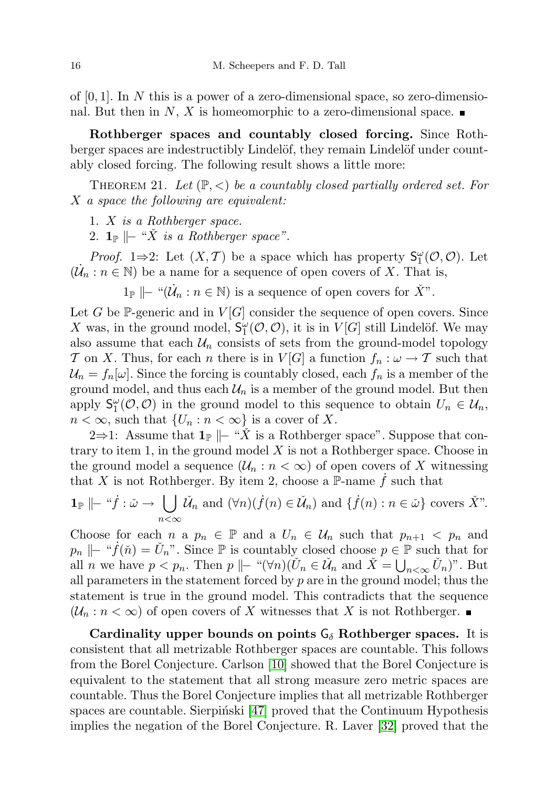of  $[0, 1]$ . In N this is a power of a zero-dimensional space, so zero-dimensional. But then in N, X is homeomorphic to a zero-dimensional space.

Rothberger spaces and countably closed forcing. Since Rothberger spaces are indestructibly Lindelöf, they remain Lindelöf under countably closed forcing. The following result shows a little more:

<span id="page-15-0"></span>THEOREM 21. Let  $(\mathbb{P}, \leq)$  be a countably closed partially ordered set. For X a space the following are equivalent:

- 1. X is a Rothberger space.
- 2.  $1_{\mathbb{P}} \Vdash ``\check{X}$  is a Rothberger space".

*Proof.* 1⇒2: Let  $(X, \mathcal{T})$  be a space which has property  $S_1^{\omega}(\mathcal{O}, \mathcal{O})$ . Let  $(\mathcal{U}_n : n \in \mathbb{N})$  be a name for a sequence of open covers of X. That is,

 $1_{\mathbb{P}} \mid - \text{``}(\dot{\mathcal{U}}_n : n \in \mathbb{N})$  is a sequence of open covers for  $\check{X}$ ".

Let G be  $\mathbb{P}$ -generic and in  $V[G]$  consider the sequence of open covers. Since X was, in the ground model,  $S_1^{\omega}(\mathcal{O}, \mathcal{O})$ , it is in  $V[G]$  still Lindelöf. We may also assume that each  $\mathcal{U}_n$  consists of sets from the ground-model topology T on X. Thus, for each n there is in  $V[G]$  a function  $f_n : \omega \to \mathcal{T}$  such that  $\mathcal{U}_n = f_n[\omega]$ . Since the forcing is countably closed, each  $f_n$  is a member of the ground model, and thus each  $\mathcal{U}_n$  is a member of the ground model. But then apply  $S_1^{\omega}(\mathcal{O}, \mathcal{O})$  in the ground model to this sequence to obtain  $U_n \in \mathcal{U}_n$ ,  $n < \infty$ , such that  $\{U_n : n < \infty\}$  is a cover of X.

2⇒1: Assume that  $\mathbf{1}_{\mathbb{P}}$   $\|\cdot\|^2 X$  is a Rothberger space". Suppose that contrary to item 1, in the ground model  $X$  is not a Rothberger space. Choose in the ground model a sequence  $(\mathcal{U}_n : n < \infty)$  of open covers of X witnessing that X is not Rothberger. By item 2, choose a P-name  $\dot{f}$  such that

$$
\mathbf{1}_{\mathbb{P}}\mid -\tilde{f}:\tilde{\omega}\to \bigcup_{n<\infty}\tilde{\mathcal{U}}_n \text{ and } (\forall n)(\dot{f}(n)\in\tilde{\mathcal{U}}_n) \text{ and } \{\dot{f}(n):n\in\tilde{\omega}\} \text{ covers } \check{X}''.
$$

Choose for each n a  $p_n \in \mathbb{P}$  and a  $U_n \in \mathcal{U}_n$  such that  $p_{n+1} < p_n$  and  $p_n \mid\mid -\pi f(\check{n}) = U_n$ ". Since P is countably closed choose  $p \in \mathbb{P}$  such that for all *n* we have  $p < p_n$ . Then  $p \mid\mid -\alpha(\forall n)(\check{U}_n \in \check{\mathcal{U}}_n)$  and  $\check{X} = \bigcup_{n < \infty} \check{U}_n$ ". But all parameters in the statement forced by  $p$  are in the ground model; thus the statement is true in the ground model. This contradicts that the sequence  $(\mathcal{U}_n : n < \infty)$  of open covers of X witnesses that X is not Rothberger.

Cardinality upper bounds on points  $G_{\delta}$  Rothberger spaces. It is consistent that all metrizable Rothberger spaces are countable. This follows from the Borel Conjecture. Carlson [\[10\]](#page-43-6) showed that the Borel Conjecture is equivalent to the statement that all strong measure zero metric spaces are countable. Thus the Borel Conjecture implies that all metrizable Rothberger spaces are countable. Sierpinski  $[47]$  proved that the Continuum Hypothesis implies the negation of the Borel Conjecture. R. Laver [\[32\]](#page-44-11) proved that the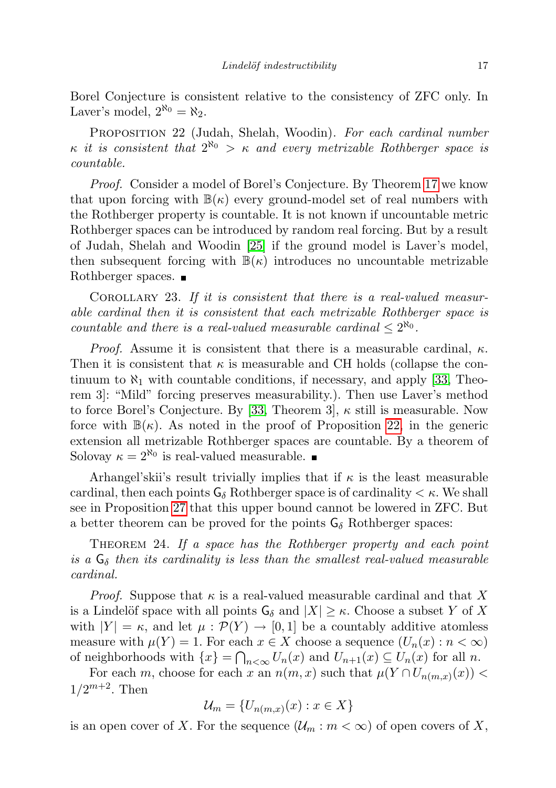Borel Conjecture is consistent relative to the consistency of ZFC only. In Laver's model,  $2^{\aleph_0} = \aleph_2$ .

<span id="page-16-1"></span>PROPOSITION 22 (Judah, Shelah, Woodin). For each cardinal number  $\kappa$  it is consistent that  $2^{\aleph_0} > \kappa$  and every metrizable Rothberger space is countable.

Proof. Consider a model of Borel's Conjecture. By Theorem [17](#page-12-0) we know that upon forcing with  $\mathbb{B}(\kappa)$  every ground-model set of real numbers with the Rothberger property is countable. It is not known if uncountable metric Rothberger spaces can be introduced by random real forcing. But by a result of Judah, Shelah and Woodin [\[25\]](#page-44-12) if the ground model is Laver's model, then subsequent forcing with  $\mathbb{B}(\kappa)$  introduces no uncountable metrizable Rothberger spaces.  $\blacksquare$ 

Corollary 23. If it is consistent that there is a real-valued measurable cardinal then it is consistent that each metrizable Rothberger space is countable and there is a real-valued measurable cardinal  $\leq 2^{\aleph_0}$ .

*Proof.* Assume it is consistent that there is a measurable cardinal,  $\kappa$ . Then it is consistent that  $\kappa$  is measurable and CH holds (collapse the continuum to  $\aleph_1$  with countable conditions, if necessary, and apply [\[33,](#page-44-13) Theorem 3]: "Mild" forcing preserves measurability.). Then use Laver's method to force Borel's Conjecture. By [\[33,](#page-44-13) Theorem 3],  $\kappa$  still is measurable. Now force with  $\mathbb{B}(\kappa)$ . As noted in the proof of Proposition [22,](#page-16-1) in the generic extension all metrizable Rothberger spaces are countable. By a theorem of Solovay  $\kappa = 2^{\aleph_0}$  is real-valued measurable.

Arhangel'skii's result trivially implies that if  $\kappa$  is the least measurable cardinal, then each points  $G_{\delta}$  Rothberger space is of cardinality  $\lt \kappa$ . We shall see in Proposition [27](#page-17-0) that this upper bound cannot be lowered in ZFC. But a better theorem can be proved for the points  $G_{\delta}$  Rothberger spaces:

<span id="page-16-0"></span>THEOREM 24. If a space has the Rothberger property and each point is a  $G_{\delta}$  then its cardinality is less than the smallest real-valued measurable cardinal.

*Proof.* Suppose that  $\kappa$  is a real-valued measurable cardinal and that X is a Lindelöf space with all points  $G_{\delta}$  and  $|X| \geq \kappa$ . Choose a subset Y of X with  $|Y| = \kappa$ , and let  $\mu : \mathcal{P}(Y) \to [0,1]$  be a countably additive atomless measure with  $\mu(Y) = 1$ . For each  $x \in X$  choose a sequence  $(U_n(x) : n < \infty)$ of neighborhoods with  $\{x\} = \bigcap_{n < \infty} U_n(x)$  and  $U_{n+1}(x) \subseteq U_n(x)$  for all n.

For each m, choose for each x an  $n(m, x)$  such that  $\mu(Y \cap U_{n(m, x)}(x))$  $1/2^{m+2}$ . Then

$$
\mathcal{U}_m = \{U_{n(m,x)}(x) : x \in X\}
$$

is an open cover of X. For the sequence  $(\mathcal{U}_m : m < \infty)$  of open covers of X,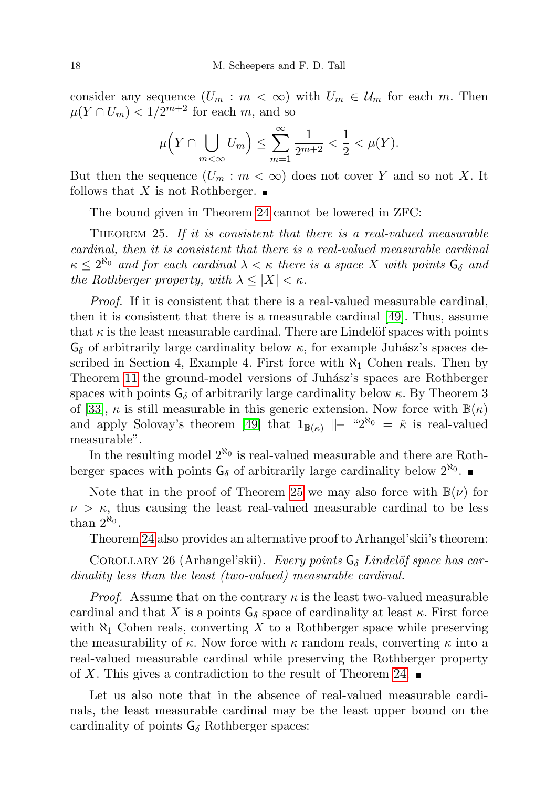consider any sequence  $(U_m : m < \infty)$  with  $U_m \in \mathcal{U}_m$  for each m. Then  $\mu(Y \cap U_m) < 1/2^{m+2}$  for each m, and so

$$
\mu\Big(Y\cap \bigcup_{m<\infty}U_m\Big)\leq \sum_{m=1}^{\infty}\frac{1}{2^{m+2}}<\frac{1}{2}<\mu(Y).
$$

But then the sequence  $(U_m : m < \infty)$  does not cover Y and so not X. It follows that X is not Rothberger.  $\blacksquare$ 

The bound given in Theorem [24](#page-16-0) cannot be lowered in ZFC:

<span id="page-17-1"></span>THEOREM 25. If it is consistent that there is a real-valued measurable cardinal, then it is consistent that there is a real-valued measurable cardinal  $\kappa \leq 2^{\aleph_0}$  and for each cardinal  $\lambda < \kappa$  there is a space X with points  $\mathsf{G}_{\delta}$  and the Rothberger property, with  $\lambda \leq |X| < \kappa$ .

Proof. If it is consistent that there is a real-valued measurable cardinal, then it is consistent that there is a measurable cardinal [\[49\]](#page-45-7). Thus, assume that  $\kappa$  is the least measurable cardinal. There are Lindelöf spaces with points  $\mathsf{G}_{\delta}$  of arbitrarily large cardinality below  $\kappa$ , for example Juhász's spaces described in Section 4, Example 4. First force with  $\aleph_1$  Cohen reals. Then by Theorem [11](#page-8-0) the ground-model versions of Juhász's spaces are Rothberger spaces with points  $G_{\delta}$  of arbitrarily large cardinality below  $\kappa$ . By Theorem 3 of [\[33\]](#page-44-13),  $\kappa$  is still measurable in this generic extension. Now force with  $\mathbb{B}(\kappa)$ and apply Solovay's theorem [\[49\]](#page-45-7) that  $\mathbf{1}_{\mathbb{B}(\kappa)}$   $\|\cdot\|^2^{\aleph_0} = \kappa$  is real-valued measurable".

In the resulting model  $2^{\aleph_0}$  is real-valued measurable and there are Rothberger spaces with points  $G_{\delta}$  of arbitrarily large cardinality below  $2^{\aleph_0}$ .

Note that in the proof of Theorem [25](#page-17-1) we may also force with  $\mathbb{B}(\nu)$  for  $\nu > \kappa$ , thus causing the least real-valued measurable cardinal to be less than  $2^{\aleph_0}$ .

Theorem [24](#page-16-0) also provides an alternative proof to Arhangel'skii's theorem:

COROLLARY 26 (Arhangel'skii). Every points  $G_{\delta}$  Lindelöf space has cardinality less than the least (two-valued) measurable cardinal.

*Proof.* Assume that on the contrary  $\kappa$  is the least two-valued measurable cardinal and that X is a points  $G_{\delta}$  space of cardinality at least  $\kappa$ . First force with  $\aleph_1$  Cohen reals, converting X to a Rothberger space while preserving the measurability of  $\kappa$ . Now force with  $\kappa$  random reals, converting  $\kappa$  into a real-valued measurable cardinal while preserving the Rothberger property of X. This gives a contradiction to the result of Theorem [24.](#page-16-0)

<span id="page-17-0"></span>Let us also note that in the absence of real-valued measurable cardinals, the least measurable cardinal may be the least upper bound on the cardinality of points  $G_{\delta}$  Rothberger spaces: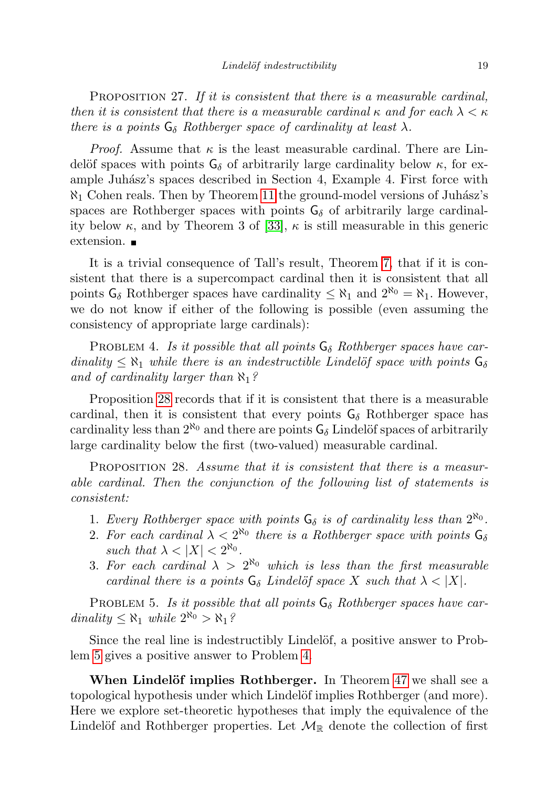PROPOSITION 27. If it is consistent that there is a measurable cardinal, then it is consistent that there is a measurable cardinal  $\kappa$  and for each  $\lambda < \kappa$ there is a points  $G_{\delta}$  Rothberger space of cardinality at least  $\lambda$ .

*Proof.* Assume that  $\kappa$  is the least measurable cardinal. There are Lindelöf spaces with points  $G_{\delta}$  of arbitrarily large cardinality below  $\kappa$ , for example Juhász's spaces described in Section 4, Example 4. First force with  $\aleph_1$  Cohen reals. Then by Theorem [11](#page-8-0) the ground-model versions of Juhász's spaces are Rothberger spaces with points  $G_{\delta}$  of arbitrarily large cardinality below  $\kappa$ , and by Theorem 3 of [\[33\]](#page-44-13),  $\kappa$  is still measurable in this generic extension.

It is a trivial consequence of Tall's result, Theorem [7,](#page-6-0) that if it is consistent that there is a supercompact cardinal then it is consistent that all points  $G_{\delta}$  Rothberger spaces have cardinality  $\leq \aleph_1$  and  $2^{\aleph_0} = \aleph_1$ . However, we do not know if either of the following is possible (even assuming the consistency of appropriate large cardinals):

<span id="page-18-2"></span>PROBLEM 4. Is it possible that all points  $G_{\delta}$  Rothberger spaces have cardinality  $\leq \aleph_1$  while there is an indestructible Lindelöf space with points  $\mathsf{G}_{\delta}$ and of cardinality larger than  $\aleph_1$ ?

Proposition [28](#page-18-0) records that if it is consistent that there is a measurable cardinal, then it is consistent that every points  $G_{\delta}$  Rothberger space has cardinality less than  $2^{\aleph_0}$  and there are points  $\mathsf{G}_{\delta}$  Lindelöf spaces of arbitrarily large cardinality below the first (two-valued) measurable cardinal.

<span id="page-18-0"></span>PROPOSITION 28. Assume that it is consistent that there is a measurable cardinal. Then the conjunction of the following list of statements is consistent:

- 1. Every Rothberger space with points  $G_{\delta}$  is of cardinality less than  $2^{\aleph_0}$ .
- 2. For each cardinal  $\lambda < 2^{\aleph_0}$  there is a Rothberger space with points  $\mathsf{G}_\delta$ such that  $\lambda < |X| < 2^{\aleph_0}$ .
- 3. For each cardinal  $\lambda > 2^{\aleph_0}$  which is less than the first measurable cardinal there is a points  $G_{\delta}$  Lindelöf space X such that  $\lambda < |X|$ .

<span id="page-18-1"></span>PROBLEM 5. Is it possible that all points  $G_{\delta}$  Rothberger spaces have cardinality  $\leq \aleph_1$  while  $2^{\aleph_0} > \aleph_1$ ?

Since the real line is indestructibly Lindelöf, a positive answer to Problem [5](#page-18-1) gives a positive answer to Problem [4.](#page-18-2)

When Lindelöf implies Rothberger. In Theorem [47](#page-35-1) we shall see a topological hypothesis under which Lindelöf implies Rothberger (and more). Here we explore set-theoretic hypotheses that imply the equivalence of the Lindelöf and Rothberger properties. Let  $\mathcal{M}_{\mathbb{R}}$  denote the collection of first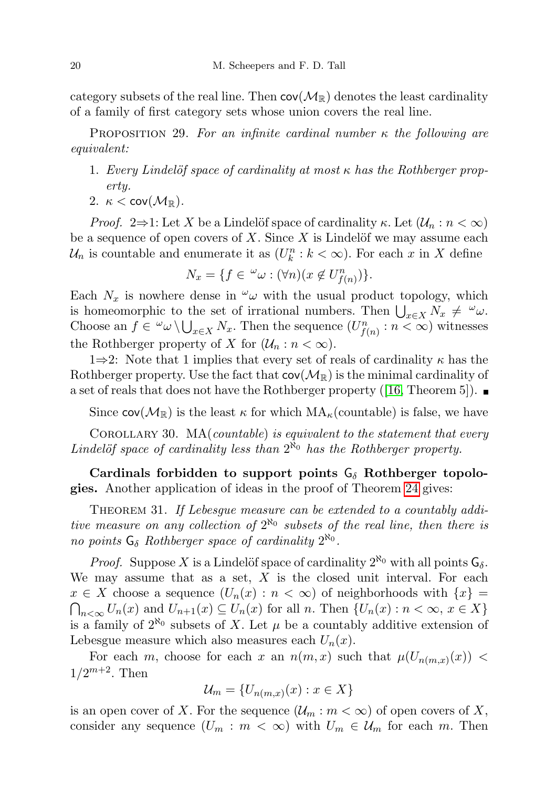category subsets of the real line. Then  $cov(\mathcal{M}_{\mathbb{R}})$  denotes the least cardinality of a family of first category sets whose union covers the real line.

PROPOSITION 29. For an infinite cardinal number  $\kappa$  the following are equivalent:

- 1. Every Lindelöf space of cardinality at most  $\kappa$  has the Rothberger property.
- 2.  $\kappa < \text{cov}(\mathcal{M}_\mathbb{R})$ .

*Proof.* 2⇒1: Let X be a Lindelöf space of cardinality  $\kappa$ . Let  $(\mathcal{U}_n : n < \infty)$ be a sequence of open covers of  $X$ . Since  $X$  is Lindelöf we may assume each  $\mathcal{U}_n$  is countable and enumerate it as  $(U_k^n : k < \infty)$ . For each x in X define

$$
N_x = \{ f \in \,^{\omega} \omega : (\forall n)(x \notin U_{f(n)}^n) \}.
$$

Each  $N_x$  is nowhere dense in  $\omega$  with the usual product topology, which is homeomorphic to the set of irrational numbers. Then  $\bigcup_{x\in X} N_x \neq \omega$ . Choose an  $f \in \omega \setminus \bigcup_{x \in X} N_x$ . Then the sequence  $(U_{f(n)}^n : n < \infty)$  witnesses the Rothberger property of X for  $(\mathcal{U}_n : n < \infty)$ .

1⇒2: Note that 1 implies that every set of reals of cardinality  $\kappa$  has the Rothberger property. Use the fact that  $cov(\mathcal{M}_{\mathbb{R}})$  is the minimal cardinality of a set of reals that does not have the Rothberger property ([\[16,](#page-43-5) Theorem 5]).

Since  $cov(\mathcal{M}_{\mathbb{R}})$  is the least  $\kappa$  for which  $MA_{\kappa}$ (countable) is false, we have

COROLLARY 30.  $MA(countable)$  is equivalent to the statement that every Lindelöf space of cardinality less than  $2^{\aleph_0}$  has the Rothberger property.

## Cardinals forbidden to support points  $G_{\delta}$  Rothberger topologies. Another application of ideas in the proof of Theorem [24](#page-16-0) gives:

<span id="page-19-0"></span>THEOREM 31. If Lebesque measure can be extended to a countably additive measure on any collection of  $2^{\aleph_0}$  subsets of the real line, then there is no points  $G_{\delta}$  Rothberger space of cardinality  $2^{\aleph_0}$ .

*Proof.* Suppose X is a Lindelöf space of cardinality  $2^{\aleph_0}$  with all points  $\mathsf{G}_\delta$ . We may assume that as a set,  $X$  is the closed unit interval. For each  $x \in X$  choose a sequence  $(U_n(x) : n < \infty)$  of neighborhoods with  $\{x\} =$  $\bigcap_{n<\infty}U_n(x)$  and  $U_{n+1}(x) \subseteq U_n(x)$  for all n. Then  $\{U_n(x) : n < \infty, x \in X\}$ is a family of  $2^{\aleph_0}$  subsets of X. Let  $\mu$  be a countably additive extension of Lebesgue measure which also measures each  $U_n(x)$ .

For each m, choose for each x an  $n(m, x)$  such that  $\mu(U_{n(m, x)}(x))$  <  $1/2^{m+2}$ . Then

$$
\mathcal{U}_m = \{U_{n(m,x)}(x) : x \in X\}
$$

is an open cover of X. For the sequence  $(\mathcal{U}_m : m < \infty)$  of open covers of X, consider any sequence  $(U_m : m < \infty)$  with  $U_m \in \mathcal{U}_m$  for each m. Then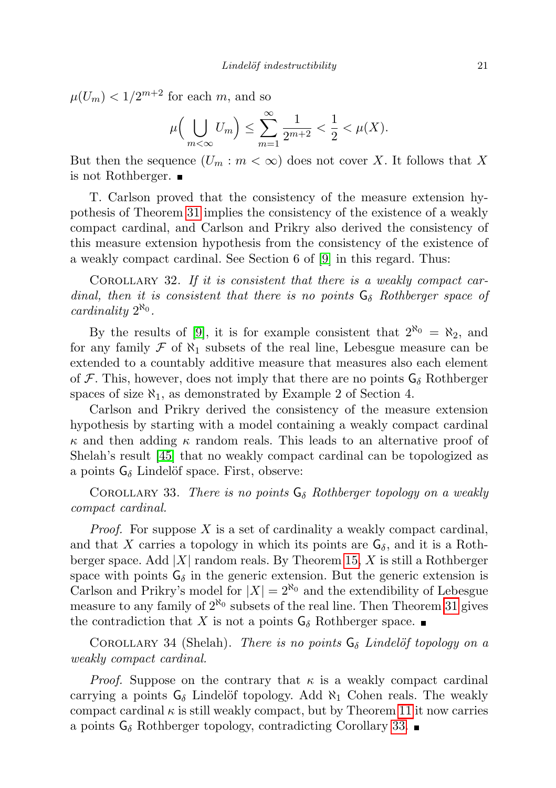$\mu(U_m) < 1/2^{m+2}$  for each m, and so

$$
\mu\Big(\bigcup_{m<\infty}U_m\Big)\leq \sum_{m=1}^{\infty}\frac{1}{2^{m+2}}<\frac{1}{2}<\mu(X).
$$

But then the sequence  $(U_m : m < \infty)$  does not cover X. It follows that X is not Rothberger.

T. Carlson proved that the consistency of the measure extension hypothesis of Theorem [31](#page-19-0) implies the consistency of the existence of a weakly compact cardinal, and Carlson and Prikry also derived the consistency of this measure extension hypothesis from the consistency of the existence of a weakly compact cardinal. See Section 6 of [\[9\]](#page-43-7) in this regard. Thus:

COROLLARY 32. If it is consistent that there is a weakly compact cardinal, then it is consistent that there is no points  $G_{\delta}$  Rothberger space of cardinality  $2^{\aleph_0}$ .

By the results of [\[9\]](#page-43-7), it is for example consistent that  $2^{\aleph_0} = \aleph_2$ , and for any family  $\mathcal F$  of  $\aleph_1$  subsets of the real line, Lebesgue measure can be extended to a countably additive measure that measures also each element of F. This, however, does not imply that there are no points  $G_{\delta}$  Rothberger spaces of size  $\aleph_1$ , as demonstrated by Example 2 of Section 4.

Carlson and Prikry derived the consistency of the measure extension hypothesis by starting with a model containing a weakly compact cardinal  $\kappa$  and then adding  $\kappa$  random reals. This leads to an alternative proof of Shelah's result [\[45\]](#page-45-0) that no weakly compact cardinal can be topologized as a points  $G_{\delta}$  Lindelöf space. First, observe:

<span id="page-20-1"></span>COROLLARY 33. There is no points  $G_{\delta}$  Rothberger topology on a weakly compact cardinal.

*Proof.* For suppose  $X$  is a set of cardinality a weakly compact cardinal, and that X carries a topology in which its points are  $G_{\delta}$ , and it is a Rothberger space. Add  $|X|$  random reals. By Theorem [15,](#page-10-0) X is still a Rothberger space with points  $G_{\delta}$  in the generic extension. But the generic extension is Carlson and Prikry's model for  $|X| = 2^{\aleph_0}$  and the extendibility of Lebesgue measure to any family of  $2^{\aleph_0}$  subsets of the real line. Then Theorem [31](#page-19-0) gives the contradiction that X is not a points  $G_{\delta}$  Rothberger space.

<span id="page-20-0"></span>COROLLARY 34 (Shelah). There is no points  $G_{\delta}$  Lindelöf topology on a weakly compact cardinal.

*Proof.* Suppose on the contrary that  $\kappa$  is a weakly compact cardinal carrying a points  $G_{\delta}$  Lindelöf topology. Add  $\aleph_1$  Cohen reals. The weakly compact cardinal  $\kappa$  is still weakly compact, but by Theorem [11](#page-8-0) it now carries a points  $G_{\delta}$  Rothberger topology, contradicting Corollary [33.](#page-20-1)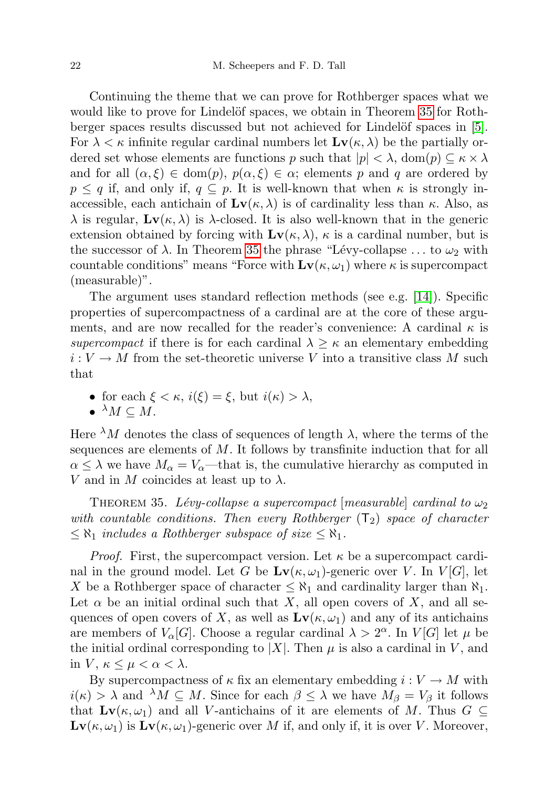Continuing the theme that we can prove for Rothberger spaces what we would like to prove for Lindelöf spaces, we obtain in Theorem [35](#page-21-0) for Rothberger spaces results discussed but not achieved for Lindelöf spaces in  $[5]$ . For  $\lambda < \kappa$  infinite regular cardinal numbers let  $\mathbf{Lv}(\kappa, \lambda)$  be the partially ordered set whose elements are functions p such that  $|p| < \lambda$ , dom $(p) \subseteq \kappa \times \lambda$ and for all  $(\alpha, \xi) \in \text{dom}(p)$ ,  $p(\alpha, \xi) \in \alpha$ ; elements p and q are ordered by  $p \leq q$  if, and only if,  $q \subseteq p$ . It is well-known that when  $\kappa$  is strongly inaccessible, each antichain of  $\mathbf{Lv}(\kappa, \lambda)$  is of cardinality less than  $\kappa$ . Also, as  $\lambda$  is regular,  $\mathbf{Lv}(\kappa, \lambda)$  is  $\lambda$ -closed. It is also well-known that in the generic extension obtained by forcing with  $\mathbf{Lv}(\kappa, \lambda)$ ,  $\kappa$  is a cardinal number, but is the successor of  $\lambda$ . In Theorem [35](#page-21-0) the phrase "Lévy-collapse ... to  $\omega_2$  with countable conditions" means "Force with  $\mathbf{Lv}(\kappa, \omega_1)$  where  $\kappa$  is supercompact (measurable)".

The argument uses standard reflection methods (see e.g. [\[14\]](#page-43-9)). Specific properties of supercompactness of a cardinal are at the core of these arguments, and are now recalled for the reader's convenience: A cardinal  $\kappa$  is supercompact if there is for each cardinal  $\lambda \geq \kappa$  an elementary embedding  $i: V \to M$  from the set-theoretic universe V into a transitive class M such that

• for each  $\xi < \kappa$ ,  $i(\xi) = \xi$ , but  $i(\kappa) > \lambda$ ,

$$
\bullet \ ^\lambda M \subseteq M.
$$

Here  $\lambda M$  denotes the class of sequences of length  $\lambda$ , where the terms of the sequences are elements of  $M$ . It follows by transfinite induction that for all  $\alpha \leq \lambda$  we have  $M_{\alpha} = V_{\alpha}$ —that is, the cumulative hierarchy as computed in V and in M coincides at least up to  $\lambda$ .

<span id="page-21-0"></span>THEOREM 35. Lévy-collapse a supercompact  $|measurable|$  cardinal to  $\omega_2$ with countable conditions. Then every Rothberger  $(T_2)$  space of character  $\leq \aleph_1$  includes a Rothberger subspace of size  $\leq \aleph_1$ .

*Proof.* First, the supercompact version. Let  $\kappa$  be a supercompact cardinal in the ground model. Let G be  $Lv(\kappa, \omega_1)$ -generic over V. In  $V[G]$ , let X be a Rothberger space of character  $\leq \aleph_1$  and cardinality larger than  $\aleph_1$ . Let  $\alpha$  be an initial ordinal such that X, all open covers of X, and all sequences of open covers of X, as well as  $\mathbf{Lv}(\kappa, \omega_1)$  and any of its antichains are members of  $V_{\alpha}[G]$ . Choose a regular cardinal  $\lambda > 2^{\alpha}$ . In  $V[G]$  let  $\mu$  be the initial ordinal corresponding to |X|. Then  $\mu$  is also a cardinal in V, and in  $V, \kappa \leq \mu < \alpha < \lambda$ .

By supercompactness of  $\kappa$  fix an elementary embedding  $i: V \to M$  with  $i(\kappa) > \lambda$  and  $\lambda M \subseteq M$ . Since for each  $\beta \leq \lambda$  we have  $M_{\beta} = V_{\beta}$  it follows that  $\mathbf{Lv}(\kappa, \omega_1)$  and all V-antichains of it are elements of M. Thus  $G \subseteq$  $\mathbf{Lv}(\kappa, \omega_1)$  is  $\mathbf{Lv}(\kappa, \omega_1)$ -generic over M if, and only if, it is over V. Moreover,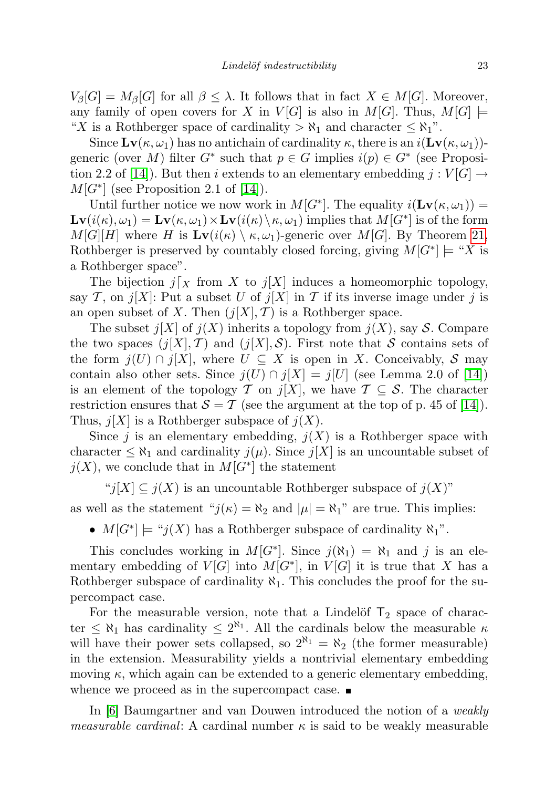$V_{\beta}[G] = M_{\beta}[G]$  for all  $\beta \leq \lambda$ . It follows that in fact  $X \in M[G]$ . Moreover, any family of open covers for X in  $V[G]$  is also in  $M[G]$ . Thus,  $M[G] \models$ "X is a Rothberger space of cardinality  $>\aleph_1$  and character  $\leq \aleph_1$ ".

Since  $\mathbf{Lv}(\kappa, \omega_1)$  has no antichain of cardinality  $\kappa$ , there is an  $i(\mathbf{Lv}(\kappa, \omega_1))$ generic (over M) filter  $G^*$  such that  $p \in G$  implies  $i(p) \in G^*$  (see Proposi-tion 2.2 of [\[14\]](#page-43-9)). But then i extends to an elementary embedding  $j: V[G] \rightarrow$  $M[G^*]$  (see Proposition 2.1 of [\[14\]](#page-43-9)).

Until further notice we now work in  $M[G^*]$ . The equality  $i(\mathbf{Lv}(\kappa, \omega_1)) =$  $\mathbf{Lv}(i(\kappa), \omega_1) = \mathbf{Lv}(\kappa, \omega_1) \times \mathbf{Lv}(i(\kappa) \setminus \kappa, \omega_1)$  implies that  $M[G^*]$  is of the form  $M[G][H]$  where H is  $\mathbf{Lv}(i(\kappa) \setminus \kappa, \omega_1)$ -generic over  $M[G]$ . By Theorem [21,](#page-15-0) Rothberger is preserved by countably closed forcing, giving  $M[G^*] \models "X$  is a Rothberger space".

The bijection  $j\vert_X$  from X to  $j[X]$  induces a homeomorphic topology, say T, on  $j[X]$ : Put a subset U of  $j[X]$  in T if its inverse image under j is an open subset of X. Then  $(j[X], \mathcal{T})$  is a Rothberger space.

The subset  $j[X]$  of  $j(X)$  inherits a topology from  $j(X)$ , say S. Compare the two spaces  $(j[X], \mathcal{T})$  and  $(j[X], \mathcal{S})$ . First note that S contains sets of the form  $j(U) \cap j[X]$ , where  $U \subseteq X$  is open in X. Conceivably, S may contain also other sets. Since  $j(U) \cap j[X] = j[U]$  (see Lemma 2.0 of [\[14\]](#page-43-9)) is an element of the topology T on  $j[X]$ , we have  $T \subseteq S$ . The character restriction ensures that  $S = T$  (see the argument at the top of p. 45 of [\[14\]](#page-43-9)). Thus,  $j[X]$  is a Rothberger subspace of  $j(X)$ .

Since j is an elementary embedding,  $j(X)$  is a Rothberger space with character  $\leq \aleph_1$  and cardinality  $j(\mu)$ . Since  $j[X]$  is an uncountable subset of  $j(X)$ , we conclude that in  $M[G^*]$  the statement

"j[X]  $\subseteq j(X)$  is an uncountable Rothberger subspace of  $j(X)$ " as well as the statement " $j(\kappa) = \aleph_2$  and  $|\mu| = \aleph_1$ " are true. This implies:

•  $M[G^*] \models "j(X)$  has a Rothberger subspace of cardinality  $\aleph_1$ ".

This concludes working in  $M[G^*]$ . Since  $j(\aleph_1) = \aleph_1$  and j is an elementary embedding of  $V[G]$  into  $M[G^*]$ , in  $V[G]$  it is true that X has a Rothberger subspace of cardinality  $\aleph_1$ . This concludes the proof for the supercompact case.

For the measurable version, note that a Lindelöf  $T_2$  space of character  $\leq \aleph_1$  has cardinality  $\leq 2^{\aleph_1}$ . All the cardinals below the measurable  $\kappa$ will have their power sets collapsed, so  $2^{\aleph_1} = \aleph_2$  (the former measurable) in the extension. Measurability yields a nontrivial elementary embedding moving  $\kappa$ , which again can be extended to a generic elementary embedding, whence we proceed as in the supercompact case.  $\blacksquare$ 

In [\[6\]](#page-43-10) Baumgartner and van Douwen introduced the notion of a weakly *measurable cardinal*: A cardinal number  $\kappa$  is said to be weakly measurable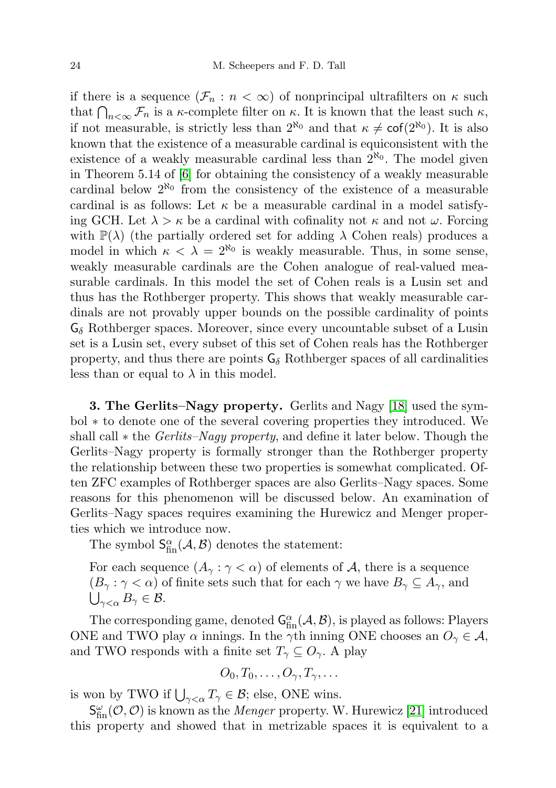if there is a sequence  $(\mathcal{F}_n : n < \infty)$  of nonprincipal ultrafilters on  $\kappa$  such that  $\bigcap_{n<\infty}\mathcal{F}_n$  is a  $\kappa$ -complete filter on  $\kappa$ . It is known that the least such  $\kappa$ , if not measurable, is strictly less than  $2^{\aleph_0}$  and that  $\kappa \neq \text{cof}(2^{\aleph_0})$ . It is also known that the existence of a measurable cardinal is equiconsistent with the existence of a weakly measurable cardinal less than  $2^{\aleph_0}$ . The model given in Theorem 5.14 of [\[6\]](#page-43-10) for obtaining the consistency of a weakly measurable cardinal below  $2^{\aleph_0}$  from the consistency of the existence of a measurable cardinal is as follows: Let  $\kappa$  be a measurable cardinal in a model satisfying GCH. Let  $\lambda > \kappa$  be a cardinal with cofinality not  $\kappa$  and not  $\omega$ . Forcing with  $\mathbb{P}(\lambda)$  (the partially ordered set for adding  $\lambda$  Cohen reals) produces a model in which  $\kappa < \lambda = 2^{\aleph_0}$  is weakly measurable. Thus, in some sense, weakly measurable cardinals are the Cohen analogue of real-valued measurable cardinals. In this model the set of Cohen reals is a Lusin set and thus has the Rothberger property. This shows that weakly measurable cardinals are not provably upper bounds on the possible cardinality of points  $\mathsf{G}_{\delta}$  Rothberger spaces. Moreover, since every uncountable subset of a Lusin set is a Lusin set, every subset of this set of Cohen reals has the Rothberger property, and thus there are points  $G_{\delta}$  Rothberger spaces of all cardinalities less than or equal to  $\lambda$  in this model.

3. The Gerlits–Nagy property. Gerlits and Nagy [\[18\]](#page-44-5) used the symbol ∗ to denote one of the several covering properties they introduced. We shall call  $*$  the *Gerlits–Nagy property*, and define it later below. Though the Gerlits–Nagy property is formally stronger than the Rothberger property the relationship between these two properties is somewhat complicated. Often ZFC examples of Rothberger spaces are also Gerlits–Nagy spaces. Some reasons for this phenomenon will be discussed below. An examination of Gerlits–Nagy spaces requires examining the Hurewicz and Menger properties which we introduce now.

The symbol  $S_{fin}^{\alpha}(\mathcal{A}, \mathcal{B})$  denotes the statement:

For each sequence  $(A_{\gamma}: \gamma < \alpha)$  of elements of A, there is a sequence  $(B_{\gamma}: \gamma < \alpha)$  of finite sets such that for each  $\gamma$  we have  $B_{\gamma} \subseteq A_{\gamma}$ , and  $\bigcup_{\gamma<\alpha}B_\gamma\in\mathcal{B}.$ 

The corresponding game, denoted  $G_{fin}^{\alpha}(\mathcal{A}, \mathcal{B})$ , is played as follows: Players ONE and TWO play  $\alpha$  innings. In the  $\gamma$ th inning ONE chooses an  $O_{\gamma} \in \mathcal{A}$ , and TWO responds with a finite set  $T_{\gamma} \subseteq O_{\gamma}$ . A play

$$
O_0, T_0, \ldots, O_\gamma, T_\gamma, \ldots
$$

is won by TWO if  $\bigcup_{\gamma<\alpha}T_{\gamma}\in\mathcal{B}$ ; else, ONE wins.

 $S_{fin}^{\omega}(\mathcal{O}, \mathcal{O})$  is known as the *Menger* property. W. Hurewicz [\[21\]](#page-44-14) introduced this property and showed that in metrizable spaces it is equivalent to a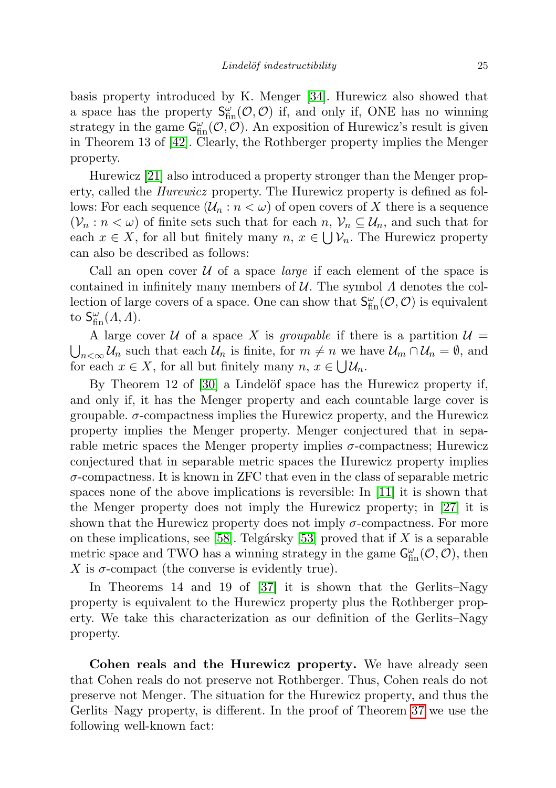basis property introduced by K. Menger [\[34\]](#page-44-15). Hurewicz also showed that a space has the property  $S_{fin}^{\omega}(\mathcal{O}, \mathcal{O})$  if, and only if, ONE has no winning strategy in the game  $\mathsf{G}_\textrm{fin}^{\omega}(\mathcal{O}, \mathcal{O})$ . An exposition of Hurewicz's result is given in Theorem 13 of [\[42\]](#page-44-16). Clearly, the Rothberger property implies the Menger property.

Hurewicz [\[21\]](#page-44-14) also introduced a property stronger than the Menger property, called the Hurewicz property. The Hurewicz property is defined as follows: For each sequence  $(\mathcal{U}_n : n < \omega)$  of open covers of X there is a sequence  $(\mathcal{V}_n : n < \omega)$  of finite sets such that for each  $n, \mathcal{V}_n \subseteq \mathcal{U}_n$ , and such that for each  $x \in X$ , for all but finitely many  $n, x \in \bigcup \mathcal{V}_n$ . The Hurewicz property can also be described as follows:

Call an open cover  $U$  of a space *large* if each element of the space is contained in infinitely many members of  $\mathcal U$ . The symbol  $\Lambda$  denotes the collection of large covers of a space. One can show that  $S_{fin}^{\omega}(\mathcal{O}, \mathcal{O})$  is equivalent to  $S_{\text{fin}}^{\omega}(A, A)$ .

A large cover U of a space X is groupable if there is a partition  $\mathcal{U} =$  $\bigcup_{n<\infty}$   $\mathcal{U}_n$  such that each  $\mathcal{U}_n$  is finite, for  $m\neq n$  we have  $\mathcal{U}_m \cap \mathcal{U}_n = \emptyset$ , and for each  $x \in X$ , for all but finitely many  $n, x \in \bigcup \mathcal{U}_n$ .

By Theorem 12 of [\[30\]](#page-44-17) a Lindelöf space has the Hurewicz property if, and only if, it has the Menger property and each countable large cover is groupable.  $\sigma$ -compactness implies the Hurewicz property, and the Hurewicz property implies the Menger property. Menger conjectured that in separable metric spaces the Menger property implies  $\sigma$ -compactness; Hurewicz conjectured that in separable metric spaces the Hurewicz property implies  $\sigma$ -compactness. It is known in ZFC that even in the class of separable metric spaces none of the above implications is reversible: In [\[11\]](#page-43-11) it is shown that the Menger property does not imply the Hurewicz property; in [\[27\]](#page-44-18) it is shown that the Hurewicz property does not imply  $\sigma$ -compactness. For more on these implications, see [\[58\]](#page-45-8). Telgársky [\[53\]](#page-45-9) proved that if  $X$  is a separable metric space and TWO has a winning strategy in the game  $\mathsf{G}^{\omega}_{\text{fin}}(\mathcal{O},\mathcal{O})$ , then X is  $\sigma$ -compact (the converse is evidently true).

In Theorems 14 and 19 of [\[37\]](#page-44-19) it is shown that the Gerlits–Nagy property is equivalent to the Hurewicz property plus the Rothberger property. We take this characterization as our definition of the Gerlits–Nagy property.

Cohen reals and the Hurewicz property. We have already seen that Cohen reals do not preserve not Rothberger. Thus, Cohen reals do not preserve not Menger. The situation for the Hurewicz property, and thus the Gerlits–Nagy property, is different. In the proof of Theorem [37](#page-25-0) we use the following well-known fact: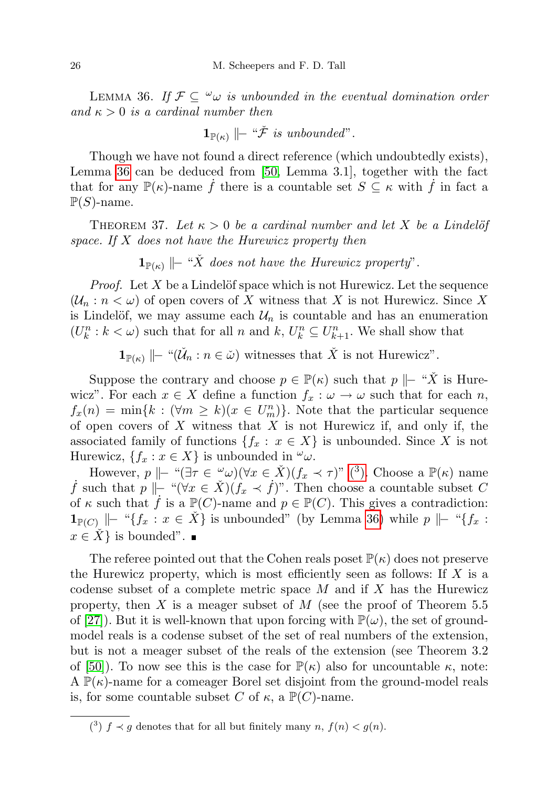<span id="page-25-1"></span>LEMMA 36. If  $\mathcal{F} \subseteq \omega$  is unbounded in the eventual domination order and  $\kappa > 0$  is a cardinal number then

$$
\mathbf{1}_{\mathbb{P}(\kappa)} \models ``\check{\mathcal{F}}~is~unbounded".
$$

Though we have not found a direct reference (which undoubtedly exists), Lemma [36](#page-25-1) can be deduced from [\[50,](#page-45-10) Lemma 3.1], together with the fact that for any  $\mathbb{P}(\kappa)$ -name f there is a countable set  $S \subseteq \kappa$  with f in fact a  $\mathbb{P}(S)$ -name.

<span id="page-25-0"></span>THEOREM 37. Let  $\kappa > 0$  be a cardinal number and let X be a Lindelöf space. If X does not have the Hurewicz property then

 $1_{\mathbb{P}(\kappa)}$   $\|\text{-} \text{``X}$  does not have the Hurewicz property".

*Proof.* Let X be a Lindelöf space which is not Hurewicz. Let the sequence  $(\mathcal{U}_n : n < \omega)$  of open covers of X witness that X is not Hurewicz. Since X is Lindelöf, we may assume each  $\mathcal{U}_n$  is countable and has an enumeration  $(U_k^n : k < \omega)$  such that for all n and  $k, U_k^n \subseteq U_{k+1}^n$ . We shall show that

 $\mathbf{1}_{\mathbb{P}(\kappa)} \mid - \sqrt[n]{\check{\mathcal{U}}_n : n \in \check{\omega}}$  witnesses that  $\check{X}$  is not Hurewicz".

Suppose the contrary and choose  $p \in \mathbb{P}(\kappa)$  such that  $p \Vdash "X$  is Hurewicz". For each  $x \in X$  define a function  $f_x : \omega \to \omega$  such that for each n,  $f_x(n) = \min\{k : (\forall m \ge k)(x \in U_m^n)\}\.$  Note that the particular sequence of open covers of  $X$  witness that  $X$  is not Hurewicz if, and only if, the associated family of functions  $\{f_x : x \in X\}$  is unbounded. Since X is not Hurewicz,  $\{f_x : x \in X\}$  is unbounded in  $\omega$ .

However,  $p \Vdash "(\exists \tau \in \omega) (\forall x \in \check{X})(f_x \prec \tau)$  $p \Vdash "(\exists \tau \in \omega) (\forall x \in \check{X})(f_x \prec \tau)$  $p \Vdash "(\exists \tau \in \omega) (\forall x \in \check{X})(f_x \prec \tau)$ " (3). Choose a  $\mathbb{P}(\kappa)$  name *j* such that  $p \Vdash "(\forall x \in \check{X})(f_x \prec \check{f})$ ". Then choose a countable subset C of  $\kappa$  such that  $\hat{f}$  is a  $\mathbb{P}(C)$ -name and  $p \in \mathbb{P}(C)$ . This gives a contradiction:  $\mathbf{1}_{\mathbb{P}(C)}$   $\|\cdot\|^2 \{f_x : x \in \dot{X}\}\$ is unbounded" (by Lemma [36\)](#page-25-1) while  $p \|\cdot\|^2 \{f_x : x \in \dot{X}\}\$  $x \in \check{X}$  is bounded".

The referee pointed out that the Cohen reals poset  $\mathbb{P}(\kappa)$  does not preserve the Hurewicz property, which is most efficiently seen as follows: If  $X$  is a codense subset of a complete metric space  $M$  and if  $X$  has the Hurewicz property, then X is a meager subset of M (see the proof of Theorem  $5.5$ of [\[27\]](#page-44-18)). But it is well-known that upon forcing with  $\mathbb{P}(\omega)$ , the set of groundmodel reals is a codense subset of the set of real numbers of the extension, but is not a meager subset of the reals of the extension (see Theorem 3.2 of [\[50\]](#page-45-10)). To now see this is the case for  $\mathbb{P}(\kappa)$  also for uncountable  $\kappa$ , note: A  $\mathbb{P}(\kappa)$ -name for a comeager Borel set disjoint from the ground-model reals is, for some countable subset C of  $\kappa$ , a  $\mathbb{P}(C)$ -name.

<span id="page-25-2"></span><sup>(&</sup>lt;sup>3</sup>)  $f \prec g$  denotes that for all but finitely many  $n, f(n) < g(n)$ .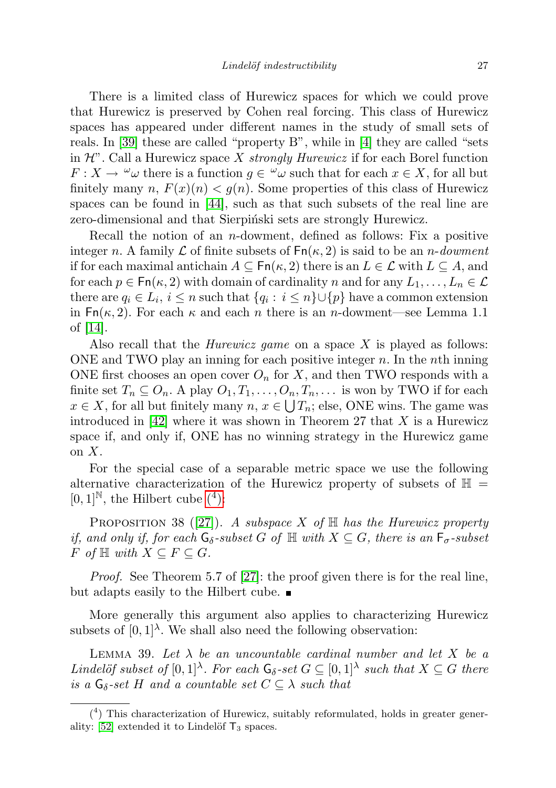There is a limited class of Hurewicz spaces for which we could prove that Hurewicz is preserved by Cohen real forcing. This class of Hurewicz spaces has appeared under different names in the study of small sets of reals. In [\[39\]](#page-44-20) these are called "property B", while in [\[4\]](#page-43-12) they are called "sets in  $\mathcal{H}$ ". Call a Hurewicz space X strongly Hurewicz if for each Borel function  $F: X \to \omega$  there is a function  $g \in \omega$  such that for each  $x \in X$ , for all but finitely many n,  $F(x)(n) < g(n)$ . Some properties of this class of Hurewicz spaces can be found in [\[44\]](#page-44-21), such as that such subsets of the real line are zero-dimensional and that Sierpinski sets are strongly Hurewicz.

Recall the notion of an *n*-dowment, defined as follows: Fix a positive integer n. A family  $\mathcal L$  of finite subsets of  $\mathsf{Fn}(\kappa, 2)$  is said to be an n-dowment if for each maximal antichain  $A \subseteq \mathsf{Fn}(\kappa, 2)$  there is an  $L \in \mathcal{L}$  with  $L \subseteq A$ , and for each  $p \in \mathsf{Fn}(\kappa, 2)$  with domain of cardinality n and for any  $L_1, \ldots, L_n \in \mathcal{L}$ there are  $q_i \in L_i$ ,  $i \leq n$  such that  $\{q_i : i \leq n\} \cup \{p\}$  have a common extension in  $\text{Fn}(\kappa, 2)$ . For each  $\kappa$  and each n there is an n-dowment—see Lemma 1.1 of [\[14\]](#page-43-9).

Also recall that the *Hurewicz game* on a space  $X$  is played as follows: ONE and TWO play an inning for each positive integer  $n$ . In the *n*th inning ONE first chooses an open cover  $O_n$  for X, and then TWO responds with a finite set  $T_n \subseteq O_n$ . A play  $O_1, T_1, \ldots, O_n, T_n, \ldots$  is won by TWO if for each  $x \in X$ , for all but finitely many  $n, x \in \bigcup T_n$ ; else, ONE wins. The game was introduced in  $[42]$  where it was shown in Theorem 27 that X is a Hurewicz space if, and only if, ONE has no winning strategy in the Hurewicz game on  $X$ .

For the special case of a separable metric space we use the following alternative characterization of the Hurewicz property of subsets of  $\mathbb{H}$  =  $[0,1]^{\mathbb{N}}$ , the Hilbert cube  $(4)$ :

<span id="page-26-1"></span>PROPOSITION 38 ([\[27\]](#page-44-18)). A subspace X of  $\mathbb H$  has the Hurewicz property if, and only if, for each  $G_{\delta}$ -subset G of  $\mathbb{H}$  with  $X \subseteq G$ , there is an  $F_{\sigma}$ -subset  $F$  of  $\mathbb H$  with  $X \subseteq F \subseteq G$ .

Proof. See Theorem 5.7 of [\[27\]](#page-44-18): the proof given there is for the real line, but adapts easily to the Hilbert cube.

More generally this argument also applies to characterizing Hurewicz subsets of  $[0,1]^\lambda$ . We shall also need the following observation:

<span id="page-26-2"></span>LEMMA 39. Let  $\lambda$  be an uncountable cardinal number and let X be a Lindelöf subset of  $[0,1]^\lambda$ . For each  $\mathsf{G}_\delta$ -set  $G \subseteq [0,1]^\lambda$  such that  $X \subseteq G$  there is a  $G_{\delta}$ -set H and a countable set  $C \subseteq \lambda$  such that

<span id="page-26-0"></span><sup>(</sup> 4 ) This characterization of Hurewicz, suitably reformulated, holds in greater generality:  $[52]$  extended it to Lindelöf  $T_3$  spaces.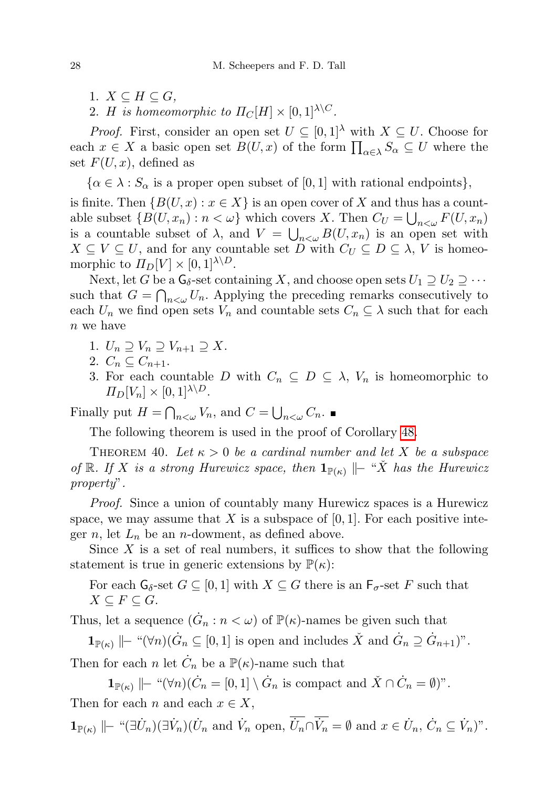- 1.  $X \subseteq H \subseteq G$ ,
- 2. H is homeomorphic to  $\Pi_C[H] \times [0,1]^{\lambda \setminus C}$ .

*Proof.* First, consider an open set  $U \subseteq [0,1]^{\lambda}$  with  $X \subseteq U$ . Choose for each  $x \in X$  a basic open set  $B(U, x)$  of the form  $\prod_{\alpha \in \lambda} S_{\alpha} \subseteq U$  where the set  $F(U, x)$ , defined as

 $\{\alpha \in \lambda : S_{\alpha}$  is a proper open subset of [0, 1] with rational endpoints},

is finite. Then  $\{B(U, x) : x \in X\}$  is an open cover of X and thus has a countable subset  $\{B(U, x_n) : n < \omega\}$  which covers X. Then  $C_U = \bigcup_{n<\omega} F(U, x_n)$ is a countable subset of  $\lambda$ , and  $V = \bigcup_{n \leq \omega} B(U, x_n)$  is an open set with  $X \subseteq V \subseteq U$ , and for any countable set D with  $C_U \subseteq D \subseteq \lambda$ , V is homeomorphic to  $\Pi_D[V] \times [0,1]^{\lambda \setminus D}$ .

Next, let G be a  $\mathsf{G}_\delta$ -set containing X, and choose open sets  $U_1 \supseteq U_2 \supseteq \cdots$ such that  $G = \bigcap_{n \leq \omega} U_n$ . Applying the preceding remarks consecutively to each  $U_n$  we find open sets  $V_n$  and countable sets  $C_n \subseteq \lambda$  such that for each n we have

- 1.  $U_n \supseteq V_n \supseteq V_{n+1} \supseteq X$ .
- 2.  $C_n \subseteq C_{n+1}$ .
- 3. For each countable D with  $C_n \subseteq D \subseteq \lambda$ ,  $V_n$  is homeomorphic to  $\Pi_D[V_n] \times [0,1]^{\lambda \setminus D}$ .

Finally put  $H = \bigcap_{n<\omega} V_n$ , and  $C = \bigcup_{n<\omega} C_n$ .

The following theorem is used in the proof of Corollary [48.](#page-35-0)

<span id="page-27-0"></span>THEOREM 40. Let  $\kappa > 0$  be a cardinal number and let X be a subspace of R. If X is a strong Hurewicz space, then  $\mathbf{1}_{\mathbb{P}(\kappa)}$   $\|\textit{- "X}$  has the Hurewicz property".

Proof. Since a union of countably many Hurewicz spaces is a Hurewicz space, we may assume that X is a subspace of  $[0, 1]$ . For each positive integer n, let  $L_n$  be an n-dowment, as defined above.

Since  $X$  is a set of real numbers, it suffices to show that the following statement is true in generic extensions by  $\mathbb{P}(\kappa)$ :

For each  $G_{\delta}$ -set  $G \subseteq [0,1]$  with  $X \subseteq G$  there is an  $F_{\sigma}$ -set F such that  $X \subseteq F \subseteq G$ .

Thus, let a sequence  $(\dot{G}_n : n < \omega)$  of  $\mathbb{P}(\kappa)$ -names be given such that

 $\mathbf{1}_{\mathbb{P}(\kappa)} \mid\mid$  " $(\forall n)(\dot{G}_n \subseteq [0, 1])$  is open and includes  $\check{X}$  and  $\dot{G}_n \supseteq \dot{G}_{n+1}$ ".

Then for each n let  $\dot{C}_n$  be a  $\mathbb{P}(\kappa)$ -name such that

 $\mathbf{1}_{\mathbb{P}(\kappa)} \mid\mid -\sqrt[n]{\mathbb{V}n} \setminus \dot{C}_n = [0, 1] \setminus \dot{G}_n$  is compact and  $\check{X} \cap \dot{C}_n = \emptyset$ )".

Then for each n and each  $x \in X$ ,

 $\mathbf{1}_{\mathbb{P}(\kappa)} \mid\mid -\sqrt{\pi} \mathbf{I}(U_n) (\mathbf{U}_n \text{ and } \dot{V}_n \text{ open}, \overline{\dot{U}_n} \cap \overline{\dot{V}_n} = \emptyset \text{ and } x \in \dot{U}_n, \dot{C}_n \subseteq \dot{V}_n$ <sup>"</sup>.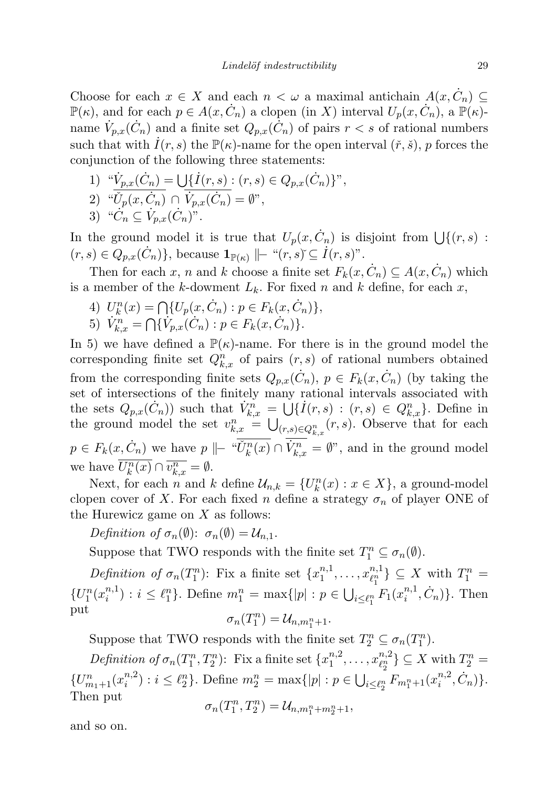Choose for each  $x \in X$  and each  $n < \omega$  a maximal antichain  $A(x, \dot{C}_n) \subseteq$  $\mathbb{P}(\kappa)$ , and for each  $p \in A(x, \dot{C}_n)$  a clopen (in X) interval  $U_p(x, \dot{C}_n)$ , a  $\mathbb{P}(\kappa)$ name  $\dot{V}_{p,x}(\dot{C}_n)$  and a finite set  $Q_{p,x}(\dot{C}_n)$  of pairs  $r < s$  of rational numbers such that with  $I(r, s)$  the  $\mathbb{P}(\kappa)$ -name for the open interval  $(\tilde{r}, \tilde{s})$ , p forces the conjunction of the following three statements:

1) 
$$
^{\omega}\dot{V}_{p,x}(\dot{C}_n) = \bigcup \{ \dot{I}(r,s) : (r,s) \in Q_{p,x}(\dot{C}_n) \}^n
$$
,  
\n2)  $^{\omega}\dot{U}_p(x, \dot{C}_n) \cap \dot{V}_{p,x}(\dot{C}_n) = \emptyset^n$ ,

3) " $\dot{C}_n \subseteq \dot{V}_{p,x}(\dot{C}_n)$ ".

In the ground model it is true that  $U_p(x, \dot{C}_n)$  is disjoint from  $\bigcup \{(r, s)$ :  $(r, s) \in Q_{p,x}(\dot{C}_n)$ , because  $\mathbf{1}_{\mathbb{P}(\kappa)} \Vdash ``(r, s) \subseteq \dot{I}(r, s)$ ".

Then for each x, n and k choose a finite set  $F_k(x, \dot{C}_n) \subseteq A(x, \dot{C}_n)$  which is a member of the k-dowment  $L_k$ . For fixed n and k define, for each x,

- 4)  $U_k^n(x) = \bigcap \{U_p(x, C_n) : p \in F_k(x, C_n)\},\$
- 5)  $\dot{V}_{k,x}^n = \bigcap \{\dot{V}_{p,x}(\dot{C}_n) : p \in F_k(x, \dot{C}_n)\}.$

In 5) we have defined a  $\mathbb{P}(\kappa)$ -name. For there is in the ground model the corresponding finite set  $Q_{k,x}^n$  of pairs  $(r, s)$  of rational numbers obtained from the corresponding finite sets  $Q_{p,x}(\dot{C}_n)$ ,  $p \in F_k(x, \dot{C}_n)$  (by taking the set of intersections of the finitely many rational intervals associated with the sets  $Q_{p,x}(\dot{C}_n)$  such that  $\dot{V}_{k,x}^n = \bigcup \{ \dot{I}(r,s) : (r,s) \in Q_{k,x}^n \}.$  Define in the ground model the set  $v_{k,x}^n = \bigcup_{(r,s)\in Q_{k,x}^n}(r,s)$ . Observe that for each  $p \in F_k(x, \dot{C}_n)$  we have  $p \parallel - \sqrt[n]{\check{U}_k^n(x)} \cap \dot{V}_{k,x}^n = \emptyset$ ", and in the ground model we have  $\overline{U_k^n(x)} \cap \overline{v_{k,x}^n} = \emptyset$ .

Next, for each *n* and *k* define  $\mathcal{U}_{n,k} = \{U_k^n(x) : x \in X\}$ , a ground-model clopen cover of X. For each fixed n define a strategy  $\sigma_n$  of player ONE of the Hurewicz game on  $X$  as follows:

Definition of  $\sigma_n(\emptyset)$ :  $\sigma_n(\emptyset) = \mathcal{U}_{n,1}$ .

Suppose that TWO responds with the finite set  $T_1^n \subseteq \sigma_n(\emptyset)$ .

Definition of  $\sigma_n(T_1^n)$ : Fix a finite set  $\{x_1^{n,1}\}$  $x_1^{n,1}, \ldots, x_{\ell_1^n}^{n,1}$  $\{e_1^{n,1}\}\subseteq X$  with  $T_1^n=$  $\{U_{1}^{n}(x_{i}^{n,1}% ,\xi_{i}^{n})\}$  $i^{(n,1)}$  :  $i \leq \ell_1^n$ . Define  $m_1^n = \max\{|p| : p \in \bigcup_{i \leq \ell_1^n} F_1(x_i^{n,1})\}$  $_{i}^{n,1}, \dot{C}_{n}$  }. Then put n

$$
\sigma_n(T_1^n)=\mathcal{U}_{n,m_1^n+1}.
$$

Suppose that TWO responds with the finite set  $T_2^n \subseteq \sigma_n(T_1^n)$ .

Definition of  $\sigma_n(T_1^n, T_2^n)$ : Fix a finite set  $\{x_1^{n,2}\}$  $x_1^{n,2}, \ldots, x_{\ell_2^n}^{n,2}$  $\{e_2^{n,2}\}\subseteq X$  with  $T_2^n=$  $\{U_{m_1+1}^n(x_i^{n,2})\}$  $\sum_{i=1}^{n} (n+1) : i \leq \ell_2^n$ . Define  $m_2^n = \max\{|p| : p \in \bigcup_{i \leq \ell_2^n} F_{m_1^n + 1}(x_i^{n,2})\}$  $\{^{n,2}_i, \dot{C}_n)\}.$ Then put n

$$
\sigma_n(T_1^n, T_2^n) = \mathcal{U}_{n,m_1^n + m_2^n + 1},
$$

and so on.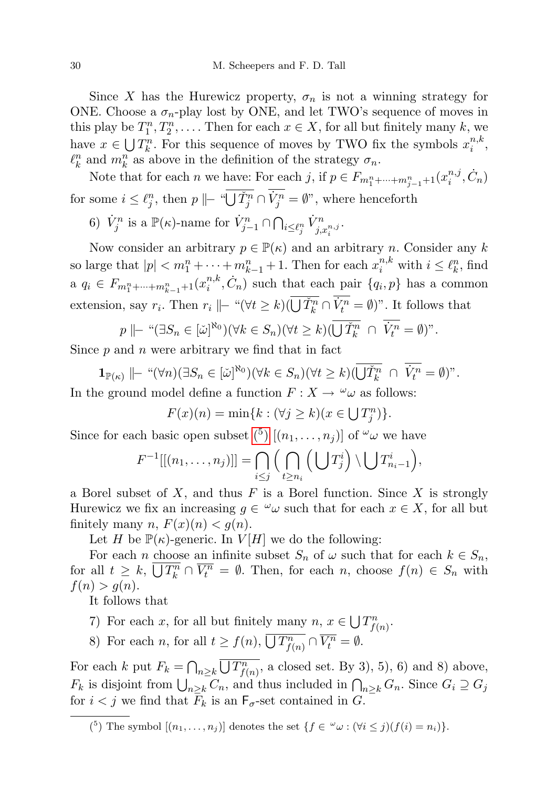Since X has the Hurewicz property,  $\sigma_n$  is not a winning strategy for ONE. Choose a  $\sigma_n$ -play lost by ONE, and let TWO's sequence of moves in this play be  $T_1^n, T_2^n, \ldots$ . Then for each  $x \in X$ , for all but finitely many k, we have  $x \in \bigcup T_k^n$ . For this sequence of moves by TWO fix the symbols  $x_i^{n,k}$  $i^{n,\kappa}$  $\ell_k^n$  and  $m_k^n$  as above in the definition of the strategy  $\sigma_n$ .

Note that for each *n* we have: For each *j*, if  $p \in F_{m_1^n + \dots + m_{j-1}^n + 1}(x_i^{n,j})$  $i^{n,j}, \dot{C}_n$ for some  $i \leq \ell_j^n$ , then  $p \Vdash \sqrt[n]{\check{U}_j^n} \cap \dot{V}_j^n = \emptyset$ ", where henceforth

6)  $\dot{V}_j^n$  is a  $\mathbb{P}(\kappa)$ -name for  $\dot{V}_{j-1}^n \cap \bigcap_{i \leq \ell_j^n} \dot{V}_{j, x_i^{n,j}}^n$ .

Now consider an arbitrary  $p \in \mathbb{P}(\kappa)$  and an arbitrary n. Consider any k so large that  $|p| < m_1^n + \cdots + m_{k-1}^n + 1$ . Then for each  $x_i^{n,k}$  with  $i \leq \ell_k^n$ , find a  $q_i \in F_{m_1^n + \dots + m_{k-1}^n + 1}(x_i^{n,k})$  $i^{n,k}, \dot{C}_n$  such that each pair  $\{q_i, p\}$  has a common extension, say  $r_i$ . Then  $r_i \parallel - \sqrt{\forall t \ge k} \cup (\overline{\bigcup \check{T}_k^n} \cap \dot{V}_t^n = \emptyset)$ ". It follows that

$$
p \parallel \vdash ``(\exists S_n \in [\check{\omega}]^{\aleph_0})(\forall k \in S_n)(\forall t \ge k)(\overline{\bigcup \check{T}_k^n} \cap \overline{V_t^n} = \emptyset)"
$$

Since  $p$  and  $n$  were arbitrary we find that in fact

 $\mathbf{1}_{\mathbb{P}(\kappa)} \Vdash "\forall n)(\exists S_n \in [\check{\omega}]^{\aleph_0})(\forall k \in S_n)(\forall t \geq k)(\overrightarrow{U}_k^n \cap \dot{V}_t^n = \emptyset)".$ In the ground model define a function  $F: X \to \omega$  as follows:

 $F(x)(n) = \min\{k : (\forall j \ge k)(x \in \bigcup T_j^n)\}.$ 

Since for each basic open subset  $\binom{5}{1}$   $[(n_1, \ldots, n_j)]$  $[(n_1, \ldots, n_j)]$  $[(n_1, \ldots, n_j)]$  of  $\omega$  we have

$$
F^{-1}[[(n_1,\ldots,n_j)]] = \bigcap_{i\leq j} \Big(\bigcap_{t\geq n_i} \Big(\bigcup T_j^i\Big) \setminus \bigcup T_{n_i-1}^i\Big),\
$$

a Borel subset of  $X$ , and thus  $F$  is a Borel function. Since  $X$  is strongly Hurewicz we fix an increasing  $g \in \omega$  such that for each  $x \in X$ , for all but finitely many n,  $F(x)(n) < g(n)$ .

Let H be  $\mathbb{P}(\kappa)$ -generic. In  $V[H]$  we do the following:

For each *n* choose an infinite subset  $S_n$  of  $\omega$  such that for each  $k \in S_n$ , for all  $t \geq k$ ,  $\overline{\bigcup T_k^n} \cap \overline{V_l^n} = \emptyset$ . Then, for each n, choose  $f(n) \in S_n$  with  $f(n) > g(n)$ .

It follows that

- 7) For each x, for all but finitely many  $n, x \in \bigcup T_{f(n)}^n$ .
- 8) For each *n*, for all  $t \ge f(n)$ ,  $\overline{\bigcup T_{f(n)}^n} \cap \overline{V_t^n} = \emptyset$ .

For each k put  $F_k = \bigcap_{n \geq k} \overline{\bigcup T_{f(n)}^n}$ , a closed set. By 3), 5), 6) and 8) above,  $F_k$  is disjoint from  $\bigcup_{n\geq k} C_n$ , and thus included in  $\bigcap_{n\geq k} G_n$ . Since  $G_i \supseteq G_j$ for  $i < j$  we find that  $\overline{F}_k$  is an  $F_{\sigma}$ -set contained in G.

<span id="page-29-0"></span><sup>&</sup>lt;sup>(5</sup>) The symbol  $[(n_1,\ldots,n_j)]$  denotes the set  $\{f \in {}^{\omega}\omega : (\forall i \le j)(f(i) = n_i)\}.$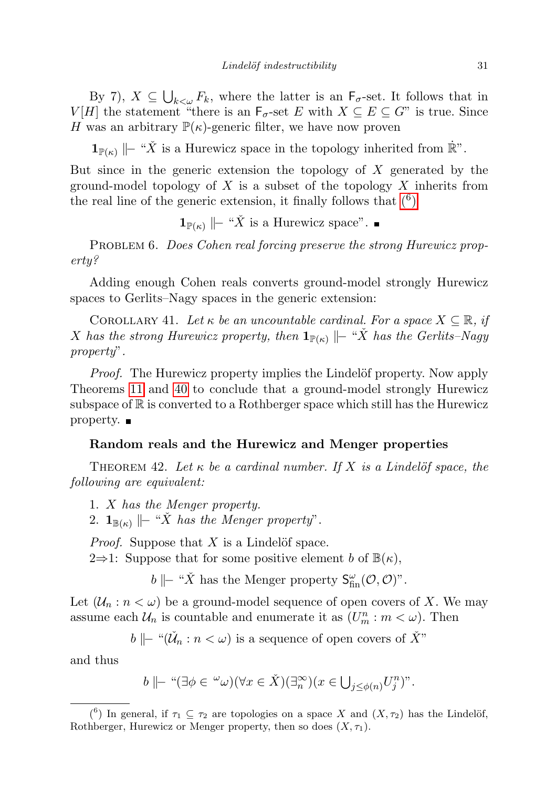By 7),  $X \subseteq \bigcup_{k<\omega} F_k$ , where the latter is an  $\mathsf{F}_{\sigma}$ -set. It follows that in  $V[H]$  the statement "there is an  $\mathsf{F}_{\sigma}$ -set E with  $X \subseteq E \subseteq G$ " is true. Since H was an arbitrary  $\mathbb{P}(\kappa)$ -generic filter, we have now proven

 $1_{\mathbb{P}(\kappa)}$   $\|\text{-}$  "X<sup>\*</sup> is a Hurewicz space in the topology inherited from  $\mathbb{R}^n$ .

But since in the generic extension the topology of  $X$  generated by the ground-model topology of  $X$  is a subset of the topology  $X$  inherits from the real line of the generic extension, it finally follows that  $(6)$ 

 $\mathbf{1}_{\mathbb{P}(\kappa)}$   $\mid$  − " $\check{X}$  is a Hurewicz space".

PROBLEM 6. Does Cohen real forcing preserve the strong Hurewicz property?

Adding enough Cohen reals converts ground-model strongly Hurewicz spaces to Gerlits–Nagy spaces in the generic extension:

COROLLARY 41. Let  $\kappa$  be an uncountable cardinal. For a space  $X \subseteq \mathbb{R}$ , if X has the strong Hurewicz property, then  $\mathbf{1}_{\mathbb{P}(\kappa)}$   $\|\text{-} \text{``X}$  has the Gerlits–Nagy property".

*Proof.* The Hurewicz property implies the Lindelöf property. Now apply Theorems [11](#page-8-0) and [40](#page-27-0) to conclude that a ground-model strongly Hurewicz subspace of  $\mathbb R$  is converted to a Rothberger space which still has the Hurewicz property.

## Random reals and the Hurewicz and Menger properties

THEOREM 42. Let  $\kappa$  be a cardinal number. If X is a Lindelöf space, the following are equivalent:

- 1. X has the Menger property.
- 2.  $\mathbf{1}_{\mathbb{B}(\kappa)}$   $\|\text{-} \text{``X}$  has the Menger property".

*Proof.* Suppose that  $X$  is a Lindelöf space.

2⇒1: Suppose that for some positive element b of  $\mathbb{B}(\kappa)$ ,

*b*  $\|\text{\textendash}-$  " $\check{X}$  has the Menger property  $\mathsf{S}^{\omega}_{\text{fin}}(\mathcal{O}, \mathcal{O})$ ".

Let  $(\mathcal{U}_n : n < \omega)$  be a ground-model sequence of open covers of X. We may assume each  $\mathcal{U}_n$  is countable and enumerate it as  $(U_m^n : m < \omega)$ . Then

$$
b \parallel_{\sim} \text{``}(\check{\mathcal{U}}_n : n < \omega) \text{ is a sequence of open covers of } \check{X}^n
$$

and thus

$$
b \parallel_{\negthinspace -} \ulcorner ``(\exists \phi \in \negthinspace^{\omega} \omega)(\forall x \in \check{X})(\exists_n^{\infty})(x \in \bigcup_{j \le \phi(n)} U_j^n)"
$$

<span id="page-30-0"></span><sup>(&</sup>lt;sup>6</sup>) In general, if  $\tau_1 \subseteq \tau_2$  are topologies on a space X and  $(X, \tau_2)$  has the Lindelöf, Rothberger, Hurewicz or Menger property, then so does  $(X, \tau_1)$ .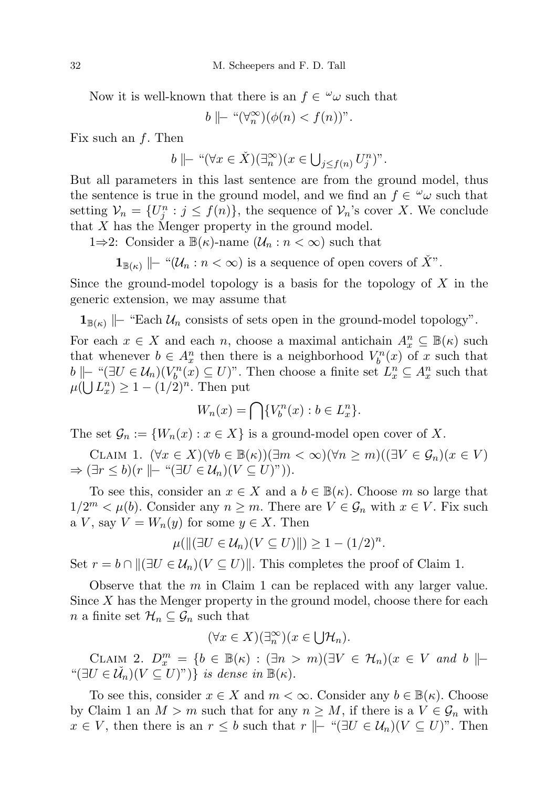Now it is well-known that there is an  $f \in \omega$  such that

 $b \mid\mid - \sqrt{\omega_n} (\phi(n) < f(n))$ ".

Fix such an  $f$ . Then

$$
b \mid\mid^{-} \text{``} (\forall x \in \check{X})(\exists^{\infty}_n)(x \in \bigcup_{j \leq f(n)} U_j^n)^n.
$$

But all parameters in this last sentence are from the ground model, thus the sentence is true in the ground model, and we find an  $f \in \omega$  such that setting  $\mathcal{V}_n = \{U_j^n : j \leq f(n)\}\$ , the sequence of  $\mathcal{V}_n$ 's cover X. We conclude that X has the Menger property in the ground model.

1⇒2: Consider a  $\mathbb{B}(\kappa)$ -name  $(\mathcal{U}_n : n < \infty)$  such that

 $\mathbf{1}_{\mathbb{B}(\kappa)}$   $\|\text{- } \text{``}(\mathcal{U}_n : n < \infty)$  is a sequence of open covers of  $\check{X}$ ".

Since the ground-model topology is a basis for the topology of  $X$  in the generic extension, we may assume that

 $\mathbf{1}_{\mathbb{B}(\kappa)}$   $\|\text{-}$  "Each  $\mathcal{U}_n$  consists of sets open in the ground-model topology".

For each  $x \in X$  and each n, choose a maximal antichain  $A_x^n \subseteq \mathbb{B}(\kappa)$  such that whenever  $b \in A_x^n$  then there is a neighborhood  $V_b^n(x)$  of x such that b  $\|\text{− "}}(\exists U \in \mathcal{U}_n)(V_b^n(x) \subseteq U)$ ". Then choose a finite set  $L_x^n \subseteq A_x^n$  such that  $\mu(\bigcup L_x^n) \geq 1 - (1/2)^n$ . Then put

$$
W_n(x) = \bigcap \{V_b^n(x) : b \in L_x^n\}.
$$

The set  $\mathcal{G}_n := \{W_n(x) : x \in X\}$  is a ground-model open cover of X.

CLAIM 1.  $(\forall x \in X)(\forall b \in \mathbb{B}(\kappa))(\exists m < \infty)(\forall n \ge m)((\exists V \in \mathcal{G}_n)(x \in V))$  $\Rightarrow (\exists r \leq b)(r \mid\vdash$  " $(\exists U \in \mathcal{U}_n)(V \subseteq U)$ ")).

To see this, consider an  $x \in X$  and a  $b \in \mathbb{B}(\kappa)$ . Choose m so large that  $1/2^m < \mu(b)$ . Consider any  $n \geq m$ . There are  $V \in \mathcal{G}_n$  with  $x \in V$ . Fix such a V, say  $V = W_n(y)$  for some  $y \in X$ . Then

$$
\mu(||(\exists U \in \mathcal{U}_n)(V \subseteq U)||) \ge 1 - (1/2)^n.
$$

Set  $r = b \cap ||(\exists U \in \mathcal{U}_n)(V \subseteq U)||$ . This completes the proof of Claim 1.

Observe that the  $m$  in Claim 1 can be replaced with any larger value. Since  $X$  has the Menger property in the ground model, choose there for each *n* a finite set  $\mathcal{H}_n \subseteq \mathcal{G}_n$  such that

$$
(\forall x \in X)(\exists_n^{\infty})(x \in \bigcup \mathcal{H}_n).
$$

CLAIM 2.  $D_x^m = \{b \in \mathbb{B}(\kappa) : (\exists n > m)(\exists V \in \mathcal{H}_n)(x \in V \text{ and } b \|$ " $(\exists U \in \check{U}_n)(V \subseteq U)^n)$  is dense in  $\mathbb{B}(\kappa)$ .

To see this, consider  $x \in X$  and  $m < \infty$ . Consider any  $b \in \mathbb{B}(\kappa)$ . Choose by Claim 1 an  $M > m$  such that for any  $n \geq M$ , if there is a  $V \in \mathcal{G}_n$  with  $x \in V$ , then there is an  $r \leq b$  such that  $r \Vdash "(\exists U \in \mathcal{U}_n)(V \subseteq U)$ ". Then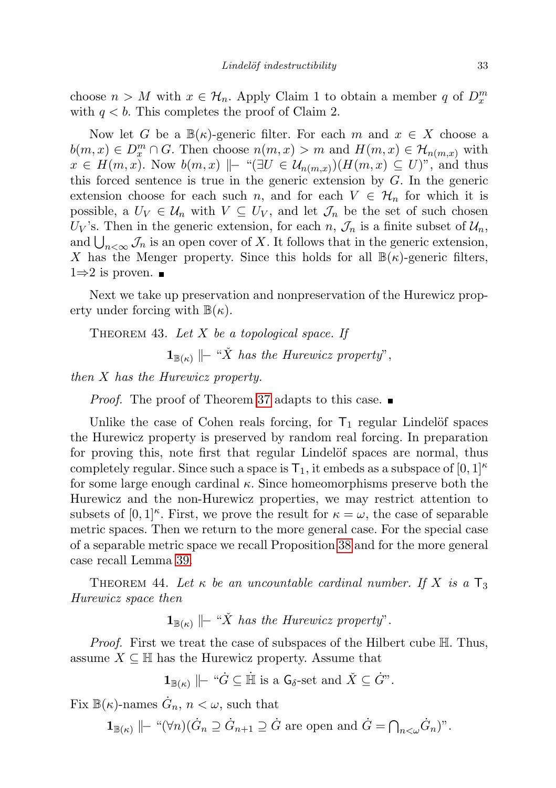choose  $n > M$  with  $x \in \mathcal{H}_n$ . Apply Claim 1 to obtain a member q of  $D_x^m$ with  $q < b$ . This completes the proof of Claim 2.

Now let G be a  $\mathbb{B}(\kappa)$ -generic filter. For each m and  $x \in X$  choose a  $b(m, x) \in D_x^m \cap G$ . Then choose  $n(m, x) > m$  and  $H(m, x) \in \mathcal{H}_{n(m, x)}$  with  $x \in H(m, x)$ . Now  $b(m, x) \Vdash "(\exists U \in \mathcal{U}_{n(m, x)})(H(m, x) \subseteq U)"$ , and thus this forced sentence is true in the generic extension by  $G$ . In the generic extension choose for each such n, and for each  $V \in \mathcal{H}_n$  for which it is possible, a  $U_V \in \mathcal{U}_n$  with  $V \subseteq U_V$ , and let  $\mathcal{J}_n$  be the set of such chosen  $U_V$ 's. Then in the generic extension, for each n,  $\mathcal{J}_n$  is a finite subset of  $\mathcal{U}_n$ , and  $\bigcup_{n<\infty}\mathcal{J}_n$  is an open cover of X. It follows that in the generic extension, X has the Menger property. Since this holds for all  $\mathbb{B}(\kappa)$ -generic filters,  $1\Rightarrow 2$  is proven.  $\blacksquare$ 

Next we take up preservation and nonpreservation of the Hurewicz property under forcing with  $\mathbb{B}(\kappa)$ .

<span id="page-32-0"></span>THEOREM 43. Let  $X$  be a topological space. If

 $\mathbf{1}_{\mathbb{B}(\kappa)}$   $\|\textit{-} \text{``X}$  has the Hurewicz property",

then X has the Hurewicz property.

*Proof.* The proof of Theorem [37](#page-25-0) adapts to this case.

Unlike the case of Cohen reals forcing, for  $T_1$  regular Lindelöf spaces the Hurewicz property is preserved by random real forcing. In preparation for proving this, note first that regular Lindelöf spaces are normal, thus completely regular. Since such a space is  $T_1$ , it embeds as a subspace of  $[0,1]^{\kappa}$ for some large enough cardinal  $\kappa$ . Since homeomorphisms preserve both the Hurewicz and the non-Hurewicz properties, we may restrict attention to subsets of  $[0,1]^\kappa$ . First, we prove the result for  $\kappa = \omega$ , the case of separable metric spaces. Then we return to the more general case. For the special case of a separable metric space we recall Proposition [38](#page-26-1) and for the more general case recall Lemma [39.](#page-26-2)

<span id="page-32-1"></span>THEOREM 44. Let  $\kappa$  be an uncountable cardinal number. If X is a  $\mathsf{T}_3$ Hurewicz space then

 $\mathbf{1}_{\mathbb{B}(\kappa)}$   $\|\textit{-} \text{``X}$  has the Hurewicz property".

Proof. First we treat the case of subspaces of the Hilbert cube H. Thus, assume  $X \subseteq \mathbb{H}$  has the Hurewicz property. Assume that

 $\mathbf{1}_{\mathbb{B}(\kappa)} \Vdash \text{``}\dot{G} \subseteq \dot{\mathbb{H}}$  is a  $\mathsf{G}_{\delta}$ -set and  $\check{X} \subseteq \dot{G}$ ".

Fix  $\mathbb{B}(\kappa)$ -names  $\dot{G}_n$ ,  $n < \omega$ , such that

$$
\mathbf{1}_{\mathbb{B}(\kappa)} \mid\mid-\text{``}(\forall n)(\dot{G}_n \supseteq \dot{G}_{n+1} \supseteq \dot{G} \text{ are open and } \dot{G} = \bigcap_{n < \omega} \dot{G}_n\text{''}.
$$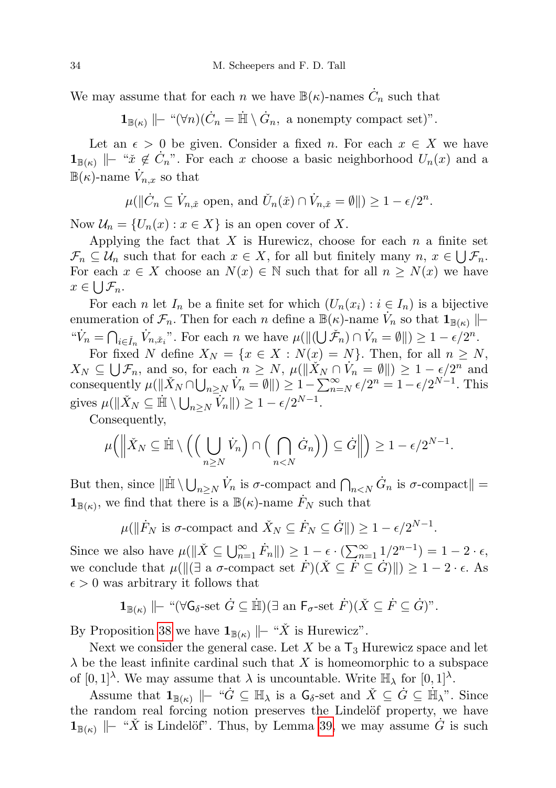We may assume that for each n we have  $\mathbb{B}(\kappa)$ -names  $\dot{C}_n$  such that

 $\mathbf{1}_{\mathbb{B}(\kappa)} \mid\mid -\sqrt[\kappa]{n} \cdot (\dot{C}_n = \dot{\mathbb{H}} \setminus \dot{G}_n, \text{ a nonempty compact set})$ ".

Let an  $\epsilon > 0$  be given. Consider a fixed n. For each  $x \in X$  we have  $\mathbf{1}_{\mathbb{B}(\kappa)}$   $\|\text{– "x }\notin \dot{C}_n$ ". For each x choose a basic neighborhood  $U_n(x)$  and a  $\mathbb{B}(\kappa)$ -name  $\dot{V}_{n,x}$  so that

$$
\mu(\|\dot{C}_n\subseteq \dot{V}_{n,\check{x}} \text{ open, and } \check{U}_n(\check{x})\cap \dot{V}_{n,\check{x}}=\emptyset\|)\geq 1-\epsilon/2^n.
$$

Now  $\mathcal{U}_n = \{U_n(x) : x \in X\}$  is an open cover of X.

Applying the fact that  $X$  is Hurewicz, choose for each  $n$  a finite set  $\mathcal{F}_n \subseteq \mathcal{U}_n$  such that for each  $x \in X$ , for all but finitely many  $n, x \in \bigcup \mathcal{F}_n$ . For each  $x \in X$  choose an  $N(x) \in \mathbb{N}$  such that for all  $n \geq N(x)$  we have  $x \in \bigcup \mathcal{F}_n$ .

For each n let  $I_n$  be a finite set for which  $(U_n(x_i): i \in I_n)$  is a bijective enumeration of  $\mathcal{F}_n$ . Then for each n define a  $\mathbb{B}(\kappa)$ -name  $\dot{V}_n$  so that  $\mathbf{1}_{\mathbb{B}(\kappa)}$   $\|\cdot\|$ " $\dot{V}_n = \bigcap_{i \in \check{I}_n} \dot{V}_{n, \check{x}_i}$ ". For each n we have  $\mu(||(\bigcup \check{\mathcal{F}}_n) \cap \dot{V}_n = \emptyset||) \geq 1 - \epsilon/2^n$ .

For fixed N define  $X_N = \{x \in X : N(x) = N\}$ . Then, for all  $n \geq N$ ,  $X_N \subseteq \bigcup \mathcal{F}_n$ , and so, for each  $n \geq N$ ,  $\mu(\|\check{X}_N \cap \check{V}_n = \emptyset\|) \geq 1 - \epsilon/2^n$  and consequently  $\mu(\|\check{X}_N \cap \bigcup_{n \ge N} \check{V}_n = \emptyset \|) \ge 1 - \sum_{n=N}^{\infty} \epsilon/2^n = 1 - \epsilon/2^{N-1}$ . This gives  $\mu(\|\check{X}_N \subseteq \mathbb{H} \setminus \bigcup_{n \geq N} \check{V}_n\|) \geq 1 - \epsilon/2^{N-1}.$ 

Consequently,

$$
\mu\Big(\Big\|\check{X}_N\subseteq\dot{\mathbb{H}}\setminus\Big(\Big(\bigcup_{n\geq N}\dot{V}_n\Big)\cap\Big(\bigcap_{n
$$

But then, since  $\|\dot{\mathbb{H}} \setminus \bigcup_{n \geq N} \dot{V}_n\)$  is  $\sigma$ -compact and  $\bigcap_{n < N} \dot{G}_n$  is  $\sigma$ -compact  $\| =$  $\mathbf{1}_{\mathbb{B}(\kappa)}$ , we find that there is a  $\mathbb{B}(\kappa)$ -name  $\dot{F}_N$  such that

 $\mu(\|\dot{F}_N\)$  is  $\sigma$ -compact and  $\check{X}_N \subseteq \dot{F}_N \subseteq \dot{G}||$   $\geq 1 - \epsilon/2^{N-1}$ .

Since we also have  $\mu(\|\check{X}\subseteq\bigcup_{n=1}^{\infty}\dot{F}_n\|)\geq 1-\epsilon\cdot\left(\sum_{n=1}^{\infty}1/2^{n-1}\right)=1-2\cdot\epsilon$ , we conclude that  $\mu(||(\exists \text{ a } \sigma\text{-compact set } \dot{F})(\check{X} \subseteq \dot{F} \subseteq \dot{G})||) \geq 1 - 2 \cdot \epsilon$ . As  $\epsilon > 0$  was arbitrary it follows that

$$
\mathbf{1}_{\mathbb{B}(\kappa)} \mid\mid-\text{``}(\forall\mathsf{G}_{\delta}\text{-set }\dot{G}\subseteq\dot{\mathbb{H}})(\exists\text{ an }\mathsf{F}_{\sigma}\text{-set }\dot{F})(\check{X}\subseteq\dot{F}\subseteq\dot{G})\text{''}.
$$

By Proposition [38](#page-26-1) we have  $\mathbf{1}_{\mathbb{B}(\kappa)}$   $\|\text{-} \ ^\omega X$  is Hurewicz".

Next we consider the general case. Let  $X$  be a  $T_3$  Hurewicz space and let  $\lambda$  be the least infinite cardinal such that X is homeomorphic to a subspace of  $[0,1]^\lambda$ . We may assume that  $\lambda$  is uncountable. Write  $\mathbb{H}_{\lambda}$  for  $[0,1]^\lambda$ .

Assume that  $\mathbf{1}_{\mathbb{B}(\kappa)} \Vdash \text{``}\dot{G} \subseteq \mathbb{H}_{\lambda}$  is a  $\mathsf{G}_{\delta}$ -set and  $\check{X} \subseteq \dot{G} \subseteq \dot{\mathbb{H}}_{\lambda}$ ". Since the random real forcing notion preserves the Lindelöf property, we have  $\mathbf{1}_{\mathbb{B}(\kappa)}$   $\|\text{--}\right.^{u}\check{X}$  is Lindelöf". Thus, by Lemma [39,](#page-26-2) we may assume  $\check{G}$  is such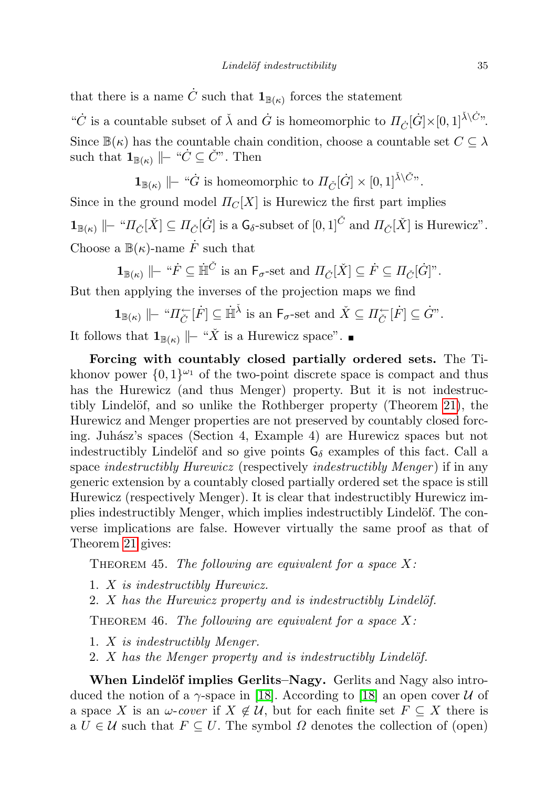that there is a name  $\dot{C}$  such that  $\mathbf{1}_{\mathbb{B}(\kappa)}$  forces the statement

" $\dot{C}$  is a countable subset of  $\check{\lambda}$  and  $\dot{G}$  is homeomorphic to  $\Pi_{\dot{C}}[\dot{G}]\times[0,1]^{\check{\lambda}\backslash\dot{C}n}$ . Since  $\mathbb{B}(\kappa)$  has the countable chain condition, choose a countable set  $C \subseteq \lambda$ such that  $\mathbf{1}_{\mathbb{B}(\kappa)} \Vdash ``\dot{C} \subseteq \check{C}"$ . Then

 $\mathbf{1}_{\mathbb{B}(\kappa)} \; \| \!-\!$  " $\dot{G}$  is homeomorphic to  $\Pi_{\check{C}}[\dot{G}] \times [0,1]^{\check{\lambda} \setminus \check{C}n}$ .

Since in the ground model  $\Pi_C[X]$  is Hurewicz the first part implies  $\mathbf{1}_{\mathbb{B}(\kappa)} \; \| \!-\!~^\omega \! \varPi_{\check{C}}[\check{X}] \subseteq \varPi_{\check{C}}[\dot{G}]$  is a  $\mathsf{G}_\delta$ -subset of  $[0,1]^{\check{C}}$  and  $\varPi_{\check{C}}[\check{X}]$  is Hurewicz". Choose a  $\mathbb{B}(\kappa)$ -name  $\dot{F}$  such that

 $1_{\mathbb{B}(\kappa)} \parallel_{\mathbb{F}} \H \r \in \dot{\mathbb{H}}^{\check{C}}$  is an  $\mathsf{F}_{\sigma}$ -set and  $\Pi_{\check{C}}[\check{X}] \subseteq \dot{F} \subseteq \Pi_{\check{C}}[\dot{G}]$ ".

But then applying the inverses of the projection maps we find

$$
\mathbf{1}_{\mathbb{B}(\kappa)} \mid\mid-\text{``} \Pi_{\check{C}}^{\leftarrow}[\dot{F}] \subseteq \dot{\mathbb{H}}^{\check{\lambda}} \text{ is an } \mathsf{F}_{\sigma}\text{-set and } \check{X} \subseteq \Pi_{\check{C}}^{\leftarrow}[\dot{F}] \subseteq \dot{G}^{\nu}.
$$

It follows that  $\mathbf{1}_{\mathbb{B}(\kappa)}$   $\|\text{- } "X$  is a Hurewicz space". ■

Forcing with countably closed partially ordered sets. The Tikhonov power  $\{0,1\}^{\omega_1}$  of the two-point discrete space is compact and thus has the Hurewicz (and thus Menger) property. But it is not indestruc-tibly Lindelöf, and so unlike the Rothberger property (Theorem [21\)](#page-15-0), the Hurewicz and Menger properties are not preserved by countably closed forcing. Juh´asz's spaces (Section 4, Example 4) are Hurewicz spaces but not indestructibly Lindelöf and so give points  $G_{\delta}$  examples of this fact. Call a space *indestructibly Hurewicz* (respectively *indestructibly Menger*) if in any generic extension by a countably closed partially ordered set the space is still Hurewicz (respectively Menger). It is clear that indestructibly Hurewicz implies indestructibly Menger, which implies indestructibly Lindelöf. The converse implications are false. However virtually the same proof as that of Theorem [21](#page-15-0) gives:

THEOREM 45. The following are equivalent for a space  $X$ :

- 1. X is indestructibly Hurewicz.
- 2.  $X$  has the Hurewicz property and is indestructibly Lindelöf.

THEOREM 46. The following are equivalent for a space  $X$ :

- 1. X is indestructibly Menger.
- 2.  $X$  has the Menger property and is indestructibly Lindelöf.

When Lindelöf implies Gerlits–Nagy. Gerlits and Nagy also introduced the notion of a  $\gamma$ -space in [\[18\]](#page-44-5). According to [18] an open cover U of a space X is an  $\omega$ -cover if  $X \notin \mathcal{U}$ , but for each finite set  $F \subseteq X$  there is a  $U \in \mathcal{U}$  such that  $F \subseteq U$ . The symbol  $\Omega$  denotes the collection of (open)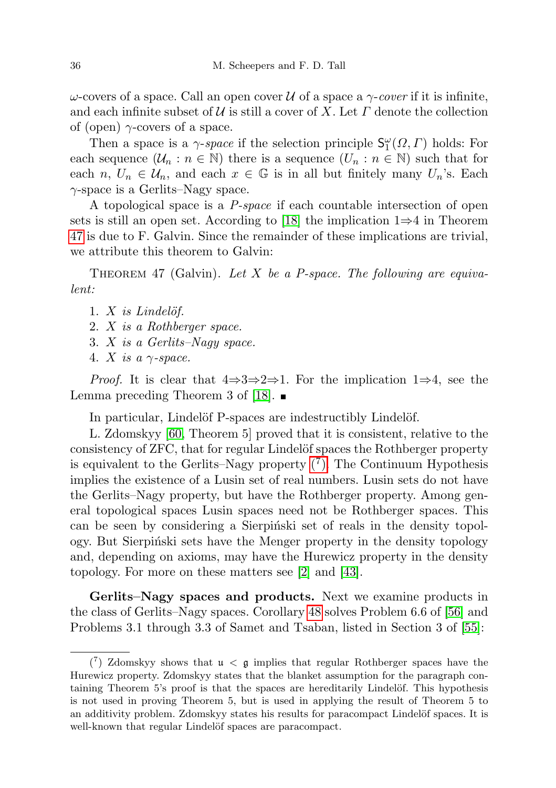ω-covers of a space. Call an open cover U of a space a  $\gamma$ -cover if it is infinite, and each infinite subset of  $\mathcal U$  is still a cover of X. Let  $\Gamma$  denote the collection of (open)  $\gamma$ -covers of a space.

Then a space is a  $\gamma$ -space if the selection principle  $\mathsf{S}^{\omega}_1(\Omega,\Gamma)$  holds: For each sequence  $(\mathcal{U}_n : n \in \mathbb{N})$  there is a sequence  $(U_n : n \in \mathbb{N})$  such that for each  $n, U_n \in \mathcal{U}_n$ , and each  $x \in \mathbb{G}$  is in all but finitely many  $U_n$ 's. Each  $\gamma$ -space is a Gerlits–Nagy space.

A topological space is a P-space if each countable intersection of open sets is still an open set. According to [\[18\]](#page-44-5) the implication  $1\Rightarrow 4$  in Theorem [47](#page-35-1) is due to F. Galvin. Since the remainder of these implications are trivial, we attribute this theorem to Galvin:

<span id="page-35-1"></span>THEOREM 47 (Galvin). Let X be a P-space. The following are equivalent:

- 1.  $X$  is Lindelöf.
- 2. X is a Rothberger space.
- 3. X is a Gerlits–Nagy space.
- 4. X is a  $\gamma$ -space.

*Proof.* It is clear that  $4\Rightarrow 3\Rightarrow 2\Rightarrow 1$ . For the implication  $1\Rightarrow 4$ , see the Lemma preceding Theorem 3 of [\[18\]](#page-44-5).  $\blacksquare$ 

In particular, Lindelöf P-spaces are indestructibly Lindelöf.

L. Zdomskyy [\[60,](#page-45-12) Theorem 5] proved that it is consistent, relative to the consistency of ZFC, that for regular Lindelöf spaces the Rothberger property is equivalent to the Gerlits–Nagy property  $(7)$ . The Continuum Hypothesis implies the existence of a Lusin set of real numbers. Lusin sets do not have the Gerlits–Nagy property, but have the Rothberger property. Among general topological spaces Lusin spaces need not be Rothberger spaces. This can be seen by considering a Sierpinski set of reals in the density topology. But Sierpinski sets have the Menger property in the density topology and, depending on axioms, may have the Hurewicz property in the density topology. For more on these matters see [\[2\]](#page-43-13) and [\[43\]](#page-44-22).

Gerlits–Nagy spaces and products. Next we examine products in the class of Gerlits–Nagy spaces. Corollary [48](#page-35-0) solves Problem 6.6 of [\[56\]](#page-45-4) and Problems 3.1 through 3.3 of Samet and Tsaban, listed in Section 3 of [\[55\]](#page-45-13):

<span id="page-35-2"></span><span id="page-35-0"></span> $\binom{7}{1}$  Zdomskyy shows that  $\mathfrak{u} < \mathfrak{g}$  implies that regular Rothberger spaces have the Hurewicz property. Zdomskyy states that the blanket assumption for the paragraph containing Theorem 5's proof is that the spaces are hereditarily Lindelöf. This hypothesis is not used in proving Theorem 5, but is used in applying the result of Theorem 5 to an additivity problem. Zdomskyy states his results for paracompact Lindelöf spaces. It is well-known that regular Lindelöf spaces are paracompact.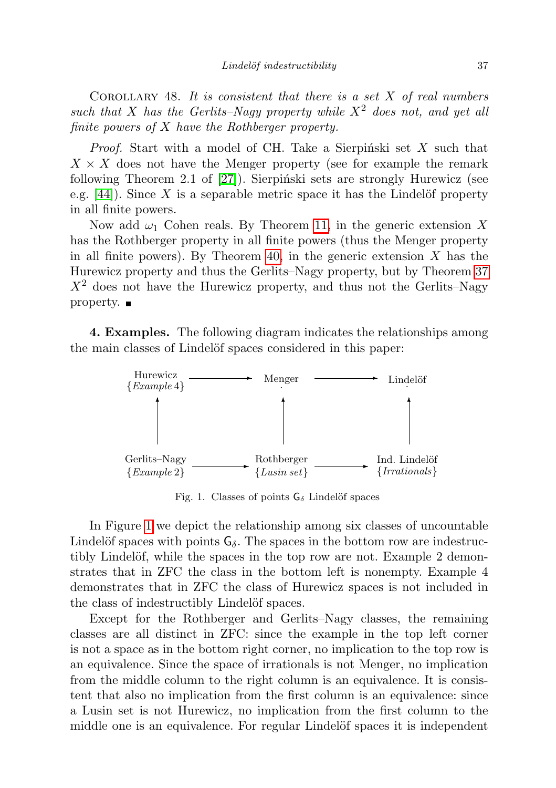COROLLARY 48. It is consistent that there is a set  $X$  of real numbers such that X has the Gerlits–Nagy property while  $X^2$  does not, and yet all finite powers of X have the Rothberger property.

*Proof.* Start with a model of CH. Take a Sierpinski set  $X$  such that  $X \times X$  does not have the Menger property (see for example the remark following Theorem 2.1 of  $[27]$ ). Sierpiński sets are strongly Hurewicz (see e.g.  $[44]$ ). Since X is a separable metric space it has the Lindelöf property in all finite powers.

Now add  $\omega_1$  Cohen reals. By Theorem [11,](#page-8-0) in the generic extension X has the Rothberger property in all finite powers (thus the Menger property in all finite powers). By Theorem [40,](#page-27-0) in the generic extension  $X$  has the Hurewicz property and thus the Gerlits–Nagy property, but by Theorem [37](#page-25-0)  $X<sup>2</sup>$  does not have the Hurewicz property, and thus not the Gerlits–Nagy property.  $\blacksquare$ 

4. Examples. The following diagram indicates the relationships among the main classes of Lindelöf spaces considered in this paper:



<span id="page-36-0"></span>Fig. 1. Classes of points  $G_{\delta}$  Lindelöf spaces

In Figure [1](#page-36-0) we depict the relationship among six classes of uncountable Lindelöf spaces with points  $G_\delta$ . The spaces in the bottom row are indestructibly Lindelöf, while the spaces in the top row are not. Example 2 demonstrates that in ZFC the class in the bottom left is nonempty. Example 4 demonstrates that in ZFC the class of Hurewicz spaces is not included in the class of indestructibly Lindelöf spaces.

Except for the Rothberger and Gerlits–Nagy classes, the remaining classes are all distinct in ZFC: since the example in the top left corner is not a space as in the bottom right corner, no implication to the top row is an equivalence. Since the space of irrationals is not Menger, no implication from the middle column to the right column is an equivalence. It is consistent that also no implication from the first column is an equivalence: since a Lusin set is not Hurewicz, no implication from the first column to the middle one is an equivalence. For regular Lindelöf spaces it is independent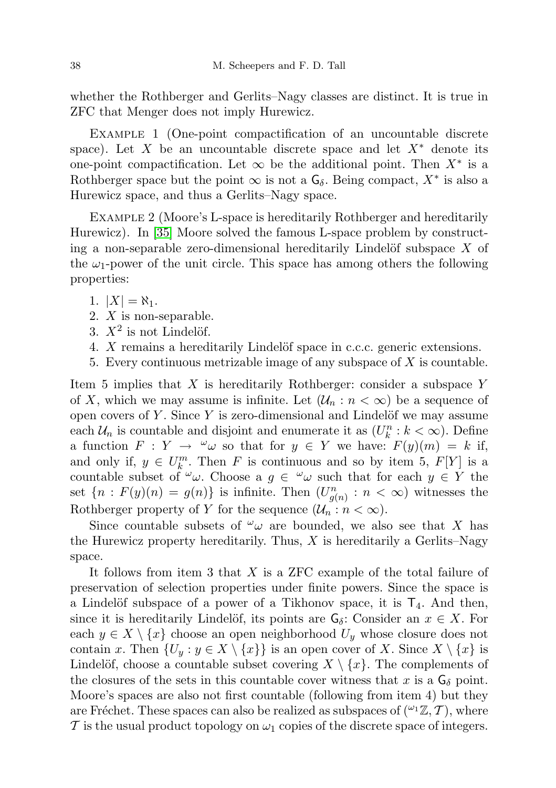whether the Rothberger and Gerlits–Nagy classes are distinct. It is true in ZFC that Menger does not imply Hurewicz.

EXAMPLE 1 (One-point compactification of an uncountable discrete space). Let X be an uncountable discrete space and let  $X^*$  denote its one-point compactification. Let  $\infty$  be the additional point. Then  $X^*$  is a Rothberger space but the point  $\infty$  is not a  $\mathsf{G}_{\delta}$ . Being compact,  $X^*$  is also a Hurewicz space, and thus a Gerlits–Nagy space.

Example 2 (Moore's L-space is hereditarily Rothberger and hereditarily Hurewicz). In [\[35\]](#page-44-23) Moore solved the famous L-space problem by constructing a non-separable zero-dimensional hereditarily Lindelöf subspace  $X$  of the  $\omega_1$ -power of the unit circle. This space has among others the following properties:

1.  $|X| = \aleph_1$ .

- 2. X is non-separable.
- 3.  $X^2$  is not Lindelöf.
- 4.  $X$  remains a hereditarily Lindelöf space in c.c.c. generic extensions.
- 5. Every continuous metrizable image of any subspace of X is countable.

Item 5 implies that  $X$  is hereditarily Rothberger: consider a subspace  $Y$ of X, which we may assume is infinite. Let  $(\mathcal{U}_n : n < \infty)$  be a sequence of open covers of  $Y$ . Since  $Y$  is zero-dimensional and Lindelöf we may assume each  $\mathcal{U}_n$  is countable and disjoint and enumerate it as  $(U_k^n : k < \infty)$ . Define a function  $F: Y \to \omega \omega$  so that for  $y \in Y$  we have:  $F(y)(m) = k$  if, and only if,  $y \in U_k^m$ . Then F is continuous and so by item 5,  $F[Y]$  is a countable subset of  $\omega$ . Choose a  $g \in \omega$  such that for each  $y \in Y$  the set  ${n: F(y)(n) = g(n)}$  is infinite. Then  $(U_{g(n)}^n : n < \infty)$  witnesses the Rothberger property of Y for the sequence  $(\mathcal{U}_n : n < \infty)$ .

Since countable subsets of  $\omega_{\omega}$  are bounded, we also see that X has the Hurewicz property hereditarily. Thus,  $X$  is hereditarily a Gerlits–Nagy space.

It follows from item 3 that  $X$  is a ZFC example of the total failure of preservation of selection properties under finite powers. Since the space is a Lindelöf subspace of a power of a Tikhonov space, it is  $T_4$ . And then, since it is hereditarily Lindelöf, its points are  $G_{\delta}$ : Consider an  $x \in X$ . For each  $y \in X \setminus \{x\}$  choose an open neighborhood  $U_y$  whose closure does not contain x. Then  $\{U_y : y \in X \setminus \{x\}\}\$ is an open cover of X. Since  $X \setminus \{x\}$  is Lindelöf, choose a countable subset covering  $X \setminus \{x\}$ . The complements of the closures of the sets in this countable cover witness that x is a  $G_{\delta}$  point. Moore's spaces are also not first countable (following from item 4) but they are Fréchet. These spaces can also be realized as subspaces of  $({}^{\omega_1}\mathbb{Z}, \mathcal{T})$ , where T is the usual product topology on  $\omega_1$  copies of the discrete space of integers.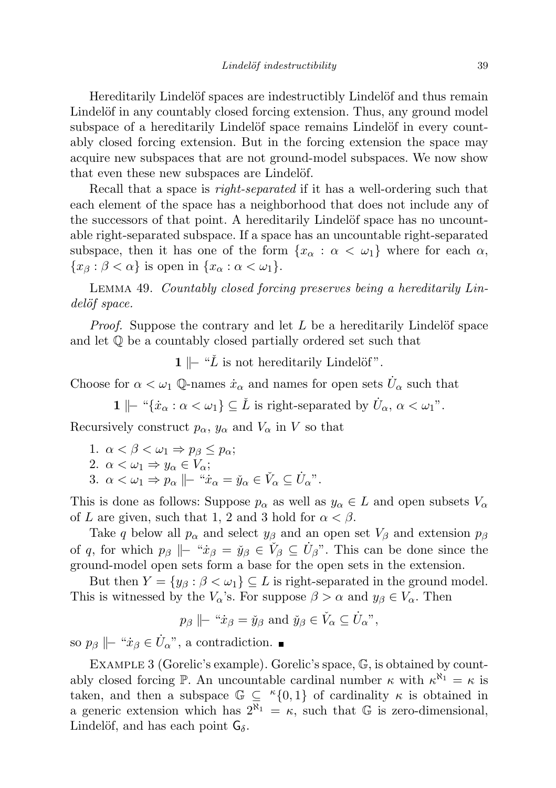Hereditarily Lindelöf spaces are indestructibly Lindelöf and thus remain Lindelöf in any countably closed forcing extension. Thus, any ground model subspace of a hereditarily Lindelöf space remains Lindelöf in every countably closed forcing extension. But in the forcing extension the space may acquire new subspaces that are not ground-model subspaces. We now show that even these new subspaces are Lindelöf.

Recall that a space is right-separated if it has a well-ordering such that each element of the space has a neighborhood that does not include any of the successors of that point. A hereditarily Lindelöf space has no uncountable right-separated subspace. If a space has an uncountable right-separated subspace, then it has one of the form  $\{x_\alpha : \alpha < \omega_1\}$  where for each  $\alpha$ ,  ${x_{\beta} : \beta < \alpha}$  is open in  ${x_{\alpha} : \alpha < \omega_1}.$ 

Lemma 49. Countably closed forcing preserves being a hereditarily Lindelöf space.

*Proof.* Suppose the contrary and let  $L$  be a hereditarily Lindelöf space and let Q be a countably closed partially ordered set such that

**1**  $\|$  − " $\check{L}$  is not hereditarily Lindelöf".

Choose for  $\alpha < \omega_1$  Q-names  $\dot{x}_\alpha$  and names for open sets  $\dot{U}_\alpha$  such that

1  $\|\cdot\|^2 \{x_\alpha : \alpha < \omega_1\} \subseteq \check{L}$  is right-separated by  $\dot{U}_\alpha, \alpha < \omega_1$ ".

Recursively construct  $p_{\alpha}$ ,  $y_{\alpha}$  and  $V_{\alpha}$  in V so that

1.  $\alpha < \beta < \omega_1 \Rightarrow p_\beta < p_\alpha$ ; 2.  $\alpha < \omega_1 \Rightarrow y_\alpha \in V_\alpha$ ; 3.  $\alpha < \omega_1 \Rightarrow p_\alpha \parallel - \alpha x_\alpha = \check{y}_\alpha \in \check{V}_\alpha \subseteq \dot{U}_\alpha$ ".

This is done as follows: Suppose  $p_{\alpha}$  as well as  $y_{\alpha} \in L$  and open subsets  $V_{\alpha}$ of L are given, such that 1, 2 and 3 hold for  $\alpha < \beta$ .

Take q below all  $p_{\alpha}$  and select  $y_{\beta}$  and an open set  $V_{\beta}$  and extension  $p_{\beta}$ of q, for which  $p_\beta \Vdash "x_\beta = \check{y}_\beta \in \check{V}_\beta \subseteq \check{U}_\beta$ ". This can be done since the ground-model open sets form a base for the open sets in the extension.

But then  $Y = \{y_\beta : \beta < \omega_1\} \subseteq L$  is right-separated in the ground model. This is witnessed by the  $V_\alpha$ 's. For suppose  $\beta > \alpha$  and  $y_\beta \in V_\alpha$ . Then

$$
p_{\beta} \parallel \sim \mathbf{\dot{x}}_{\beta} = \check{y}_{\beta}
$$
 and  $\check{y}_{\beta} \in \check{V}_{\alpha} \subseteq \dot{U}_{\alpha}^{\prime\prime}$ ,

so  $p_\beta \nparallel$  " $\dot{x}_\beta \in \dot{U}_\alpha$ ", a contradiction.

EXAMPLE 3 (Gorelic's example). Gorelic's space, G, is obtained by countably closed forcing  $\mathbb{P}$ . An uncountable cardinal number  $\kappa$  with  $\kappa^{\aleph_1} = \kappa$  is taken, and then a subspace  $\mathbb{G} \subseteq {^{\kappa}{0,1}}$  of cardinality  $\kappa$  is obtained in a generic extension which has  $2^{k_1} = \kappa$ , such that G is zero-dimensional, Lindelöf, and has each point  $G_{\delta}$ .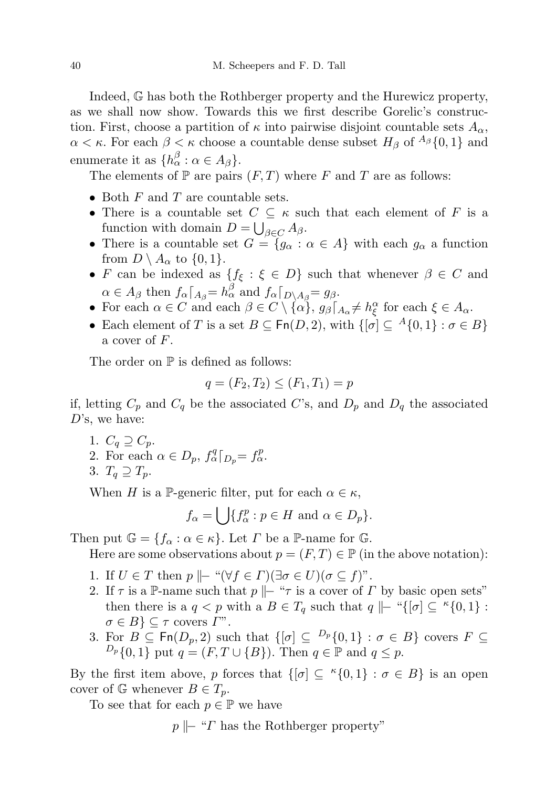Indeed, G has both the Rothberger property and the Hurewicz property, as we shall now show. Towards this we first describe Gorelic's construction. First, choose a partition of  $\kappa$  into pairwise disjoint countable sets  $A_{\alpha}$ ,  $\alpha < \kappa$ . For each  $\beta < \kappa$  choose a countable dense subset  $H_{\beta}$  of  $^{A_{\beta}}\{0,1\}$  and enumerate it as  $\{h_{\alpha}^{\beta} : \alpha \in A_{\beta}\}.$ 

The elements of  $\mathbb P$  are pairs  $(F, T)$  where  $F$  and  $T$  are as follows:

- Both  $F$  and  $T$  are countable sets.
- There is a countable set  $C \subseteq \kappa$  such that each element of F is a function with domain  $D = \bigcup_{\beta \in C} A_{\beta}$ .
- There is a countable set  $G = \{g_{\alpha} : \alpha \in A\}$  with each  $g_{\alpha}$  a function from  $D \setminus A_\alpha$  to  $\{0,1\}.$
- F can be indexed as  $\{f_{\xi} : \xi \in D\}$  such that whenever  $\beta \in C$  and  $\alpha \in A_{\beta}$  then  $f_{\alpha} \lceil_{A_{\beta}} = h_{\alpha}^{\beta}$  and  $f_{\alpha} \lceil_{D \setminus A_{\beta}} = g_{\beta}$ .
- For each  $\alpha \in C$  and each  $\beta \in C \setminus {\alpha \brace \alpha}$ ,  $g_{\beta} \lceil_{A_{\alpha}} \neq h_{\xi}^{\alpha}$  for each  $\xi \in A_{\alpha}$ .
- Each element of T is a set  $B \subseteq \text{Fn}(D, 2)$ , with  $\{[\sigma] \subseteq {}^A\{0,1\} : \sigma \in B\}$ a cover of F.

The order on  $\mathbb P$  is defined as follows:

$$
q = (F_2, T_2) \le (F_1, T_1) = p
$$

if, letting  $C_p$  and  $C_q$  be the associated C's, and  $D_p$  and  $D_q$  the associated  $D$ 's, we have:

1.  $C_q \supseteq C_p$ . 2. For each  $\alpha \in D_p$ ,  $f^q_\alpha|_{D_p} = f^p_\alpha$ . 3.  $T_q \supseteq T_p$ .

When H is a P-generic filter, put for each  $\alpha \in \kappa$ ,

$$
f_{\alpha} = \bigcup \{ f_{\alpha}^p : p \in H \text{ and } \alpha \in D_p \}.
$$

Then put  $\mathbb{G} = \{f_{\alpha} : \alpha \in \kappa\}$ . Let  $\Gamma$  be a P-name for  $\mathbb{G}$ .

Here are some observations about  $p = (F, T) \in \mathbb{P}$  (in the above notation):

- 1. If  $U \in T$  then  $p \Vdash "\forall f \in \Gamma)(\exists \sigma \in U)(\sigma \subseteq f)$ ".
- 2. If  $\tau$  is a P-name such that  $p \Vdash " \tau$  is a cover of  $\Gamma$  by basic open sets" then there is a  $q < p$  with a  $B \in T_q$  such that  $q \Vdash "\{\sigma] \subseteq \kappa\{0,1\} :$  $\sigma \in B$ }  $\subseteq \tau$  covers  $\Gamma$ ".
- 3. For  $B \subseteq \text{Fn}(D_p, 2)$  such that  $\{[\sigma] \subseteq P_p\{0,1\} : \sigma \in B\}$  covers  $F \subseteq$  $D_p \{0, 1\}$  put  $q = (F, T \cup \{B\})$ . Then  $q \in \mathbb{P}$  and  $q \leq p$ .

By the first item above, p forces that  $\{[\sigma] \subseteq \kappa\{0,1\} : \sigma \in B\}$  is an open cover of  $\mathbb{G}$  whenever  $B \in T_p$ .

To see that for each  $p \in \mathbb{P}$  we have

 $p \parallel$  "Γ has the Rothberger property"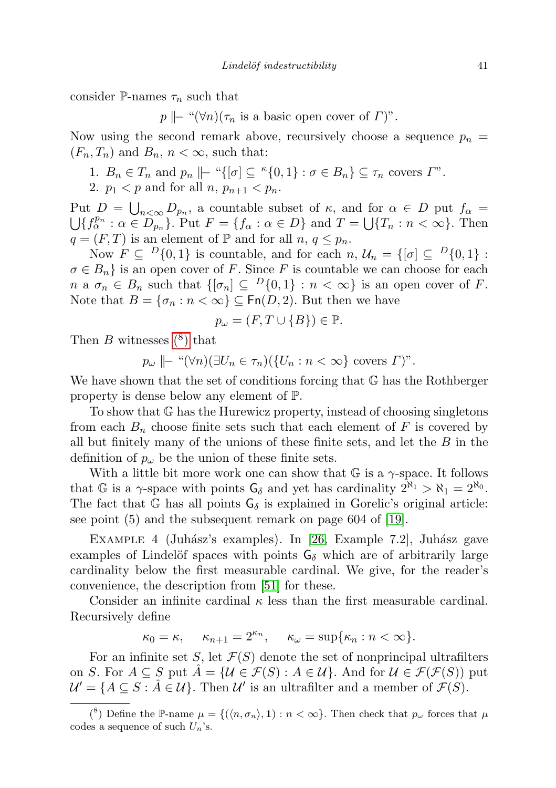consider P-names  $\tau_n$  such that

 $p \nightharpoonup$  " $(\forall n)(\tau_n$  is a basic open cover of  $\Gamma)$ ".

Now using the second remark above, recursively choose a sequence  $p_n =$  $(F_n, T_n)$  and  $B_n, n < \infty$ , such that:

- 1.  $B_n \in T_n$  and  $p_n \mid\mid -\alpha \{ [\sigma] \subseteq \alpha \{ 0, 1 \} : \sigma \in B_n \} \subseteq \tau_n$  covers  $\Gamma$ ".
- 2.  $p_1 < p$  and for all  $n, p_{n+1} < p_n$ .

Put  $D = \bigcup_{n < \infty} D_{p_n}$ , a countable subset of  $\kappa$ , and for  $\alpha \in D$  put  $f_\alpha =$  $\bigcup \{f_{\alpha}^{p_n} : \alpha \in D_{p_n} \}$ . Put  $F = \{f_{\alpha} : \alpha \in D\}$  and  $T = \bigcup \{T_n : n < \infty \}$ . Then  $q = (F, T)$  is an element of  $\mathbb P$  and for all  $n, q \leq p_n$ .

Now  $F \subseteq {}^{D}\{0,1\}$  is countable, and for each  $n, \mathcal{U}_n = \{[\sigma] \subseteq {}^{D}\{0,1\}$ :  $\sigma \in B_n$  is an open cover of F. Since F is countable we can choose for each  $n \in \mathcal{B}_n$  such that  $\{[\sigma_n] \subseteq P\{0,1\} : n < \infty\}$  is an open cover of F. Note that  $B = {\sigma_n : n < \infty} \subseteq \text{Fn}(D, 2)$ . But then we have

$$
p_{\omega} = (F, T \cup \{B\}) \in \mathbb{P}.
$$

Then  $B$  witnesses  $(8)$  that

$$
p_{\omega} \rvert - \sqrt{\pi} \pi \in \pi_n
$$
  $(U_n : n < \infty)$  covers  $\Gamma$ )".

We have shown that the set of conditions forcing that G has the Rothberger property is dense below any element of P.

To show that G has the Hurewicz property, instead of choosing singletons from each  $B_n$  choose finite sets such that each element of F is covered by all but finitely many of the unions of these finite sets, and let the  $B$  in the definition of  $p_{\omega}$  be the union of these finite sets.

With a little bit more work one can show that  $\mathbb{G}$  is a  $\gamma$ -space. It follows that G is a  $\gamma$ -space with points  $G_{\delta}$  and yet has cardinality  $2^{\aleph_1} > \aleph_1 = 2^{\aleph_0}$ . The fact that G has all points  $G_{\delta}$  is explained in Gorelic's original article: see point (5) and the subsequent remark on page 604 of [\[19\]](#page-44-1).

EXAMPLE 4 (Juhász's examples). In [\[26,](#page-44-0) Example 7.2], Juhász gave examples of Lindelöf spaces with points  $G_{\delta}$  which are of arbitrarily large cardinality below the first measurable cardinal. We give, for the reader's convenience, the description from [\[51\]](#page-45-3) for these.

Consider an infinite cardinal  $\kappa$  less than the first measurable cardinal. Recursively define

$$
\kappa_0 = \kappa, \quad \kappa_{n+1} = 2^{\kappa_n}, \quad \kappa_\omega = \sup \{ \kappa_n : n < \infty \}.
$$

For an infinite set S, let  $\mathcal{F}(S)$  denote the set of nonprincipal ultrafilters on S. For  $A \subseteq S$  put  $\tilde{A} = \{ \mathcal{U} \in \mathcal{F}(S) : A \in \mathcal{U} \}$ . And for  $\mathcal{U} \in \mathcal{F}(\mathcal{F}(S))$  put  $\mathcal{U}' = \{ A \subseteq S : \hat{A} \in \mathcal{U} \}$ . Then  $\mathcal{U}'$  is an ultrafilter and a member of  $\mathcal{F}(S)$ .

<span id="page-40-0"></span><sup>&</sup>lt;sup>(8</sup>) Define the P-name  $\mu = \{(\langle n, \sigma_n \rangle, 1) : n < \infty\}$ . Then check that  $p_\omega$  forces that  $\mu$ codes a sequence of such  $U_n$ 's.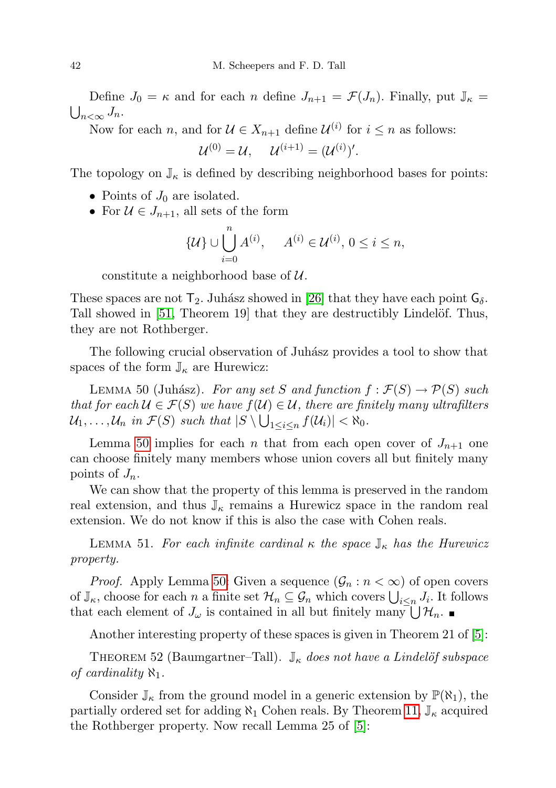Define  $J_0 = \kappa$  and for each n define  $J_{n+1} = \mathcal{F}(J_n)$ . Finally, put  $\mathbb{J}_{\kappa} =$  $\bigcup_{n<\infty}J_n.$ 

Now for each *n*, and for  $\mathcal{U} \in X_{n+1}$  define  $\mathcal{U}^{(i)}$  for  $i \leq n$  as follows:

$$
\mathcal{U}^{(0)} = \mathcal{U}, \quad \mathcal{U}^{(i+1)} = (\mathcal{U}^{(i)})'.
$$

The topology on  $\mathbb{J}_{\kappa}$  is defined by describing neighborhood bases for points:

- Points of  $J_0$  are isolated.
- For  $\mathcal{U} \in J_{n+1}$ , all sets of the form

$$
\{\mathcal{U}\}\cup \bigcup_{i=0}^{n} A^{(i)}, \quad A^{(i)}\in \mathcal{U}^{(i)}, 0\leq i\leq n,
$$

constitute a neighborhood base of  $\mathcal{U}$ .

These spaces are not  $T_2$ . Juhász showed in [\[26\]](#page-44-0) that they have each point  $G_\delta$ . Tall showed in [\[51,](#page-45-3) Theorem 19] that they are destructibly Lindelöf. Thus, they are not Rothberger.

The following crucial observation of Juhász provides a tool to show that spaces of the form  $\mathbb{J}_{\kappa}$  are Hurewicz:

<span id="page-41-0"></span>LEMMA 50 (Juhász). For any set S and function  $f : \mathcal{F}(S) \to \mathcal{P}(S)$  such that for each  $\mathcal{U} \in \mathcal{F}(S)$  we have  $f(\mathcal{U}) \in \mathcal{U}$ , there are finitely many ultrafilters  $\mathcal{U}_1,\ldots,\mathcal{U}_n$  in  $\mathcal{F}(S)$  such that  $|S \setminus \bigcup_{1 \leq i \leq n} f(\mathcal{U}_i)| < \aleph_0$ .

Lemma [50](#page-41-0) implies for each n that from each open cover of  $J_{n+1}$  one can choose finitely many members whose union covers all but finitely many points of  $J_n$ .

We can show that the property of this lemma is preserved in the random real extension, and thus  $\mathbb{J}_{\kappa}$  remains a Hurewicz space in the random real extension. We do not know if this is also the case with Cohen reals.

LEMMA 51. For each infinite cardinal  $\kappa$  the space  $\mathbb{J}_{\kappa}$  has the Hurewicz property.

*Proof.* Apply Lemma [50:](#page-41-0) Given a sequence  $(\mathcal{G}_n : n < \infty)$  of open covers of  $\mathbb{J}_{\kappa}$ , choose for each n a finite set  $\mathcal{H}_n \subseteq \mathcal{G}_n$  which covers  $\bigcup_{i \leq n} J_i$ . It follows that each element of  $J_{\omega}$  is contained in all but finitely many  $\bigcup \mathcal{H}_n$ .

Another interesting property of these spaces is given in Theorem 21 of [\[5\]](#page-43-8):

THEOREM 52 (Baumgartner–Tall).  $\mathbb{J}_{\kappa}$  does not have a Lindelöf subspace of cardinality  $\aleph_1$ .

Consider  $\mathbb{J}_{\kappa}$  from the ground model in a generic extension by  $\mathbb{P}(\aleph_1)$ , the partially ordered set for adding  $\aleph_1$  Cohen reals. By Theorem [11,](#page-8-0)  $\mathbb{J}_{\kappa}$  acquired the Rothberger property. Now recall Lemma 25 of [\[5\]](#page-43-8):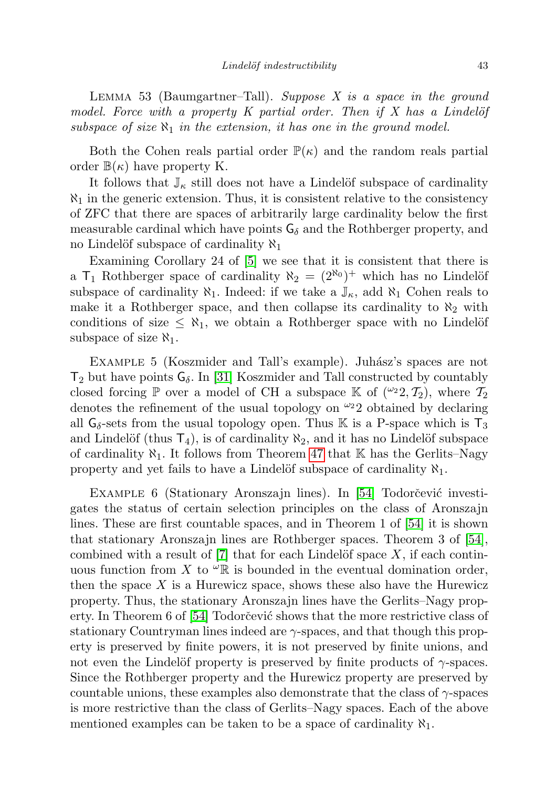LEMMA 53 (Baumgartner–Tall). Suppose  $X$  is a space in the ground model. Force with a property K partial order. Then if X has a Lindelöf subspace of size  $\aleph_1$  in the extension, it has one in the ground model.

Both the Cohen reals partial order  $\mathbb{P}(\kappa)$  and the random reals partial order  $\mathbb{B}(\kappa)$  have property K.

It follows that  $\mathbb{J}_{\kappa}$  still does not have a Lindelöf subspace of cardinality  $\aleph_1$  in the generic extension. Thus, it is consistent relative to the consistency of ZFC that there are spaces of arbitrarily large cardinality below the first measurable cardinal which have points  $G_{\delta}$  and the Rothberger property, and no Lindelöf subspace of cardinality  $\aleph_1$ 

Examining Corollary 24 of [\[5\]](#page-43-8) we see that it is consistent that there is a  $T_1$  Rothberger space of cardinality  $\aleph_2 = (2^{\aleph_0})^+$  which has no Lindelöf subspace of cardinality  $\aleph_1$ . Indeed: if we take a  $\mathbb{J}_{\kappa}$ , add  $\aleph_1$  Cohen reals to make it a Rothberger space, and then collapse its cardinality to  $\aleph_2$  with conditions of size  $\leq \aleph_1$ , we obtain a Rothberger space with no Lindelöf subspace of size  $\aleph_1$ .

EXAMPLE 5 (Koszmider and Tall's example). Juhász's spaces are not  $T_2$  but have points  $G_\delta$ . In [\[31\]](#page-44-24) Koszmider and Tall constructed by countably closed forcing P over a model of CH a subspace K of  $({}^{\omega_2}2, T_2)$ , where  $T_2$ denotes the refinement of the usual topology on  $\omega_2$  obtained by declaring all  $G_{\delta}$ -sets from the usual topology open. Thus K is a P-space which is  $T_3$ and Lindelöf (thus  $T_4$ ), is of cardinality  $\aleph_2$ , and it has no Lindelöf subspace of cardinality  $\aleph_1$ . It follows from Theorem [47](#page-35-1) that K has the Gerlits–Nagy property and yet fails to have a Lindelöf subspace of cardinality  $\aleph_1$ .

EXAMPLE 6 (Stationary Aronszajn lines). In [\[54\]](#page-45-14) Todorčević investigates the status of certain selection principles on the class of Aronszajn lines. These are first countable spaces, and in Theorem 1 of [\[54\]](#page-45-14) it is shown that stationary Aronszajn lines are Rothberger spaces. Theorem 3 of [\[54\]](#page-45-14), combined with a result of  $[7]$  that for each Lindelöf space X, if each continuous function from X to  $\mathscr{L} \mathbb{R}$  is bounded in the eventual domination order, then the space  $X$  is a Hurewicz space, shows these also have the Hurewicz property. Thus, the stationary Aronszajn lines have the Gerlits–Nagy prop-erty. In Theorem 6 of [\[54\]](#page-45-14) Todorčević shows that the more restrictive class of stationary Countryman lines indeed are  $\gamma$ -spaces, and that though this property is preserved by finite powers, it is not preserved by finite unions, and not even the Lindelöf property is preserved by finite products of  $\gamma$ -spaces. Since the Rothberger property and the Hurewicz property are preserved by countable unions, these examples also demonstrate that the class of  $\gamma$ -spaces is more restrictive than the class of Gerlits–Nagy spaces. Each of the above mentioned examples can be taken to be a space of cardinality  $\aleph_1$ .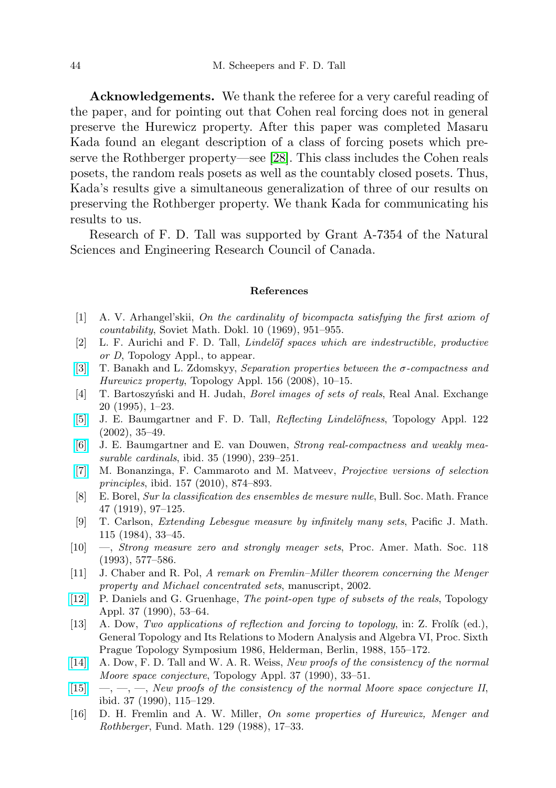Acknowledgements. We thank the referee for a very careful reading of the paper, and for pointing out that Cohen real forcing does not in general preserve the Hurewicz property. After this paper was completed Masaru Kada found an elegant description of a class of forcing posets which preserve the Rothberger property—see [\[28\]](#page-44-25). This class includes the Cohen reals posets, the random reals posets as well as the countably closed posets. Thus, Kada's results give a simultaneous generalization of three of our results on preserving the Rothberger property. We thank Kada for communicating his results to us.

Research of F. D. Tall was supported by Grant A-7354 of the Natural Sciences and Engineering Research Council of Canada.

## References

- <span id="page-43-0"></span>[1] A. V. Arhangel'skii, On the cardinality of bicompacta satisfying the first axiom of countability, Soviet Math. Dokl. 10 (1969), 951–955.
- <span id="page-43-13"></span>[2] L. F. Aurichi and F. D. Tall, *Lindelöf spaces which are indestructible, productive* or D, Topology Appl., to appear.
- [\[3\]](http://dx.doi.org/10.1016/j.topol.2007.12.017) T. Banakh and L. Zdomskyy, Separation properties between the σ-compactness and Hurewicz property, Topology Appl. 156 (2008), 10–15.
- <span id="page-43-12"></span>[4] T. Bartoszyński and H. Judah, *Borel images of sets of reals*, Real Anal. Exchange 20 (1995), 1–23.
- <span id="page-43-8"></span>[\[5\]](http://dx.doi.org/10.1016/S0166-8641(01)00135-3) J. E. Baumgartner and F. D. Tall, *Reflecting Lindelöfness*, Topology Appl. 122 (2002), 35–49.
- <span id="page-43-10"></span>[\[6\]](http://dx.doi.org/10.1016/0166-8641(90)90109-F) J. E. Baumgartner and E. van Douwen, Strong real-compactness and weakly measurable cardinals, ibid. 35 (1990), 239–251.
- <span id="page-43-14"></span>[\[7\]](http://dx.doi.org/10.1016/j.topol.2009.12.004) M. Bonanzinga, F. Cammaroto and M. Matveev, Projective versions of selection principles, ibid. 157 (2010), 874–893.
- <span id="page-43-4"></span>[8] E. Borel, Sur la classification des ensembles de mesure nulle, Bull. Soc. Math. France 47 (1919), 97–125.
- <span id="page-43-7"></span>[9] T. Carlson, Extending Lebesgue measure by infinitely many sets, Pacific J. Math. 115 (1984), 33–45.
- <span id="page-43-6"></span>[10] —, Strong measure zero and strongly meager sets, Proc. Amer. Math. Soc. 118 (1993), 577–586.
- <span id="page-43-11"></span>[11] J. Chaber and R. Pol, A remark on Fremlin–Miller theorem concerning the Menger property and Michael concentrated sets, manuscript, 2002.
- <span id="page-43-3"></span>[\[12\]](http://dx.doi.org/10.1016/0166-8641(90)90014-S) P. Daniels and G. Gruenhage, The point-open type of subsets of the reals, Topology Appl. 37 (1990), 53–64.
- <span id="page-43-1"></span> $[13]$  A. Dow, Two applications of reflection and forcing to topology, in: Z. Frolík (ed.), General Topology and Its Relations to Modern Analysis and Algebra VI, Proc. Sixth Prague Topology Symposium 1986, Helderman, Berlin, 1988, 155–172.
- <span id="page-43-9"></span>[\[14\]](http://dx.doi.org/10.1016/0166-8641(90)90013-R) A. Dow, F. D. Tall and W. A. R. Weiss, New proofs of the consistency of the normal Moore space conjecture, Topology Appl. 37 (1990), 33–51.
- <span id="page-43-2"></span> $[15] \quad -,-, [15] \quad -,-,-$ , New proofs of the consistency of the normal Moore space conjecture II, ibid. 37 (1990), 115–129.
- <span id="page-43-5"></span>[16] D. H. Fremlin and A. W. Miller, On some properties of Hurewicz, Menger and Rothberger, Fund. Math. 129 (1988), 17–33.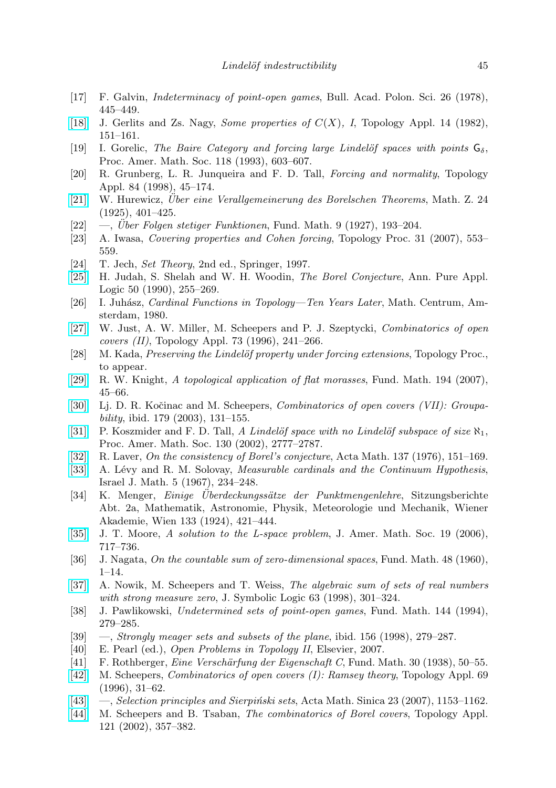- <span id="page-44-6"></span>[17] F. Galvin, Indeterminacy of point-open games, Bull. Acad. Polon. Sci. 26 (1978), 445–449.
- <span id="page-44-5"></span>[\[18\]](http://dx.doi.org/10.1016/0166-8641(82)90065-7) J. Gerlits and Zs. Nagy, *Some properties of*  $C(X)$ , *I*, Topology Appl. 14 (1982), 151–161.
- <span id="page-44-1"></span>[19] I. Gorelic, The Baire Category and forcing large Lindelöf spaces with points  $G_{\delta}$ . Proc. Amer. Math. Soc. 118 (1993), 603–607.
- <span id="page-44-3"></span>[20] R. Grunberg, L. R. Junqueira and F. D. Tall, Forcing and normality, Topology Appl. 84 (1998), 45–174.
- <span id="page-44-14"></span> $[21]$  W. Hurewicz, *Über eine Verallgemeinerung des Borelschen Theorems*, Math. Z. 24 (1925), 401–425.
- $[22] \quad -$ , Über Folgen stetiger Funktionen, Fund. Math. 9 (1927), 193–204.
- <span id="page-44-4"></span>[23] A. Iwasa, Covering properties and Cohen forcing, Topology Proc. 31 (2007), 553– 559.
- <span id="page-44-9"></span>[24] T. Jech, Set Theory, 2nd ed., Springer, 1997.
- <span id="page-44-12"></span>[\[25\]](http://dx.doi.org/10.1016/0168-0072(90)90058-A) H. Judah, S. Shelah and W. H. Woodin, The Borel Conjecture, Ann. Pure Appl. Logic 50 (1990), 255–269.
- <span id="page-44-0"></span>[26] I. Juh´asz, Cardinal Functions in Topology—Ten Years Later, Math. Centrum, Amsterdam, 1980.
- <span id="page-44-18"></span>[\[27\]](http://dx.doi.org/10.1016/S0166-8641(96)00075-2) W. Just, A. W. Miller, M. Scheepers and P. J. Szeptycki, Combinatorics of open covers (II), Topology Appl. 73 (1996), 241–266.
- <span id="page-44-25"></span>[28] M. Kada, *Preserving the Lindelöf property under forcing extensions*, Topology Proc., to appear.
- <span id="page-44-2"></span>[\[29\]](http://dx.doi.org/10.4064/fm194-1-3) R. W. Knight, A topological application of flat morasses, Fund. Math. 194 (2007), 45–66.
- <span id="page-44-17"></span>[\[30\]](http://dx.doi.org/10.4064/fm179-2-2) Lj. D. R. Kočinac and M. Scheepers, *Combinatorics of open covers (VII): Groupa*bility, ibid. 179 (2003), 131–155.
- <span id="page-44-24"></span>[\[31\]](http://dx.doi.org/10.1090/S0002-9939-02-06367-0) P. Koszmider and F. D. Tall, A Lindelöf space with no Lindelöf subspace of size  $\aleph_1$ , Proc. Amer. Math. Soc. 130 (2002), 2777–2787.
- <span id="page-44-11"></span>[\[32\]](http://dx.doi.org/10.1007/BF02392416) R. Laver, On the consistency of Borel's conjecture, Acta Math. 137 (1976), 151–169.
- <span id="page-44-13"></span>[\[33\]](http://dx.doi.org/10.1007/BF02771612) A. Lévy and R. M. Solovay, *Measurable cardinals and the Continuum Hypothesis*, Israel J. Math. 5 (1967), 234–248.
- <span id="page-44-15"></span>[34] K. Menger, *Einige Uberdeckungssätze der Punktmengenlehre*, Sitzungsberichte Abt. 2a, Mathematik, Astronomie, Physik, Meteorologie und Mechanik, Wiener Akademie, Wien 133 (1924), 421–444.
- <span id="page-44-23"></span>[\[35\]](http://dx.doi.org/10.1090/S0894-0347-05-00517-5) J. T. Moore, A solution to the L-space problem, J. Amer. Math. Soc. 19 (2006), 717–736.
- <span id="page-44-10"></span>[36] J. Nagata, On the countable sum of zero-dimensional spaces, Fund. Math. 48 (1960), 1–14.
- <span id="page-44-19"></span>[\[37\]](http://dx.doi.org/10.2307/2586602) A. Nowik, M. Scheepers and T. Weiss, The algebraic sum of sets of real numbers with strong measure zero, J. Symbolic Logic 63 (1998), 301–324.
- <span id="page-44-8"></span>[38] J. Pawlikowski, Undetermined sets of point-open games, Fund. Math. 144 (1994), 279–285.
- <span id="page-44-20"></span>[39]  $\sim$ , Strongly meager sets and subsets of the plane, ibid. 156 (1998), 279–287.
- <span id="page-44-26"></span>[40] E. Pearl (ed.), Open Problems in Topology II, Elsevier, 2007.
- <span id="page-44-7"></span>[41] F. Rothberger, *Eine Verschärfung der Eigenschaft C*, Fund. Math. 30 (1938), 50–55.
- <span id="page-44-16"></span>[\[42\]](http://dx.doi.org/10.1016/0166-8641(95)00067-4) M. Scheepers, Combinatorics of open covers (I): Ramsey theory, Topology Appl. 69 (1996), 31–62.
- <span id="page-44-22"></span>[\[43\]](http://dx.doi.org/10.1007/s10114-005-0810-3)  $\sim$ , Selection principles and Sierpiński sets, Acta Math. Sinica 23 (2007), 1153–1162.
- <span id="page-44-21"></span>[\[44\]](http://dx.doi.org/10.1016/S0166-8641(01)00078-5) M. Scheepers and B. Tsaban, The combinatorics of Borel covers, Topology Appl. 121 (2002), 357–382.